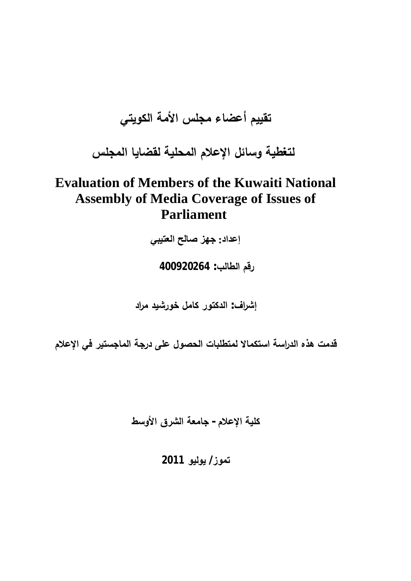# تقييم أعضاء مجلس الأمة الكويت*ى*

لتغطية وسائل الإعلام المحلية لقضايا المجلس

# **Evaluation of Members of the Kuwaiti National Assembly of Media Coverage of Issues of Parliament**

إعداد: جهز صالح العتيب*ي* 

 **400920264 :§ƃœ¶ƃ¦¿ſ°** 

**إشراف: الدكتور كامل خورشيد مراد** 

قدمت هذه الدراسة استكمالا لمتطلبات الحصول على درجة الماجستير في الإعلام

كلية الإعلام- جامعة الشرق الأوسط

 $\frac{1}{2011}$ **تموز/بوليو 2**011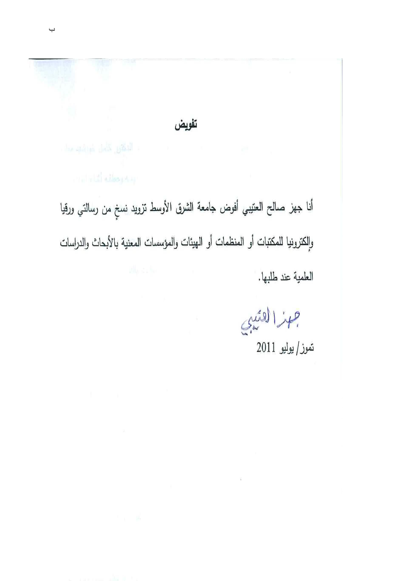

Ώ

العلمية عند طلبها.

 $\vec{x}$ 

جهز العثيبي تموز/يوليو 2011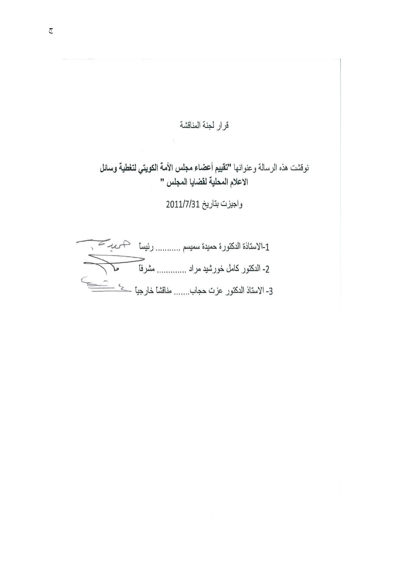قرار لجنة المناقشة

نوقشت هذه الرسالة وعنوانها "تقييم أعضاء مجلس الأمة الكويتي لتغطية وسائل الاعلام المحلية لقضايا المجلس "

واجيزت بتاريخ 2011/7/31

1-الاستاذة الدكتورة حميدة سميسم ........... رئيسا مستميكم بالتحكم بالتحكم بالتحكم الدكتور كامل خورشيد مراد ............ مشرفا<br>2- الدكتور كامل خورشيد مراد ............ مشرفا مصطلح كالتحكم التحكم التحكم التحكم الدكتور عزت ح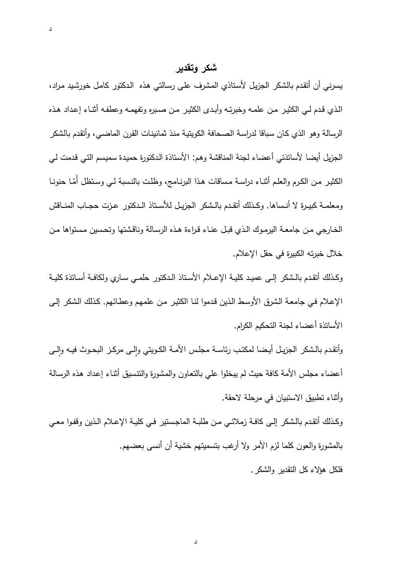#### **شکر وتقدبر**

يسرني أن أتقدم بالشكر الجزيل لأستاذي المشرف على رسالتي هذه الدكتور كامل خورشيد مراد، الذي قدم لـى الكثير من علمـه وخبرتـه وأبـدي الكثير من صـبره وتفهمـه وعطفـه أثنـاء إعداد هذه الرسالة وهو الذي كان سباقا لدراسة الصحافة الكويتية منذ ثمانينات القرن الماضبي، وأتقدم بالشكر الجزيل أيضا لأساتذتي أعضاء لجنة المناقشة وهم: الأستاذة الدكتورة حميدة سميسم التي قدمت لي الكثير من الكرم والعلم أنثـاء دراسـة مساقات هذا البرنـامج، وظلت بالنـسبة لـي وسـتظل أمّـا حنونـا ومعلمـة كبيـرة لا أنـساها. وكـذلك أتقـدم بالـشكر الجزيـل للأسـتاذ الـدكتور عـزت حجـاب المنــاقش الخارجي من جامعة اليرموك الذي قبل عنـاء قراءة هذه الرسالة وناقشتها وتحسين مستواها من خلال خبرته الكبيرة في حقل الإعلام.

وكذلك أنقدم بالـشكر إلـى عميـد كليـة الإعـلام الأسـتاذ الـدكتور حلمـي سـاري ولكافـة أسـاتذة كليـة الإعلام في جامعة الشرق الأوسط الذين قدموا لنا الكثير من علمهم وعطائهم. كذلك الشكر إلى الأساتذة أعضاء لجنة التحكيم الكرام.

وأنقدم بالشكر الجزيل أيضا لمكتب رئاسة مجلس الأمـة الكـويتي والـي مركـز البحـوث فيـه والـي أعضاء مجلس الأمة كافة حيث لم يبخلوا على بالتعاون والمشورة والنتسيق أثناء إعداد هذه الرسالة وأثناء تطبيق الاستبيان ف*ي* مرحلة لاحقة.

وكذلك أتقدم بالشكر إلى كافـة زملائـي مـن طلبـة الماجستير فـي كليـة الإعـلام الـذين وقفـوا معـي بالمشورة والعون كلما لزم الأمر ولا أرغب بتسميتهم خشية أن أنسبي بعضهم. فلكل هؤلاء كل النقدير والشكر.

Ω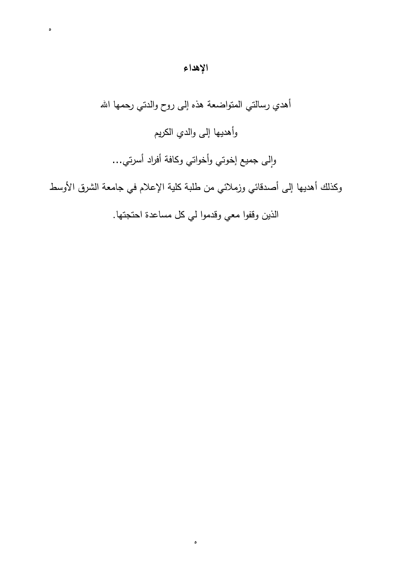# أهدي رسالتي المتواضعة هذه إلى روح والدتي رحمها الله وأهديها إلى والدي الكريم بِإِلَى جميع إخوتي وأخواتي وكافة أفراد أسرتي… وكذلك أهديها إلى أصدقائي وزملائي من طلبة كلية الإعلام في جامعة الشرق الأوسط

الذين وقفوا معي وقدموا لي كل مساعدة احتجتها.

ϩ

 $\bullet$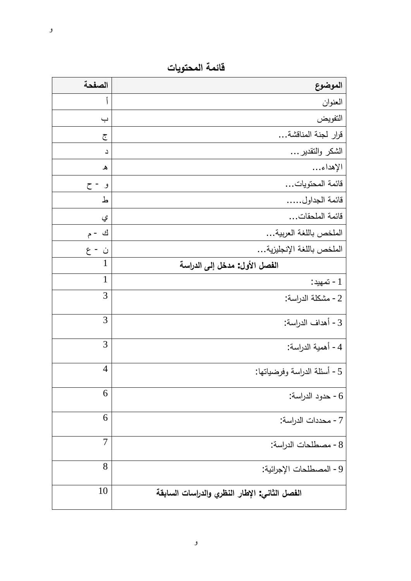قائمة المحتويات

| الصفحة         | الموضوع                                       |
|----------------|-----------------------------------------------|
|                | العنوان                                       |
| ب              | التفويض                                       |
| ج              | قرار لجنة المناقشة                            |
| د              | الشكر والنقدير …                              |
| ھ              | الإهداء                                       |
| و -<br>$\zeta$ | قائمة المحتويات                               |
| ط              | قائمة الجداول                                 |
| ي              | قائمة الملحقات                                |
| ك              | الملخص باللغة العربية                         |
| ع<br>ن -       | الملخص باللغة الإنجليزية                      |
| $\mathbf{1}$   | الفصل الأول: مدخل إلى الدراسة                 |
| $\mathbf{1}$   | 1 - تمهيد:                                    |
| 3              | 2- مشكلة الدراسة:                             |
| 3              | 3- أهداف الدراسة:                             |
| 3              | 4- أهمية الدراسة:                             |
| $\overline{4}$ | 5- أسئلة الدراسة وفرضياتها:                   |
| 6              | 6- حدود الدراسة:                              |
| 6              | 7- محددات الدراسة:                            |
| $\overline{7}$ | 8- مصطلحات الدراسة:                           |
| 8              | 9- المصطلحات الإجرائية:                       |
| 10             | الفصل الثاني: الإطار النظري والدراسات السابقة |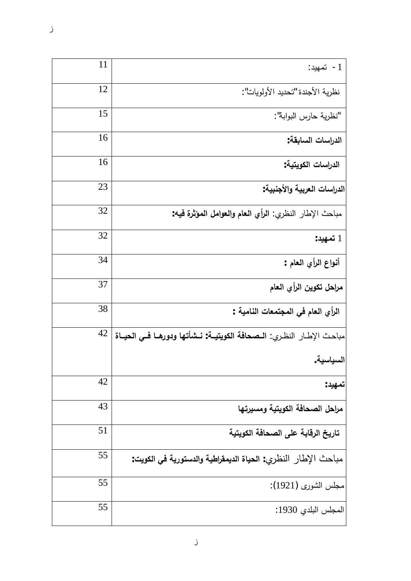| 1- تمهيد:                                                                | 11 |
|--------------------------------------------------------------------------|----|
| نظرية الأجندة "تحديد الأولويات":                                         | 12 |
| "نظرية حارس البوابة":                                                    | 15 |
| الدراسات السابقة:                                                        | 16 |
| الدراسات الكويتية:                                                       | 16 |
| الدراسات العربية والأجنبية:                                              | 23 |
| مباحث الإطار النظري: الرأي المعام والمعوامل الموئثرة فيه:                | 32 |
| 1 تمهيد :                                                                | 32 |
| أنواع الرأي العام :                                                      | 34 |
| مراحل تكوين الرأي العام                                                  | 37 |
| الرأي العام في المجتمعات النامية :                                       | 38 |
| مباحث الإطار النظري: الـصحافة الكويتيــة: نــشأتها ودورهـا فــى الحيــاة | 42 |
| السياسية.                                                                |    |
| تمهيد :                                                                  | 42 |
| مراحل الصحافة الكويتية ومسيرتها                                          | 43 |
| تاريخ الرقابة على الصحافة الكويتية                                       | 51 |
| مباحث الإطار النظري: الحياة الديمقراطية والدستورية في الكويت:            | 55 |
| مجلس الشورى (1921):                                                      | 55 |
| المجلس البلدي 1930:                                                      | 55 |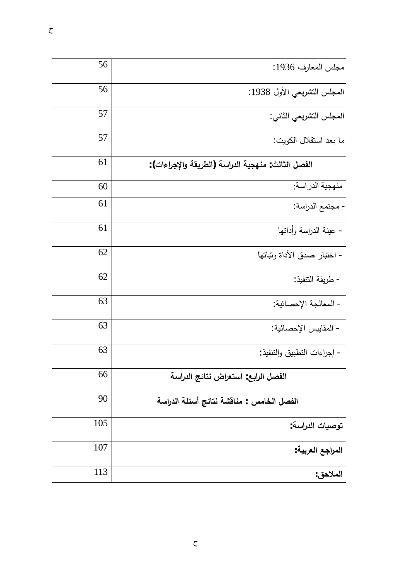| 56  | مجلس المعارف 1936:                                 |
|-----|----------------------------------------------------|
| 56  | المجلس التشريعي الأول 1938:                        |
| 57  | المجلس التشريعي الثاني:                            |
| 57  | ما بعد استقلال الكويت:                             |
| 61  | الفصل الثالث: منهجية الدراسة (الطريقة والإجراءات): |
| 60  | منهجية الدراسة:                                    |
| 61  | مجتمع الدراسة:                                     |
| 61  | - عينة الدراسة وأدانها                             |
| 62  | - اختبار صدق الأداة وثباتها                        |
| 62  | – طريقة التنفيذ:                                   |
| 63  | - المعالجة الإحصائية:                              |
| 63  | - المقاييس الإحصائية:                              |
| 63  | - إجراءات النطبيق والنتفيذ:                        |
| 66  | الفصل الرابع: استعراض نتائج الدراسة                |
| 90  | الفصل الخامس : مناقشة نتائج أسئلة الدراسة          |
| 105 | توصيات الدراسة:                                    |
| 107 | المراجع العربية:                                   |
| 113 | الملاحق:                                           |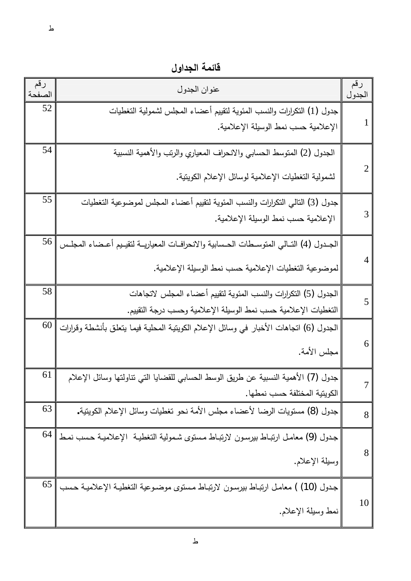قائمة الجداول

| رقم<br>الصفدة | عنوان الجدول                                                                                                                                                 | رقم<br>الجدول |
|---------------|--------------------------------------------------------------------------------------------------------------------------------------------------------------|---------------|
| 52            | جدول (1) التكرارات والنسب المئوية لتقييم أعضاء المجلس لشمولية التغطيات<br>الإعلامية حسب نمط الوسيلة الإعلامية.                                               |               |
| 54            | الجدول (2) المتوسط الحسابي والانحراف المعياري والرنب والأهمية النسبية<br>لشمولية النغطيات الإعلامية لوسائل الإعلام الكوينية.                                 | 2             |
| 55            | جدول (3) التالي النكرارات والنسب المئوية لنقييم أعضاء المجلس لموضوعية النغطيات<br>الإعلامية حسب نمط الوسيلة الإعلامية.                                       | 3             |
| 56            | الجـدول (4) النــالي المنوســطات الحــسابية والانحرافــات المعياريـــة لنقيــيم أعــضـاء المـجلــس<br>لموضوعية التغطيات الإعلامية حسب نمط الوسيلة الإعلامية. | 4             |
| 58            | الجدول (5) النكرارات والنسب المئوية لنقييم أعضاء المجلس لاتجاهات<br>التغطيات الإعلامية حسب نمط الوسيلة الإعلامية وحسب درجة التقييم.                          | 5             |
| 60            | الجدول (6) انجاهات الأخبار في وسائل الإعلام الكوينية المحلية فيما يتعلق بأنشطة وقرارات<br>مجلس الأمة.                                                        | 6             |
| 61            | جدول (7) الأهمية النسبية عن طريق الوسط الحسابي للقضايا التي تتاولتها وسائل الإعلام<br>الكويتية المختلفة حسب نمطها.                                           | 7             |
| 63            | جدول (8) مستويات الرضا لأعضاء مجلس الأمة نحو تغطيات وسائل الإعلام الكويتية.                                                                                  | 8             |
| 64            | جدول (9) معامل ارتباط بيرسون لارتباط مستوى شمولية التغطية  الإعلاميـة حسب نمط<br>وسيلة الإعلام.                                                              | 8             |
| 65            | جدول (10) ) معامل ارتباط بيرسون لارتباط مستوى موضىوعية التغطية الإعلامية حسب<br>نمط وسيلة الإعلام.                                                           | 10            |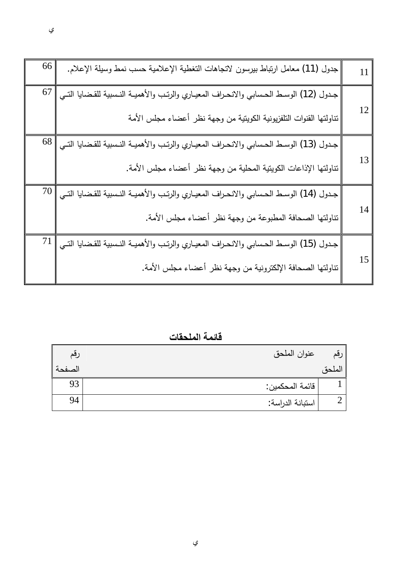ϱ

| 66              | جدول (11) معامل ارتباط بيرسون لاتجاهات التغطية الإعلامية حسب نمط وسيلة الإعلام.        | 11 |
|-----------------|----------------------------------------------------------------------------------------|----|
| 67              | جدول (12) الوسط الحسابي والانحراف المعيـاري والرتـب والأهميــة النـسبية للقـضايا التـي |    |
|                 | تناولتها القنوات التلفزيونية الكويتية من وجهة نظر أعضاء مجلس الأمة                     | 12 |
| 68              | جدول (13) الوسط الحسابي والانحراف المعيـاري والرتب والأهميـة النـسبية للقضايا التـي    |    |
|                 | نتاولتها الإذاعات الكويتية المحلية من وجهة نظر أعضاء مجلس الأمة.                       | 13 |
| 70              | جدول (14) الوسط الحسابي والانحراف المعيـاري والرنـب والأهميــة النـسبية للقضايا النــي |    |
|                 | نتاولتها الصحافة المطبوعة من وجهة نظر أعضاء مجلس الأمة.                                | 14 |
| 71 <sub>1</sub> | جدول (15) الوسط الحسابي والانحراف المعيـاري والرتب والأهميــة النـسبية للقضايا التــي  |    |
|                 | نتاولتها الصحافة الإلكترونية من وجهة نظر أعضاء مجلس الأمة.                             | 15 |

قائمة الملحقا*ت* 

| رفم    | عنوان الملحق     |       |
|--------|------------------|-------|
| الصفحة |                  | لملحق |
| ററ     | قائمة المحكمين:  |       |
| 94     | استبانة الدراسة: |       |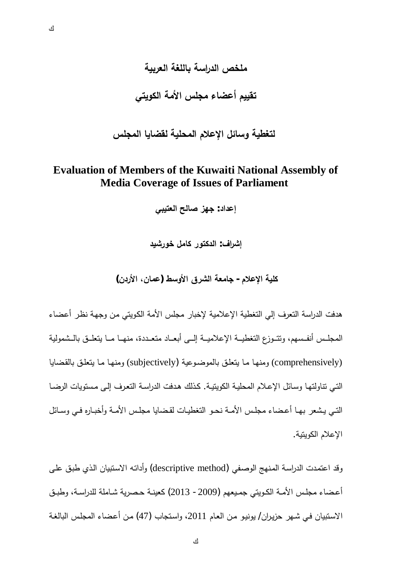## ملخص الدراسة باللغة العربية

تقييم أعضاء مجلس الأمة الكويت*ى* 

لتغطية وسائل الإعلام المحلية لقضايا المجلس

## **Evaluation of Members of the Kuwaiti National Assembly of Media Coverage of Issues of Parliament**

إعداد: جهز صالح العتيب*ي* 

إشراف: الدكتور كامل خورشيد

## **(À®°ƕ¦ÀœƆŵ)¶ŪÂƕ¦¼°Ŭƃ¦ŗŶƆœŞ -¿ƚŵƗ¦ŗƒƄƂ**

هدفت الدراسة التعرف إلى التغطية الإعلامية لإخبار مجلس الأمة الكويتي من وجهة نظر أعضاء المجلس أنفسهم، وتتـوزع التغطيــة الإعلاميــة إلــي أبعــاد متعــددة، منهــا مــا بتعلــق بالــشمولية comprehensively) ومنها ما يتعلق بالموضوعية (subjectively) ومنها ما يتعلق بالقضايا التي نتاولتها وسائل الإعلام المحلية الكويتية. كذلك هدفت الدراسة التعرف إلى مستويات الرضا التي يشعر بهـا أعضاء مجلس الأمـة نحـو التغطيـات لقضايا مجلس الأمـة وأخبـاره فـي وسـائل الإعلام الكوبتية.

وقد اعتمدت الدراسة المنهج الوصفي (descriptive method) وأداته الاستبيان الذي طبق على أعضاء مجلس الأمـة الكويتي جميعهم (2009- 2013) كعينـة حصرية شـاملة للدراسـة، وطبـق الاستبيان في شهر حزيران/ يونيو من العام 2011، واستجاب (47) من أعضاء المجلس البالغة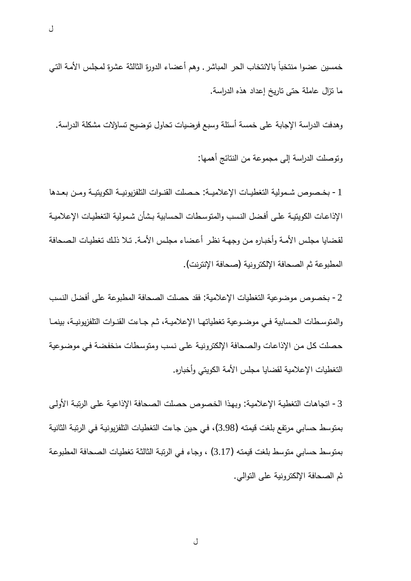خمسين عضوا منتخباً بالانتخاب الحر المباشر . وهم أعضاء الدورة الثالثة عشرة لمجلس الأمـة التـي ما نزال عاملة حتى ناريخ إعداد هذه الدراسة.

وهدفت الدراسة الإجابة على خمسة أسئلة وسبع فرضيات تحاول نوضيح تساؤلات مشكلة الدراسة. وتوصلت الدراسة إلى مجموعة من النتائج أهمها:

أ - بخصوص شـمولية التغطيـات الإعلاميـة: حـصلت القنـوات النلفزيونيـة الكويتيـة ومـن بعـدها الإذاعات الكويتية على أفضل النسب والمتوسطات الحسابية بشأن شمولية التغطيات الإعلامية لقضايا مجلس الأمـة وأخباره من وجهـة نظر ٍ أعضاء مجلس الأمـة. تـلا ذلك تغطيـات الـصحافة المطبوعة ثم الصحافة الإلكترونية (صحافة الإنترنت).

2 - بخصوص موضوعية التغطيات الإعلامية: فقد حصلت الصحافة المطبوعة على أفضل النسب والمتوسطات الحسابية في موضـوعية تغطياتهـا الإعلاميــة، ثـم جـاءت القفـوات التلفزيونيــة، بينمــا حصلت كل من الإذاعات والصحافة الإلكترونية على نسب ومتوسطات منخفضة في موضوعية التغطيات الإعلامية لقضايا مجلس الأمة الكويتي وأخباره.

3 − اتجاهات التغطية الإعلامية: وبهذا الخصوص حصلت الصحافة الإذاعية على الرنبة الأولى بمتوسط حسابي مرتفع بلغت قيمته (3.98)، في حين جاءت التغطيات التلفزيونية في الرتبة الثانية بمتوسط حسابي متوسط بلغت قيمته (3.17) ، وجاء في الرتبة الثالثة تغطيات الصحافة المطبوعة ثم الصحافة الإلكترونية على التوالي.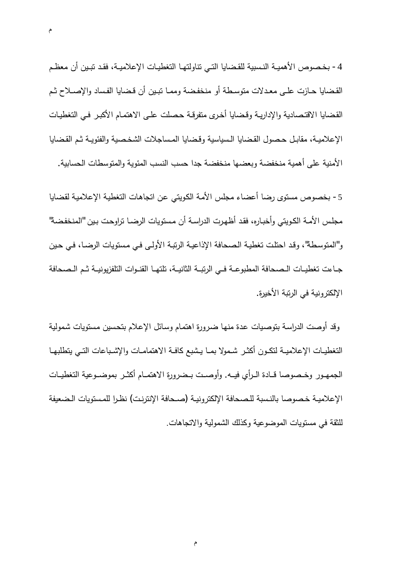4 – بخصوص الأهميـة النـسبية للقـضايا التـى نتاولتهـا التغطيـات الإعلاميـة، فقد تبـين أن معظـم القضايا حازت علـي معدلات متوسطة أو منخفضة وممـا تبـين أن قضايا الفساد والإصــلاح ثـم القضايا الاقتصادية والإداريـة وقضايا أخرى متفرقـة حصلت علـي الاهتمـام الأكبـر فـي التغطيـات الإعلاميـة، مقابـل حـصول القـضايا الـسياسية وقـضايا المـساجلات الشخـصية والفئويـة ثـم القـضايا الأمنية على أهمية منخفضة وبعضها منخفضة جدا حسب النسب المئوية والمتوسطات الحسابية.

5- بخصوص مستوى رضا أعضاء مجلس الأمة الكويتي عن اتجاهات التغطية الإعلامية لقضايا مجلس الأمة الكويتي وأخباره، فقد أظهرت الدراسة أن مستويات الرضـا تراوحت بـين "المنخفضـة" و "المتوسطة"، وقد احتلت تغطية الصحافة الإذاعية الرنبة الأولى في مستويات الرضـا، في حين جـاءت تغطيـات الـصحافة المطبوعــة فـي الرتبــة الثانيــة، تلتهـا القنــوات التلفزيونيــة ثـم الــصحافة الإلكترونية في الرتبة الأخيرة.

وقد أوصت الدراسة بتوصيات عدة منها ضرورة اهتمام وسائل الإعلام بتحسين مستويات شمولية التغطيـات الإعلاميــة لتكـون أكثـر شـمولا بمــا يـشبع كافــة الاهتمامــات والإشـبـاعات التــي بتطلبهـا الجمهـور وخـصوصا قـادة الـرأي فيــه. وأوصـت بـضرورة الاهتمـام أكثـر بموضـوعية التغطيـات الإعلامية خصوصا بالنسبة للصحافة الإلكترونية (صحافة الإنترنت) نظرا للمستويات الضعيفة للثقة في مستويات الموضوعية وكذلك الشمولية والاتجاهات.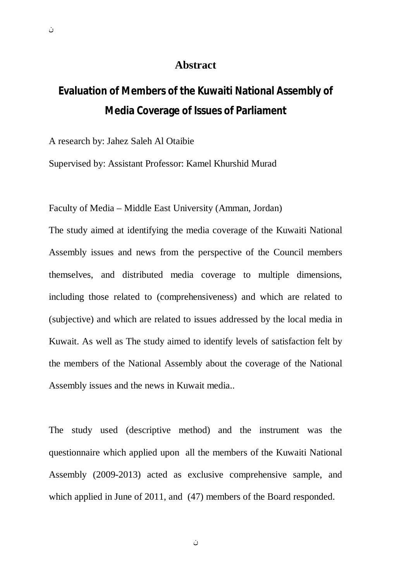#### **Abstract**

**Evaluation of Members of the Kuwaiti National Assembly of Media Coverage of Issues of Parliament**

A research by: Jahez Saleh Al Otaibie

Supervised by: Assistant Professor: Kamel Khurshid Murad

Faculty of Media – Middle East University (Amman, Jordan)

The study aimed at identifying the media coverage of the Kuwaiti National Assembly issues and news from the perspective of the Council members themselves, and distributed media coverage to multiple dimensions, including those related to (comprehensiveness) and which are related to (subjective) and which are related to issues addressed by the local media in Kuwait. As well as The study aimed to identify levels of satisfaction felt by the members of the National Assembly about the coverage of the National Assembly issues and the news in Kuwait media..

The study used (descriptive method) and the instrument was the questionnaire which applied upon all the members of the Kuwaiti National Assembly (2009-2013) acted as exclusive comprehensive sample, and which applied in June of 2011, and (47) members of the Board responded.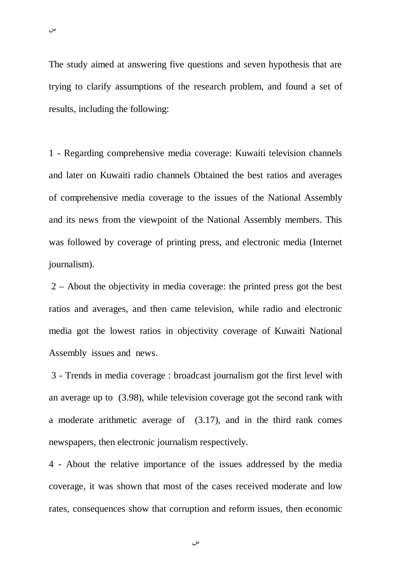The study aimed at answering five questions and seven hypothesis that are trying to clarify assumptions of the research problem, and found a set of results, including the following:

1 - Regarding comprehensive media coverage: Kuwaiti television channels and later on Kuwaiti radio channels Obtained the best ratios and averages of comprehensive media coverage to the issues of the National Assembly and its news from the viewpoint of the National Assembly members. This was followed by coverage of printing press, and electronic media (Internet journalism).

 2 – About the objectivity in media coverage: the printed press got the best ratios and averages, and then came television, while radio and electronic media got the lowest ratios in objectivity coverage of Kuwaiti National Assembly issues and news.

 3 - Trends in media coverage : broadcast journalism got the first level with an average up to (3.98), while television coverage got the second rank with a moderate arithmetic average of (3.17), and in the third rank comes newspapers, then electronic journalism respectively.

4 - About the relative importance of the issues addressed by the media coverage, it was shown that most of the cases received moderate and low rates, consequences show that corruption and reform issues, then economic

α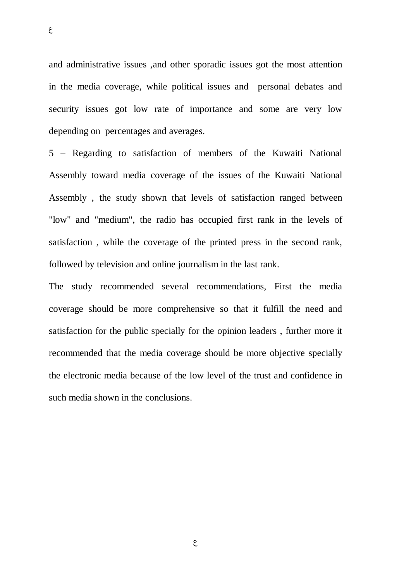and administrative issues ,and other sporadic issues got the most attention in the media coverage, while political issues and personal debates and security issues got low rate of importance and some are very low depending on percentages and averages.

5 – Regarding to satisfaction of members of the Kuwaiti National Assembly toward media coverage of the issues of the Kuwaiti National Assembly , the study shown that levels of satisfaction ranged between "low" and "medium", the radio has occupied first rank in the levels of satisfaction , while the coverage of the printed press in the second rank, followed by television and online journalism in the last rank.

The study recommended several recommendations, First the media coverage should be more comprehensive so that it fulfill the need and satisfaction for the public specially for the opinion leaders , further more it recommended that the media coverage should be more objective specially the electronic media because of the low level of the trust and confidence in such media shown in the conclusions.

ω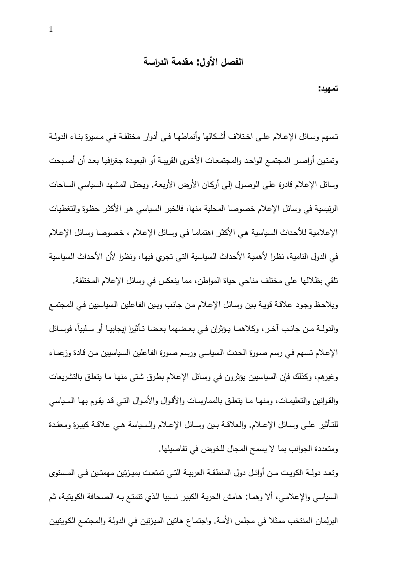#### **الفصل الأول: مقدمة الدراسة**

**تمهيد :** 

تسهم وسائل الإعلام علىي اختلاف أشكالها وأنماطها فيي أدوار مختلفة في مسيرة بنـاء الدولـة ونمتين أوإصر المجتمع الواحد والمجتمعات الأخرى القريبة أو البعيدة جغرافيا بعد أن أصبحت وسائل الإعلام قادرة على الوصول إلى أركان الأرض الأربعة. ويحتل المشهد السياسي الساحات الرئيسية في وسائل الإعلام خصوصا المحلية منها، فالخبر السياسي هو الأكثر حظوة والتغطيات الإعلامية للأحداث السياسية هي الأكثر اهتماما في وسائل الإعلام ، خصوصا وسائل الإعلام في الدول النامية، نظرا لأهمية الأحداث السياسية التي تجري فيها، ونظرا لأن الأحداث السياسية تلقى بظلالها على مختلف مناحي حياة المواطن، مما ينعكس في وسائل الإعلام المختلفة. ويلاحظ وجود علاقة قوية بين وسائل الإعلام من جانب وبين الفاعلين السياسيين في المجتمع والدولــة مـن جانـب آخـر ، وكلاهمـا يـؤثران فـي بعـضهما بـعضا تـأثيرا إيجابيـا أو سـلبياً، فوسـائل الإعلام تسهم في رسم صورة الحدث السياسي ورسم صورة الفاعلين السياسيين من قادة وزع*م*اء وغيرهم، وكذلك فإن السياسيين يؤثرون في وسائل الإعلام بطرق شتى منها ما يتعلق بالتشريعات والقوانين والتعليمـات، ومنـهـا مـا يتعلـق بـالممارسـات والأقـوال والأمـوال التـبي قـد يقـوم بـهـا الـسياسـي للتأثير علىي وسائل الإعـلام. والعلاقـة بـين وسـائل الإعـلام والـسياسة هـي علاقـة كبيـرة ومعقدة ومتعددة الجوانب بما لا يسمح المجال للخوض في تفاصيلها.

وتعد دولـة الكويت مـن أوائـل دول المنطقـة العربيـة التـي تمتعـت بميـزنين مـهمتـين فـي المـستوي السياسي والإعلامي، ألا وهما: هامش الحرية الكبير نسبيا الذي نتمتع بـه الصحافة الكويتية، ثم البرلمان المنتخب ممثلا في مجلس الأمة. واجتماع هاتين الميزنين في الدولة والمجتمع الكويتيين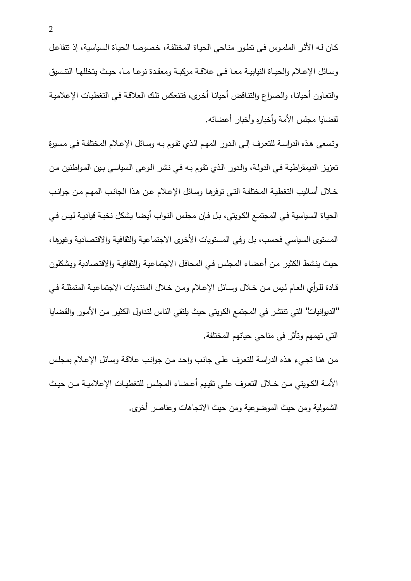كان لـه الأثر الملموس في تطور مناحي الحياة المختلفة، خصوصا الحياة السياسية، إذ تتفاعل وسائل الإعلام والحيـاة النيابيـة معـا فـي علاقـة مركبـة ومعقدة نوعـا مـا، حيـث يتخللهـا النتـسيق والتعاون أحيانـا، والصراع والتنـاقض أحيانـا أخرى، فتنعكس تلك الـعلاقـة فـي التغطيـات الإعلاميـة لقضايا مجلس الأمة وأخباره وأخبار أعضائه.

وتسعى هذه الدراسة للتعرف إلىي الدور المهم الذي نقوم بـه وسائل الإعلام المختلفة فـي مسيرة تعزيز الديمقراطية في الدولة، والدور الذي تقوم بـه فـي نشر الـوعي السياسي بـين المـواطنين مـن خـلال أسـاليب التغطيـة المختلفـة التـي توفرهـا وسـائل الإعـلام عن هذا الجانـب المـهم مـن جوانـب الحياة السياسية في المجتمع الكويتي، بل فإن مجلس النواب أيضا يشكل نخبة قيادية ليس في المستوى السياسي فحسب، بل وفي المستويات الأخرى الاجتماعية والثقافية والاقتصادية وغيرها، حيث ينشط الكثير من أعضاء المجلس في المحافل الاجتماعية والثقافية والاقتصادية ويشكلون قادة للرأي العام ليس من خلال وسائل الإعلام ومن خلال المنتديات الاجتماعية المتمثلة في "الديوانيات" التي تتنشر في المجتمع الكويتي حيث يلتقي الناس لتداول الكثير من الأمور والقضايا التي تهمهم وتأثر في مناحي حياتهم المختلفة.

من هنا تجيء هذه الدراسة للتعرف على جانب واحد من جوانب علاقة وسائل الإعلام بمجلس الأمـة الكـويتي مـن خـلال التعـرف علـي تقييم أعـضاء المجلس للتغطيـات الإعلاميـة مـن حيث الشمولية ومن حيث الموضوعية ومن حيث الاتجاهات وعناصر أخرى.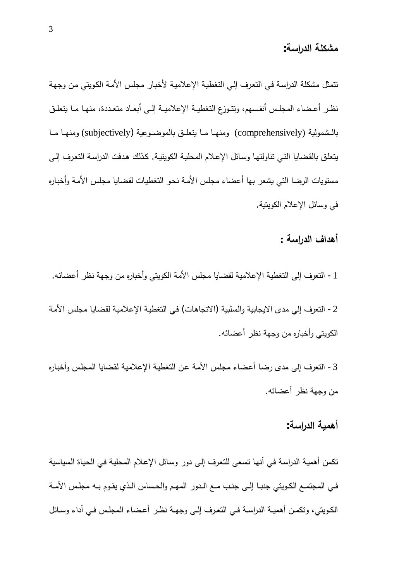تتمثّل مشكلة الدراسة في التعرف إلي التغطية الإعلامية لأخبار مجلس الأمة الكويتي من وجهة نظر أعضاء المجلس أنفسهم، وتتوزع التغطيـة الإعلاميـة إلـي أبعـاد متعـددة، منهـا مـا يتعلـق بالـشمولية (comprehensively) ومنهـا مـا يتعلـق بالموضـوعية (subjectively) ومنهـا مـا يتعلق بالقضايا التي نتاولتها وسائل الإعلام المحلية الكويتية. كذلك هدفت الدراسة التعرف إلى مستويات الرضا التي يشعر بها أعضاء مجلس الأمة نحو التغطيات لقضايا مجلس الأمة وأخباره في وسائل الإعلام الكويتية.

أهداف الد<sub>ا</sub>اسة :

1 - التعرف إلى التغطية الإعلامية لقضايا مجلس الأمة الكويتي وأخباره من وجهة نظر أعضائه. 2− النعرف إلى مدى الايجابية والسلبية (الاتجاهات) في التغطية الإعلامية لقضايا مجلس الأمة الكوبتي وأخباره من وجهة نظر أعضائه.

3− التعرف إلى مدى رضا أعضاء مجلس الأمة عن التغطية الإعلامية لقضايا المجلس وأخباره من وجهة نظر أعضائه.

#### أهمبة الدراسة:

تكمن أهمية الدراسة في أنها تسعى للتعرف إلى دور وسائل الإعلام المحلية في الحياة السياسية في المجتمع الكويتي جنبا إلـي جنب مـع الـدور المهم والحساس الـذي يقـوم بـه مجلس الأمـة الكويتي، وتكمن أهمية الدراسة فـي التعرف إلـي وجهـة نظـر أعضاء المجلـس فـي أداء وسـائل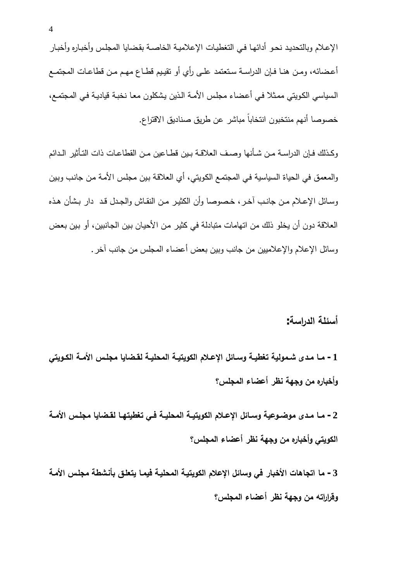الإعلام وبالتحديد نحو أدائها في التغطيات الإعلامية الخاصـة بقضايا المجلس وأخباره وأخبار أعضائه، ومن هنـا فـإن الدراسـة سنعتمد علـي رأى أو نقيـيم قطـاع مـهـم مـن قطاعـات المجتمـع السياسي الكويتي ممثلا في أعضاء مجلس الأمـة الذين يشكلون معا نخبـة قياديـة فـي المجتمـع، خصوصا أنهم منتخبون انتخاباً مباشر عن طريق صناديق الاقتراع.

وكذلك فـإن الدراسـة مـن شـأنـها وصـف الـعلاقـة بـين قطـاعين مـن القطاعـات ذات التـأثير الـدائم والمعمق في الحياة السياسية في المجتمع الكويتي، أي العلاقة بين مجلس الأمـة من جانب وبين وسائل الإعلام من جانب آخر ، خصوصا وأن الكثير من النقاش والجدل قد دار بشأن هذه العلاقة دون أن يخلو ذلك من اتهامات متبادلة في كثير من الأحيان بين الجانبين، أو بين بعض وسائل الإعلام والإعلاميين من جانب وبين بعض أعضاء المجلس من جانب آخر .

أسئلة الدراسة:

**ƑřƒÂººƂƃ¦ŗºƆƕ¦²ºƄŞƆœƒœŰººƀƃŗºƒƄšƆƃ¦ŗºƒřƒÂƂƃ¦¿ƚººŵƗ¦¾őœºŪÂŗºƒ¶źřŗƒƃÂƆººŬîºƆœºƆ -1** وأخياره من وجهة نظر أعضاء المجلس؟

**ŗººƆƕ¦²ººƄŞƆœƒœŰººƀƃœººƌřƒ¶źřƑººżŗººƒƄšƆƃ¦ŗººƒřƒÂƂƃ¦¿ƚººŵƗ¦¾őœººŪÂŗƒŵººŰÂƆƆœºƆ -2** الكويتي وأخباره من وجهة نظر أعضاء المجلس؟

**ŗºƆƕ¦²ºƄŞƆŗ¶Ŭºƈŋŕ¼ºƄŶřƒœºƆƒż ŗºƒƄšƆƃ¦ŗºƒřƒÂƂƃ¦¿ƚŵƗ¦¾őœŪÂƑż°œŕŤƕ¦©œƋœŞř¦œƆ -3** وقراراته من وجهة نظر أعضاء المجلس؟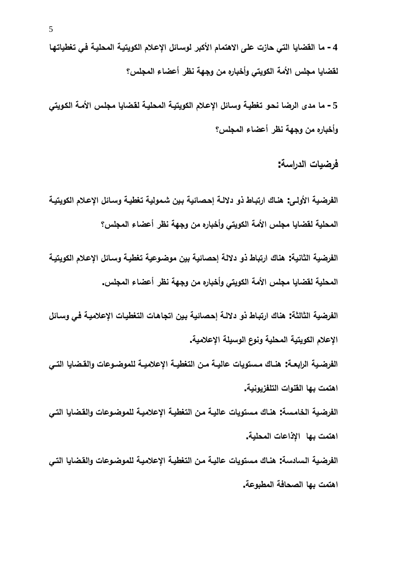4 – ما القضايا الت*ي* حازت على الاهتمام الأكبر لوسائل الإعلام الكويتية المحلية ف*ي* تغطياتها لقضايا مجلس الأمة الكويتي وأخباره من وجهة نظر أعضاء المجلس؟

5 – ما مدى الرضا نحو تغطيـة وسـائل الإعـلام الكويتيـة المحليـة لقضايـا مـجلس الأمـة الكويت*ي* **وأخباره من وجهة نظر أعضاء المجلس؟** 

فرضيات الدراسة:

الفرضية الأول*ـي*: هنـاك ارتبـاط ذو دلالـة إحصائيـة بـين شـموليـة تـغطيـة وسـائل الإعـلام الكويتيـة المحلية لقضايا مجلس الأمة الكويتي وأخباره من وجهة نظر أعضاء المجلس؟

الفرضية الثانية: هناك ارتباط ذو دلالة إحصائية بين موضوعية تغطيـة وسـائل الإعلام الكويتيـة المحلية لقضايا مجلس الأمة الكويتي وأخباره من وجهة نظر أعضاء المجلس.

الفرضية الثالثة: هناك ارتباط ذو دلالـة إحصائيـة بين اتجاهات التغطيـات الإعلاميـة ف*ـي* وسـائل الإعلام الكويتية المحلية ونوع الوسيلة الإعلامية.

الفرضية الرابعـة: هنـاك مـستويات عاليـة مـن التغطيـة الإعلاميـة للموضـوعات والقـضايـ الت*ـي* اهتمت بـها الفنوات التلفزيونيـة.

الفرضية الخامسة: هناك مستويات عاليـة من التغطيـة الإعلاميـة للموضوعات والقضايا الت*ـى*  **.ŗƒƄšƆƃ¦©œŵ¦¯Ɨ¦ œƌŕ©ƆřƋ¦**

الفرضية السادسة: هناك مستويات عاليـة من التغطيـة الإعلاميـة للموضـوعات والقضايا الت*ـى* اهتمت بها الصحافة المطبوعة.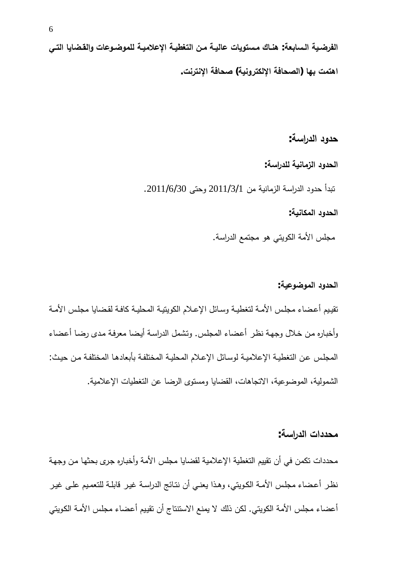الفرضية السابعة: هنـاك مستويات عاليـة مـن التغطيـة الإعلاميـة للموضـوعات والقضايا الت*ـى* اهتمت بـها (الصحافة الإلكترونيـة) صحافة الإنترنت.

حدود الدراسة:

الحدود الزمانية للدراسة:

تبدأ حدود الدراسة الزمانية من 2011/3/1 وحتى 2011/6/30.

الحدود المكانية:

مجلس الأمة الكوبتي هو مجتمع الدراسة.

الحدود الموضوعية:

تقييم أعضاء مجلس الأمـة لتغطيـة وسـائل الإعـلام الكويتيـة المحليـة كافـة لقضـايا مجلس الأمـة وأخباره من خلال وجهة نظر أعضاء المجلس. وتشمل الدراسة أيضا معرفة مدى رضا أعضاء المجلس عن التغطيـة الإعلاميـة لوسـائل الإعـلام المحليـة المختلفـة بأبعادهـا المختلفـة مـن حيـث: الشمولية، الموضوعية، الاتجاهات، القضايا ومستوى الرضا عن التغطيات الإعلامية.

#### محددات الدراسة:

محددات تكمن في أن تقييم التغطية الإعلامية لقضايا مجلس الأمة وأخباره جرى بحثها من وجهة نظر أعضاء مجلس الأمة الكويتي، وهذا يعني أن نتائج الدراسة غير قابلة للتعميم على غير أعضاء مجلس الأمة الكويتي. لكن ذلك لا يمنع الاستتتاج أن تقييم أعضاء مجلس الأمة الكويتي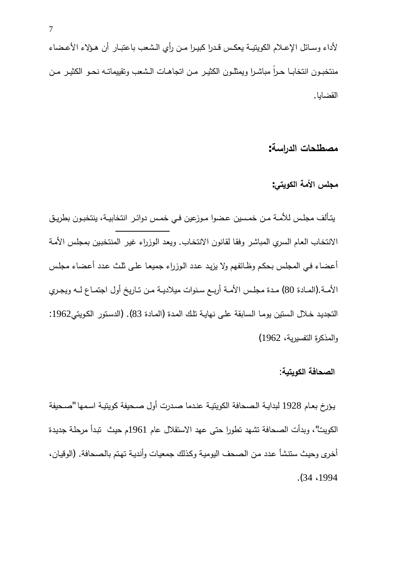لأداء وسـائل الإعــلام الكوينيــة يعكـس قـدرا كبيـرا مـن رأي الـشعب باعتبـار أن هـؤلاء الأعـضاء منتخبـون انتخابـا حـراً مباشـرا ويمثلـون الكثيـر مـن اتجاهـات الـشعب وتقييماتـه نحـو الكثيـر مـن القضايا.

مصطلحات الدراسة:

مجلس الأمة الكويت*ي*:

يتألف مجلس للأمـة مـن خمـسين عـضوا مـوزعين فـي خمـس دوائـر\_ انتخابيــة، ينتخبـون بطريـق الانتخاب العام السري المباشر وفقا لقانون الانتخاب. ويعد الوزراء غير المنتخبين بمجلس الأمـة أعضاء في المجلس بحكم وظائفهم ولا يزيد عدد الوزراء جميعا على ثلث عدد أعضاء مجلس الأمـة.(المـادة 80) مـدة مجلس الأمـة أربـع سنوات ميلاديـة مـن تـاريخ أول اجتمـاع لــه ويجـري التجديد خلال السنين يوما السابقة على نهايـة تلك المدة (المـادة 83). (الدستور الكويتي1962:  $(1962, 62)$ والمذكرة التفسيرية،

#### الصحافة الكويتية:

يؤرخ بعام 1928 لبدايـة الـصحافة الكويتيـة عندما صـدرت أول صـحيفة كويتيـة اسمها "صـحيفة الكويت"، وبدأت الصحافة تشهد تطورا حتى عهد الاستقلال عام 1961م حيث تبدأ مرحلة جديدة أخرى وحيث سنتشأ عدد من الصحف اليومية وكذلك جمعيات وأندية تهتم بالصحافة. (الوقيان، .(34.1994)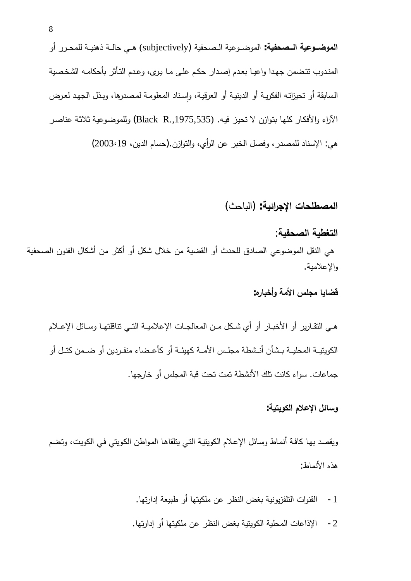ا**لموضــوعية الــصحفية**: الموضــوعية الـصـحفية (subjectively) هــي حالــة ذهنيــة للمحـرر أو المندوب تتضمن جهدا واعيا بعدم إصدار حكم على ما يري، وعدم التأثر بأحكامه الشخصية السابقة أو تحيزاته الفكريـة أو الدينيـة أو العرقيـة، واسناد المعلومـة لمصدرها، وبـذل الـجهد لـعرض ǔ ±»ŰŕƊŷř»ŝƜŝřƔŷûŲÃƈƆƅÃ (Black R.,1975,535) .ƌ»Ɣž²»ƔţśƛÁ²§Ã»śŗŕ»ƎƆƄ±ŕ»ƄžƗ§Ã¡§±ƕ§ هي: الإسناد للمصدر ، وفصل الخبر عن الرأي، والنوازن.(حسام الدين، 19،3003)

**المصطلحات الإجرائية: (**الباحث)

التغطية الصحفية: هي النقل الموضوعي الصادق للحدث أو القضية من خلال شكل أو أكثر من أشكال الفنون الصحفية والإعلامية.

قضايا مجلس الأمة وأخباره:

هي التقـارير أو الأخبـار أو أي شـكل مـن المعالجـات الإعلاميــة التــى نتاقلتهـا وسـائل الإعــلام الكوبتيــة المحليــة بــشأن أنــشطـة مجلـس الأمــة كـهيئــة أو كأعــضـاء منفـردين أو ضــمن كتـل أو جماعات. سواء كانت تلك الأنشطة تمت تحت قبة المجلس أو خارجها.

وسائل الاعلام الكويتية:

ويقصد بها كافة أنماط وسائل الإعلام الكويتية التي يتلقاها المواطن الكويتي في الكويت، وتضم هذه الأنماط:

1 - القنوات النلفزيونية بغض النظر عن ملكيتها أو طبيعة إدارتها.

2− الإذاعات المحلية الكويتية بغض النظر\_عن ملكيتها أو إدارتها.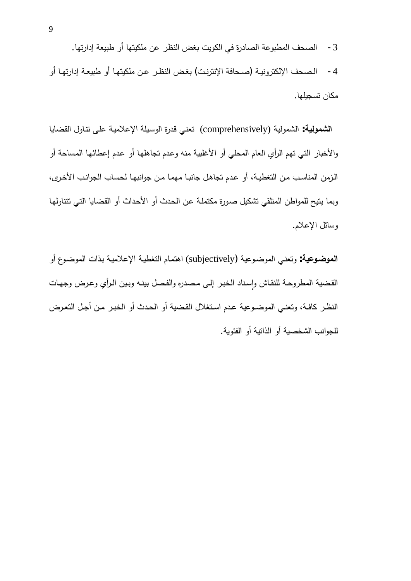3− الصحف المطبوعة الصادرة في الكويت بغض النظر عن ملكيتها أو طبيعة إدارتها. 4− الصحف الإلكترونيـة (صـحافة الإنترنـت) بغض النظـر عن ملكيتهـا أو طبيعـة إدارتهـا أو مكان تسجيلها.

ا**لشمولية**: الشمولية (comprehensively) تعني قدرة الوسيلة الإعلامية على تناول القضايا والأخبار التي تهم الرأي العام المحلي أو الأغلبية منه وعدم نجاهلها أو عدم إعطائها المساحة أو الزمن المناسب من التغطية، أو عدم تجاهل جانبا مهما من جوانبها لحساب الجوانب الأخرى، وبما ينيح للمواطن المتلقى تشكيل صورة مكتملة عن الحدث أو الأحداث أو القضايا التي تتتاولها وسائل الإعلام.

ا**لموضوعية**: وتعني الموضوعية (subjectively) اهتمام التغطية الإعلامية بذات الموضوع أو القضية المطروحة للنقاش وإسناد الخبر إلى مصدره والفصل بينـه وبـين الـرأي وعرض وجهـات النظر كافة، وتعني الموضوعية عدم استغلال القضية أو الحدث أو الخبر من أجل التعرض للجوانب الشخصية أو الذانية أو الفئوية.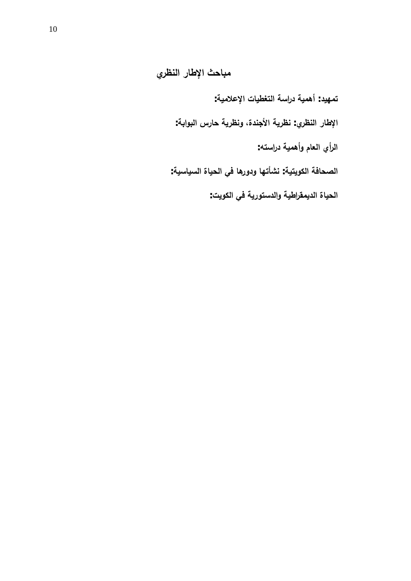# مباحث الإطار النظر*ي*

 **:ŗƒƆƚŵƗ¦©œƒ¶źřƃ¦ ŗŪ¦°®ŗƒƆƋ¢ :®ƒƌƆř**

الإطار النظري: نظرية الأجندة، ونظرية حارس البوابة:

الرأي العام وأهمية دراسته:

الصحافة الكويتية: نشأتها ودورها في الحياة ال*سي*اسية:

الحياة الديمقراطية والدستورية ف*ي* الكويت: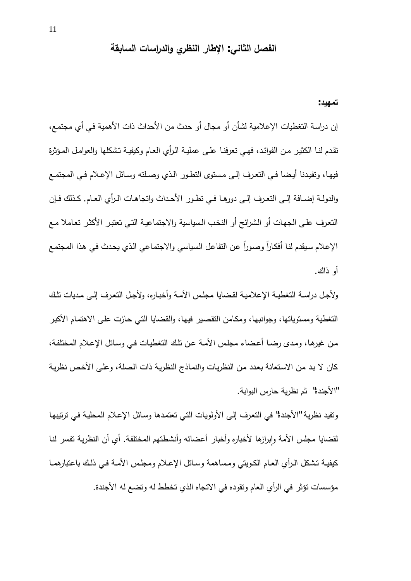## الفصل الثاني: الإطار النظري والدراسات السابقة

#### **تمهيد :**

إن دراسة التغطيات الإعلامية لشأن أو مجال أو حدث من الأحداث ذات الأهمية في أي مجت*م*ع، تقدم لنـا الكثير مـن الفوائـد، فهـي تعرفنـا علـي عمليـة الرأي الـعـام وكيفيـة تشكلها والـعوامـل المـؤثرة فيها، وتفيدنا أيضا في التعرف إلى مستوى التطور الذي وصلته وسائل الإعلام في المجتمع والدولـة إضـافة إلـي التعـرف إلـي دورهـا فـي تطـور الأحـداث واتجاهـات الـرأي العـام. كـذلك فـإن التعرف على الجهات أو الشرائح أو النخب السياسية والاجتماعية التي تعتبر الأكثر تعاملا مـع الإعلام سيقدم لذا أفكاراً وصوراً عن النفاعل السياسي والاجتماعي الذي يحدث في هذا المجت*م*ع أو ذاك.

ولأجل دراسة التغطية الإعلامية لقضايا مجلس الأمـة وأخبـاره، ولأجل التعرف إلـي مديات تلك التغطية ومستوياتها، وجوانبها، ومكامن التقصير فيها، والقضايا التي حازت على الاهتمام الأكبر من غيرها، ومدى رضـا أعضاء مجلس الأمـة عن تلك التغطيات فـي وسائل الإعـلام المختلفـة، كان لا بد من الاستعانة بعدد من النظريات والنماذج النظرية ذات الصلة، وعلى الأخص نظرية "الأجندة" ثم نظرية حارس البوابة.

ونفيد نظرية "الأجندة" في النعرف إلى الأولويات التي تعتمدها وسائل الإعلام المحلية في ترتيبها لقضايا مجلس الأمة وإبرازها لأخباره وأخبار أعضائه وأنشطتهم المختلفة. أي أن النظرية تفسر لنـا |<br>= كيفيـة تـشكل الـرأي الـعـام الكـويتي ومـساهمة وسـائل الإعـلام ومجلـس الأمــة فـي ذلـك باعتبارهمـا مؤسسات نؤثر في الرأي العام ونقوده في الاتجاه الذي تخطط له ونضع له الأجندة.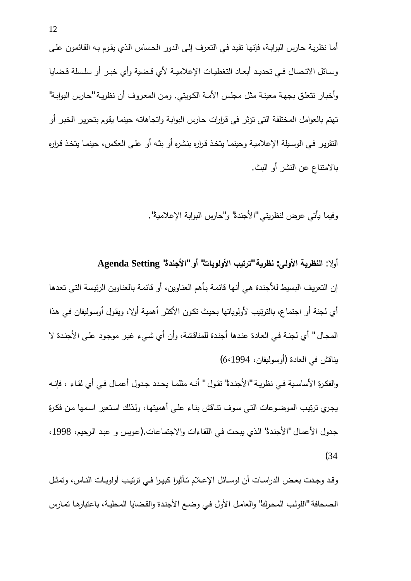أما نظريـة حارس البوابـة، فإنـها تفيد فـي التعرف إلـي الدور الـحساس الذي يقوم بـه القائمون علـي وسائل الاتصال في تحديد أبعـاد التغطيـات الإعلاميــة لأي قضية وأي خبـر أو سلـسلة قـضايا وأخبار نتعلق بجهة معينة مثل مجلس الأمـة الكويتي. ومن المعروف أن نظريـة "حارس البوابـة" تهتم بالعوامل المختلفة التي تؤثر في قرارات حارس البوابة واتجاهاته حينما يقوم بتحرير الخبر أو النقرير في الوسيلة الإعلامية وحينما يتخذ قراره بنشره أو بثـه أو علـي العكس، حينمـا يتخذ قراره بالامتناع عن النشر أو البث.

وفيما يأتي عرض لنظريتي "الأجندة" و"حارس البوابة الإعلامية".

**Agenda Setting "¨®ƈŞƕ¦"¢ "©œƒÂƃÂƕ¦§ƒř°ř"ŗƒ°·ƈ :ƏƃÂƕ¦ŗƒ°·ƈƃ¦** :ƛã إن التعريف البسيط للأجندة هي أنها قائمة بأهم العناوين، أو قائمة بالعناوين الرئيسة التي تعدها أي لجنة أو اجتماع، بالترتيب لأولوياتها بحيث تكون الأكثر أهمية أولا، ويقول أوسوليفان في هذا المجال " أي لجنة في العادة عندها أجندة للمناقشة، وأن أي شيء غير موجود على الأجندة لا بناقش في العادة (أوسوليفان، 19946)

والفكرة الأساسية في نظريـة "الأجندة" تقول " أنـه مثلمـا يحدد جدول أعمـال فـي أي لقـاء ، فإنـه يجري ترتيب الموضوعات التي سوف تناقش بنـاء علـي أهميتهـا، ولذلك استعير اسمـها مـن فكرة جدول الأعمال "الأجندة" الذي يبحث في اللقاءات والاجتماعات.(عويس و عبد الرحيم، 1998، (34

وقد وجدت بعض الدراسات أن لوسائل الإعلام تـأثيرا كبيرا فـي ترتيب أولويـات النــاس، وتمثـل الصحافة "اللولب المحرك" والعامل الأول في وضع الأجندة والقضايا المحلية، باعتبارها ت*م*ارس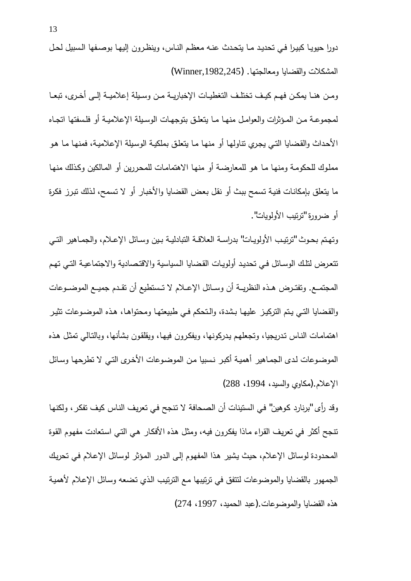دورا حيويـا كبيرا فـي تحديد مـا يتحدث عنـه معظـم النـاس، وينظـرون إليهـا بوصـفها الـسبيل لحـل المشكلات والقضايا ومعالجتها. (Winner,1982,245)

ومن هنـا يمكـن فهـم كيـف تختلـف التغطيـات الإخباريــة مـن وسـيلة إعلاميــة إلــي أخـري، تبعـا لمجموعـة مـن المـؤثرات والعوامـل منهـا مـا يتعلـق بتوجهـات الوسـيلة الإعلاميــة أو فلـسفتها اتجـاه الأحداث والقضايا التي يجري نتاولها أو منها ما يتعلق بملكية الوسيلة الإعلامية، فمنها ما هو معلوك للحكومة ومنها ما هو للمعارضة أو منها الاهتمامات للمحررين أو المالكين وكذلك منها ما يتعلق بإمكانات فنية تسمح ببث أو نقل بعض القضايا والأخبار أو لا تسمح، لذلك تبرز فكرة أو ضرورة "ترتيب الأولويات".

وتهتم بحوث "ترتيب الأولويات" بدراسة العلاقـة التبادليـة بـين وسـائل الإعـلام، والجمـاهير التـي نتعرض لنلك الوسائل في تحديد أولويات القضايا السياسية والاقتصادية والاجتماعية التي تهم المجتمــع. وتفتـرض هـذه النظريــة أن وســائل الإعــلام لا تـستطيع أن تقـدم جميــع الموضــوعات والقضايا التبي يتم التركيز عليها بشدة، والـتحكم فـي طبيعتها ومحتواهـا، هـذه الموضـوعات تثير اهتمامات النـاس تدريجيا، وتجعلهم يدركونها، ويفكرون فيها، ويقلقون بشأنها، وبالتـالـي تمثل هذه الموضوعات لدى الجمـاهير أهميـة أكبر نـسبيا مـن الموضـوعات الأخرى التـي لا تطرحـهـا وسـائل الإعلام (مكاوى والسبد، 1994، 288)

وقد رأى "برنارد كوهين" في الستينات أن الصحافة لا تنجح في تعريف الناس كيف تفكر ، ولكنها تنجح أكثر في تعريف القراء ماذا يفكرون فيه، ومثل هذه الأفكار هي التي استعادت مفهوم القوة المحدودة لوسائل الإعلام، حيث يشير هذا المفهوم إلى الدور المؤثر لوسائل الإعلام في تحريك الجمهور بالقضايا والموضوعات لنتفق في ترتيبها مع الترتيب الذي تضعه وسائل الإعلام لأهمية هذه القضايا والموضوعات.(عبد الحميد، 1997، 274)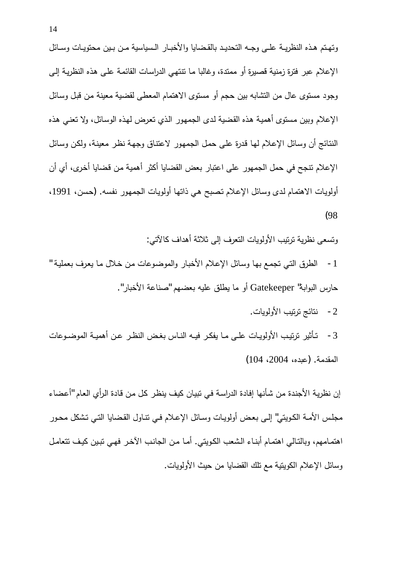وتهتم هذه النظريـة علـى وجـه التحديـد بالقضايا والأخبـار الـسياسية مـن بـين محتويـات وسـائل الإعلام عبر فترة زمنية قصبرة أو ممتدة، وغالبا ما تتتهى الدراسات القائمة على هذه النظرية إلى وجود مستوى عالٍ من التشابه بين حجم أو مستوى الاهتمام المعطي لقضية معينة من قبل وسائل الإعلام وبين مستوى أهمية هذه القضية لدى الجمهور الذي تعرض لهذه الوسائل، ولا تعني هذه النتائج أن وسائل الإعلام لها قدرة على حمل الجمهور لاعتناق وجهة نظر معينة، ولكن وسائل الإعلام نتجح في حمل الجمهور على اعتبار بعض القضايا أكثر أهمية من قضايا أخرى، أي أن أولويات الاهتمام لدى وسائل الإعلام تصبح هي ذاتها أولويات الجمهور نفسه. (حسن، 1991، (98

وتسعي نظرية ترتيب الأولويات النعرف إلى ثلاثة أهداف كالآتي:

- 1 الطرق التي تجمع بها وسائل الإعلام الأخبار والموضوعات من خلال ما يعرف بعملية " حارس البوابة" Gatekeeper أو ما يطلق عليه بعضهم "صناعة الأخبار".
	- 2 نتائج ترتيب الأولويات.
- 3− تأثير ترتيب الأولويات علـي مـا يفكـر فيـه النـاس بغـض النظـر عـن أهميـة الموضـوعات المقدمة. (عده، 2004، 104)

إن نظرية الأجندة من شأنها إفادة الدراسة في تبيان كيف ينظر كل من قادة الرأى العام "أعضاء مجلس الأمـة الكويتي" إلـي بعض أولويـات وسـائل الإعـلام فـي نتـاول القضـايا التـي تشكل محـور اهتمـامهم، وبالتـالي اهتمـام أبنـاء الـشعب الكويتي. أمـا مـن الـجانب الآخـر فهـي تبـين كيف تتعامـل وسائل الإعلام الكويتية مع تلك القضايا من حيث الأولويات.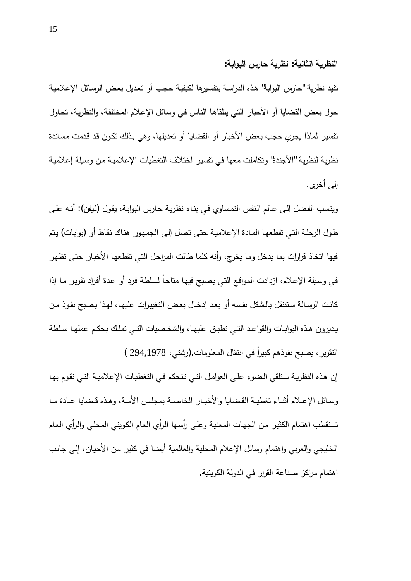النظرية الثانية: نظرية حارس البوابة:

تفيد نظرية "حارس البوابة" هذه الدراسة بتفسيرها لكيفية حجب أو تعديل بعض الرسائل الإعلامية حول بعض القضايا أو الأخبار التي يتلقاها الناس في وسائل الإعلام المختلفة، والنظرية، تحاول تفسير لماذا يجري حجب بعض الأخبار أو القضايا أو تعديلها، وهي بذلك تكون قد قدمت مساندة نظرية لنظرية "الأجندة" وتكاملت معها في تفسير اختلاف التغطيات الإعلامية من وسيلة إعلامية إلى أخرى.

وينسب الفضل إلى عالم النفس النمساوي في بناء نظرية حارس البوابـة، يقول (لبفن): أنـه علـي طول الرحلة التي تقطعها المادة الإعلامية حتى تصل إلى الجمهور هناك نقاط أو (بوابات) يتم فيها اتخاذ قرارات بما يدخل وما يخرج، وأنه كلما طالت المراحل التي تقطعها الأخبار حتى تظهر في وسيلة الإعلام، ازدادت المواقع التي يصبح فيها متاحاً لسلطة فرد أو عدة أفراد تقرير ما إذا كانت الرسالة ستتتقل بالشكل نفسه أو بعد إدخال بعض التغييرات عليها، لهذا يصبح نفوذ من يديرون هذه البوابـات والقواعد التبي تطبـق عليهـا، والشخصيات التـي تملـك بـحكـم عملهـا سـلطـة النقريرِ ، يصبح نفوذهم كبيراً في انتقال المعلومات.(رشتي، 294,1978 )

إن هذه النظرية ستلقى الضوء على العوامل التي تتحكم في التغطيات الإعلامية التي تقوم بها وسائل الإعـلام أثنـاء تغطيـة القضايا والأخبـار الخاصـة بمجلس الأمـة، وهـذه قـضايا عـادة مـا تستقطب اهتمام الكثير من الجهات المعنية وعلى رأسها الرأي العام الكويتي المحلي والرأي العام الخليجي والعربي واهتمام وسائل الإعلام المحلية والعالمية أيضا في كثير من الأحيان، إلى جانب اهتمام مراكز صناعة القرار في الدولة الكويتية.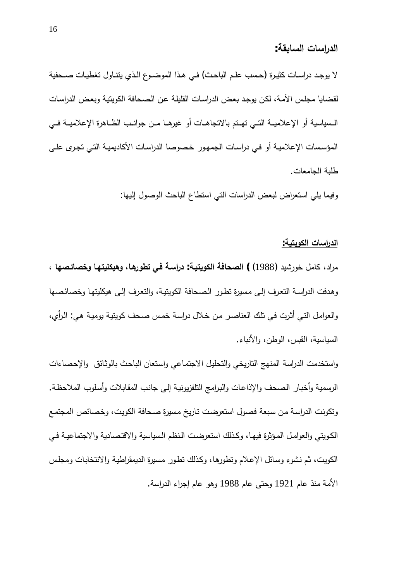لا يوجد دراسـات كثيرة (حسب علـم الباحث) فـي هـذا الموضـوع الـذي يتنـاول تغطيـات صـحفية لقضايا مجلس الأمـة، لكن يوجد بعض الدراسات القليلـة عن الصـحافة الكويتيـة وبعض الدراسـات الـسياسية أو الإعلاميــة التــي تهـتم بالاتجاهــات أو غيرهــا مــن جوانــب الظــاهرة الإعلاميــة فــي المؤسسات الإعلامبـة أو فـي دراسـات الجمهور خصوصـا الدراسـات الأكادبمبـة التـي تجري علـي طلبة الجامعات.

وفيما يلي استعراض لبعض الدراسات التي استطاع الباحث الوصول إليها:

#### الدراسات الكويتية:

<mark>مراد، كامل خورشيد (1988) ) الصحافة الكويتية: دراسة في تطورها، وه**يكليتها وخصائصها ،**</mark> وهدفت الدراسة التعرف إلى مسيرة تطور الصحافة الكويتية، والتعرف إلى هيكليتها وخصائصها والعوامل التي أثرت في تلك العناصر من خلال دراسة خمس صـحف كويتية يومية هي: الرأي، السياسية، القبس، الوطن، والأنباء.

واستخدمت الدراسة المنهج التاريخي والتحليل الاجتماعي واستعان الباحث بالوثائق والإحصاءات الرسمية وأخبار الصحف والإذاعات والبرامج التلفزيونية إلى جانب المقابلات وأسلوب الملاحظة. وتكونت الدراسة من سبعة فصول استعرضت تاريخ مسيرة صحافة الكويت، وخصائص المجتمع الكويتي والعوامل المؤثرة فيها، وكذلك استعرضت النظم السياسية والاقتصادية والاجتماعية في الكويت، ثم نشوء وسائل الإعلام وتطورها، وكذلك تطور مسيرة الديمقراطية والانتخابات ومجلس الأمة منذ عام 1921 وحتى عام 1988 وهو عام إجراء الدراسة.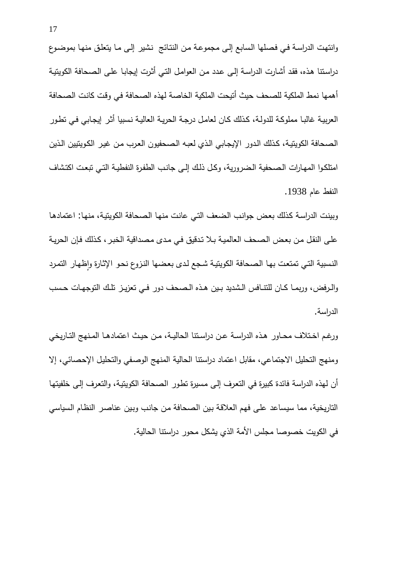وانتهت الدراسة في فصلها السابع إلى مجموعة من النتائج نشير إلى ما يتعلق منها بموضوع دراستنا هذه، فقد أشارت الدراسة إلى عدد من العوامل التي أثرت إيجابا على الصحافة الكويتية أهمها نمط الملكية للصحف حيث أتيحت الملكية الخاصة لهذه الصحافة في وقت كانت الصحافة العربية غالبا مملوكة للدولة، كذلك كان لعامل درجة الحرية العالية نسبيا أثر إيجابي في تطور الصحافة الكويتية، كذلك الدور الإيجابي الذي لعبه الصحفيون العرب من غير الكويتيين الذين امتلكوا المهارات الصحفية الضرورية، وكل ذلك إلى جانب الطفرة النفطية التي تبعت اكتشاف النفط عام 1938.

وبينت الدراسة كذلك بعض جوانب الضعف التي عانت منها الصحافة الكويتية، منها: اعتمادها على النقل من بعض الصحف العالمية بـلا تدقيق في مدى مصداقية الخبر ، كذلك فإن الحريـة النسبية التي تمتعت بها الصحافة الكويتية شجع لدى بعضها النزوع نحو الإثارة واظهار التمرد والرفض، وربمـا كـان للنتـافس الـشديد بـين هـذه الـصـحف دور فـي تعزيـز تلـك التوجهـات حـسب الدراسة.

ورغم اختلاف محـاور هذه الدراسـة عن دراسـتنا الحاليـة، مـن حيـث اعتمادهـا المـنهج التـاريخي ومنهج التحليل الاجتماعي، مقابل اعتماد دراستنا الحالية المنهج الوصفي والتحليل الإحصائي، إلا أن لهذه الدراسة فائدة كبيرة في التعرف إلى مسيرة تطور الصحافة الكويتية، والتعرف إلى خلفيتها التاريخية، مما سيساعد على فهم العلاقة بين الصحافة من جانب وبين عناصر النظام السياسي في الكويت خصوصا مجلس الأمة الذي يشكل محور دراستنا الحالية.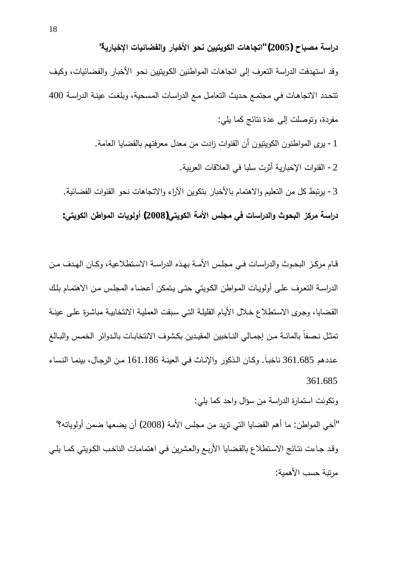دراسة مصباح (2005) "اتجاهات الكويتيين نحو الأخبار والفضائيات الإخبارية"

وقد استهدفت الدراسة التعرف إلى اتجاهات المواطنين الكوبنيين نحو الأخبار والفضائيات، وكيف تتحدد الاتجاهات في مجت*م*ع حديث التعامل مع الدراسات المسحية، وبلغت عينـة الدراسـة 400 مفردة، ونوصلت إلى عدة نتائج كما بلي:

. برى المواطنون الكوينيون أن القنوات زادت من معدل معرفتهم بالقضايا العامة.

2 – القنوات الإخبارية أثرت سلبا في العلاقات العربية.

3 – يرنبط كل من النعليم والاهتمام بالأخبار بتكوين الآراء والاتجاهات نحو القنوات الفضائية. دراسة مركز البحوث والدراسات في مجلس الأمة الكويتي(2008) أولويات المواطن الكويتي:

قام مركز البحوث والدراسات فـي مجلس الأمـة بهذه الدراسـة الاستطلاعية، وكـان الـهدف مـن الدراسة التعرف على أولويات المواطن الكويتي حتى يتمكن أعضاء المجلس من الاهتمام بلك القضايا، وجرى الاستطلاع خلال الأيام القليلة التي سبقت العملية الانتخابية مباشرة على عينـة تمثل نصفاً بالمائـة مـن إجمـالي النـاخبين المقيـدين بكشوف الانتخابـات بالـدوائر الخمـس والبـالـغ عددهم 361.685 ناخباً. وكان الذكور والإناث في العينـة 161.186 من الرجال، بينمـا النساء 361.685

ونكونت استمارة الدراسة من سؤال واحد كما يلي:

"أخي المواطن: ما أهم القضايا التي نزيد من مجلس الأمة (2008) أن يضعها ضمن أولوياته؟" وقد جاءت نتائج الاستطلاع بالقضايا الأربع والعشرين في اهتمامات الناخب الكويتي كما يلي مرنبة حسب الأهمبة: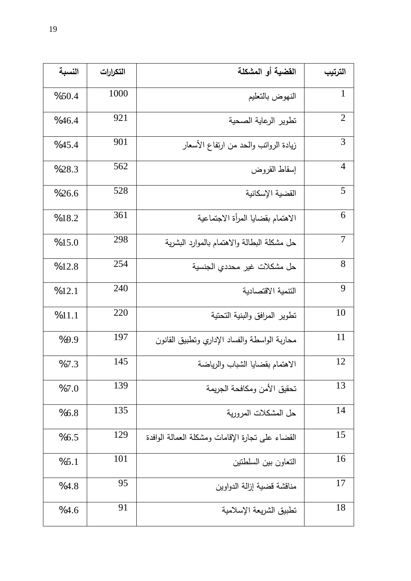| النسبة | التكرارات | القضية أو المشكلة                                | الترتيب        |
|--------|-----------|--------------------------------------------------|----------------|
| %50.4  | 1000      | النهوض بالتعليم                                  | $\mathbf{1}$   |
| %46.4  | 921       | تطوير الرعاية الصحية                             | 2              |
| %45.4  | 901       | زيادة الروانب والحد من ارتفاع الأسعار            | 3              |
| %28.3  | 562       | إسقاط القروض                                     | $\overline{4}$ |
| %26.6  | 528       | القضية الإسكانية                                 | 5              |
| %18.2  | 361       | الاهتمام بقضايا المرأة الاجتماعية                | 6              |
| %15.0  | 298       | حل مشكلة البطالة والاهتمام بالموارد البشرية      | 7              |
| %12.8  | 254       | حل مشكلات غير محددي الجنسية                      | 8              |
| %12.1  | 240       | التنمية الاقتصادية                               | 9              |
| %11.1  | 220       | نطوير المرافق والبنية التحتية                    | 10             |
| %9.9   | 197       | محاربة الواسطة والفساد الإداري وتطبيق القانون    | 11             |
| %7.3   | 145       | الاهتمام بقضايا الشباب والرياضة                  | 12             |
| %7.0   | 139       | تحقيق الأمن ومكافحة الجريمة                      | 13             |
| %6.8   | 135       | حل المشكلات المرورية                             | 14             |
| %6.5   | 129       | القضاء على نجارة الإقامات ومشكلة العمالة الوافدة | 15             |
| %5.1   | 101       | التعاون بين السلطتين                             | 16             |
| %4.8   | 95        | مناقشة قضية إزالة الدواوين                       | 17             |
| %4.6   | 91        | تطبيق الشريعة الإسلامية                          | 18             |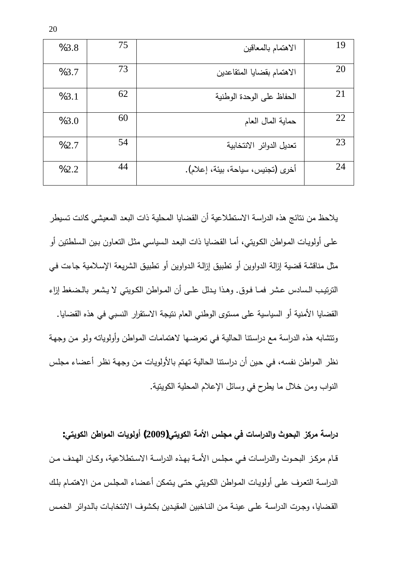| %3.8 | 75 | الاهتمام بالمعاقين                | 19 |
|------|----|-----------------------------------|----|
| %3.7 | 73 | الاهتمام بقضايا المتقاعدين        | 20 |
| %3.1 | 62 | الحفاظ على الوحدة الوطنية         | 21 |
| %3.0 | 60 | حماية المال العام                 | 22 |
| %2.7 | 54 | تعديل الدوائر الانتخابية          | 23 |
| %2.2 | 44 | أخرى (تجنيس، سياحة، بيئة، إعلام). | 24 |

يلاحظ من نتائج هذه الدراسة الاستطلاعية أن القضايا المحلية ذات البعد المعيشي كانت تسيطر على أولويات المواطن الكويتي، أمـا القضايا ذات البعد السياسي مثل التعاون بـين الـسلطنين أو مثل مناقشة قضية إزالة الدواوين أو تطبيق إزالـة الدواوين أو تطبيق الشريعة الإسلامية جاءت فـي الترتيب السادس عشر فمـا فـوق. وهذا يـدلل علـي أن المـواطن الكـويتـي لا يـشعر بالـضغط إزاء القضايا الأمنية أو السياسية على مستوى الوطني العام نتيجة الاستقرار النسبي في هذه القضايا. ونتشابه هذه الدراسة مع دراستنا الحالية في تعرضها لاهتمامات المواطن وأولوياته ولو من وجهة نظر المواطن نفسه، في حين أن دراستنا الحالية تهتم بالأولويات من وجهة نظر أعضاء مجلس النواب ومن خلال ما يطرح في وسائل الإعلام المحلية الكويتية.

دراسة مركز البحوث والدراسات في مجلس الأمة الكويتي(2009) أولويات المواطن الكويتي: قام مركز البحوث والدراسات في مجلس الأمـة بهذه الدراسـة الاستطلاعية، وكـان الـهدف مـن الدراسة التعرف على أولويات المواطن الكويتي حتى يتمكن أعضاء المجلس من الاهتمام بلك القضايا، وجرت الدراسة على عينة من الناخبين المقيدين بكشوف الانتخابات بالدوائر الخمس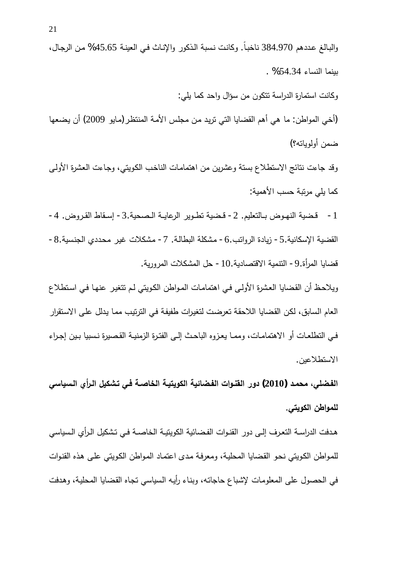والبالغ عددهم 384.970 ناخباً. وكانت نسبة الذكور والإناث في العينـة 45.65% من الرجال، بينما النساء 54.34°. [

وكانت استمارة الدراسة تتكون من سؤال واحد كما يلي:

أخي المواطن: ما هي أهم القضايا التي تزيد من مجلس الأمة المنتظر (مايو 2009) أن يضعها) ضمن أولوياته؟)

وقد جاءت نتائج الاستطلاع بستة وعشرين من اهتمامات الناخب الكويتي، وجاءت العشرة الأولمي كما يلي مرتبة حسب الأهمية:

-4 .¶Ã±»»Ƃƅ§·ŕƂ»»Ŭ¥ -3.řƔţŰ»»ƅ§ř»»Ɣŕŷ±ƅ§±Ɣû»·śřƔŲ»»Ɓ -2 .ÀƔƆŸśƅŕ»»ŗ¶Ã»»ƎƊƅ§řƔŲ»»Ɓ -1 القضبة الإسكانية.5- زبادة الرواتب.6- مشكلة البطالة. 7- مشكلات غبر محددي الجنسبة.8-قضايا المرأة.9- النتمية الاقتصادية.10 - حل المشكلات المرورية.

ويلاحظ أن القضايا العشرة الأولى في اهتمامات المواطن الكويتي لم تتغير عنها في استطلاع العام السابق، لكن القضايا اللاحقة تعرضت لتغيرات طفيفة في الترتيب مما يدلل على الاستقرار في التطلعات أو الاهتمامـات، وممـا يعزوه الباحث إلـي الفترة الزمنيــة القـصـيرة نـسبيا بـين إجـراء الاستطلاعبن.

الفضلي، محمد (2010) دور القنـوات الفضائيـة الكويتيـة الخاصـة فـي تشكيل الـرأي الـسياسي للموا**طن الكويتي.** 

هدفت الدراسـة التعرف إلـي دور القنـوات الفـضـائية الكويتيـة الـخاصــة فـي تشكيل الـرأي الـسياسي للمواطن الكويتي نحو القضايا المحلية، ومعرفة مدى اعتماد المواطن الكويتي على هذه القنوات في الحصول على المعلومات لإشباع حاجاته، وبناء رأيه السياسي تجاه القضايا المحلية، وهدفت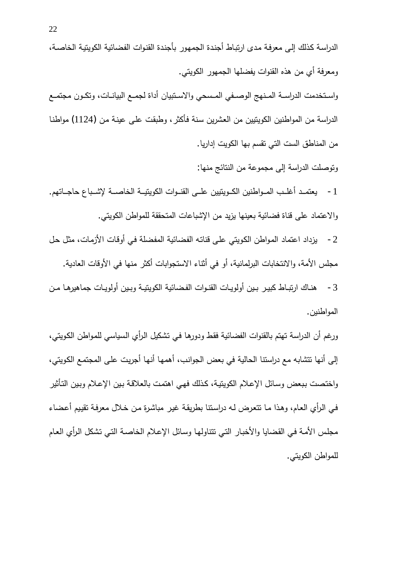الدراسة كذلك إلى معرفة مدى ارتباط أجندة الجمهور بأجندة القنوات الفضائية الكويتية الخاصـة، ومعرفة أي من هذه القنوات بفضلها الجمهور الكوبتي.

واستخدمت الدراســـة المــنـهج الوصــفي المــسحي والاســتبيان أداة لـجمــع البيانــات، وتكــون مـجتمــع الدراسة من المواطنين الكويتيين من العشرين سنة فأكثر ، وطبقت على عينة من (1124) مواطنا من المناطق الست التي نقسم بها الكويت إداريا.

ونوصلت الدراسة إلى مجموعة من النتائج منها:

 .ÀƎśŕ»»»Šŕţ¹ŕŗ»»»Ůƙř»»»ŰŕŦƅ§ř»»»ƔśƔÃƄƅ§ª§Ã»»»ƊƂƅ§Ƒ»»»ƆŷÁƔƔśƔû»»Ƅƅ§ÁƔƊ·§Ã»»»ƈƅ§¨»»»ƆŻ£¯»»»ƈśŸƔ -1 والاعتماد على قناة فضائية بعينها يزيد من الإشباعات المتحققة للمواطن الكويتي.

2− يزداد اعتماد المواطن الكويتي على قناته الفضائية المفضلة في أوقات الأزمات، مثل حل مجلس الأمة، والانتخابات البرلمانية، أو في أثناء الاستجوابات أكثر منها في الأوقات العادية.

3 − هنـاك ارتبـاط كبيـر بـين أولويـات القنـوات الفـضـائية الكويتيـة وبـين أولويـات جماهيرهـا مـن المواطنين .

ورغم أن الدراسة تهتم بالقنوات الفضائية فقط ودورها في تشكيل الرأي السياسي للمواطن الكويتي، إلى أنها نتشابه مع دراستنا الحالية في بعض الجوانب، أهمها أنها أجريت على المجتمع الكويتي، واختصت ببعض وسائل الإعلام الكويتية، كذلك فهي اهتمت بالعلاقة بين الإعلام وبين التأثير في الرأي العام، وهذا ما نتعرض لـه دراسنتا بطريقة غير مباشرة من خلال معرفة نقييم أعضاء مجلس الأمـة فـي القضـايا والأخبـار التـي تتتاولـها وسائل الإعـلام الـخاصـة التـي تشكل الـرأي الـعـام للمواطن الكويتي.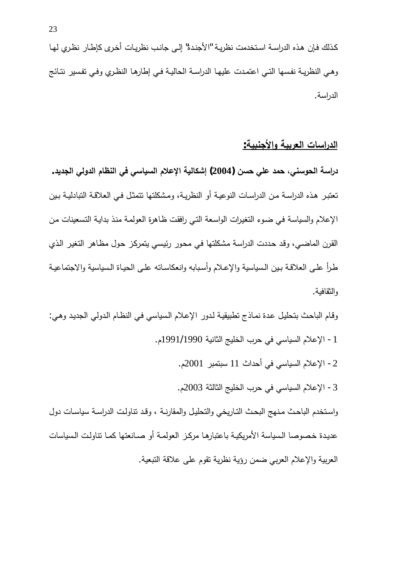كذلك فإن هذه الدراسة استخدمت نظرية "الأجندة" إلى جانب نظريات أخرى كإطار نظري لها وهي النظريـة نفسها النتي اعتمدت عليها الدراسـة الحاليـة فـي إطارهـا النظري وفـي تفسير نتـائج الدراسة.

### الدراسات العربية وإلأجنبية:

دراسة الحوسني، حمد على حسن (2004) إشكالية الإعلام السياسي في النظام الدولي الجديد . تعتبر هذه الدراسة من الدراسات النوعية أو النظريـة، ومشكلتها تتمثل فـي العلاقـة التبادليـة بـين الإعلام والسياسة في ضوء التغيرات الواسعة التي رافقت ظاهرة العولمة منذ بداية التسعينات من القرن الماضي، وقد حددت الدراسة مشكلتها في محور رئيسي يتمركز حول مظاهر التغير الذي طرأ على العلاقة بين السياسية والإعلام وأسبابه وانعكاساته على الحياة السياسية والاجتماعية والنقافية.

وقام الباحث بتحليل عدة نماذج تطبيقية لدور الإعلام السياسي في النظام الدولي الجديد وهي: 1 - الإعلام السياسي في حرب الخليج الثانية 1991/1990م. 2 - الإعلام السياسي في أحداث 11 سبتمبر 2001م. 3 − الإعلام السياسي في حرب الخليج الثالثة 2003م. واستخدم الباحث منهج البحث التاريخي والتحليل والمقارنية ، وقد نتاولت الدراسية سياسات دول

عديدة خصوصا السياسة الأمريكية باعتبارها مركز العولمة أو صـانعتها كمـا نتاولت الـسياسات العربية والإعلام العربي ضمن رؤية نظرية تقوم على علاقة التبعية.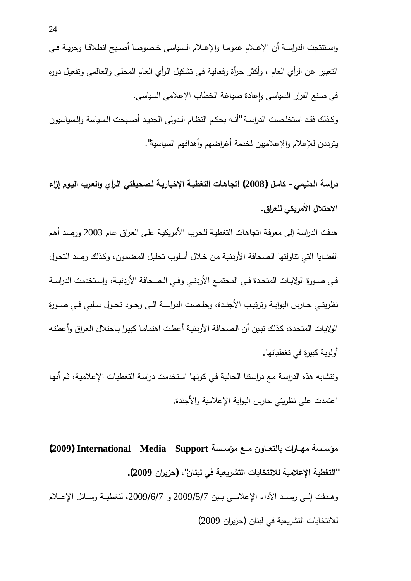واسنتنجت الدراســة أن الإعــلام عمومــا والإعــلام الــسياسي خـصوصـا أصـبـح انطلاقـا وحريــة فــي التعبير عن الرأي العام ، وأكثر جرأة وفعالية في تشكيل الرأي العام المحلي والعالمي وتفعيل دوره في صنع القرار السياسي وإعادة صياغة الخطاب الإعلامي السياسي.

وكذلك فقد استخلصت الدراسة "أنـه بحكم النظـام الـدولي الجديـد أصـبحت الـسياسة والـسياسيون يتوددن للإعلام والإعلاميين لخدمة أغراضهم وأهدافهم السياسية".

دراسة الدلي*مي* – كامل (2008) اتجاهات التغطيـة الإخباريـة لـصحيفتي الرأي والعرب اليوم إزاع الاحتلال الأمربكي للعراق.

هدفت الدراسة إلى معرفة اتجاهات التغطية للحرب الأمريكية على العراق عام 2003 ورصد أهم القضايا التي تناولتها الصحافة الأردنية من خلال أسلوب تحليل المضمون، وكذلك رصد التحول في صـورة الولايـات المتحدة فـي المجتمـع الأردنـي وفـي الـصـحافة الأردنيـة، واسـتخدمت الدراسـة نظريتي حـارس البوابــة وترتيـب الأجنـدة، وخلـصت الدراســة إلــي وجـود تحـول سـلبـي فــي صــورة الولايات المتحدة، كذلك تبين أن الصحافة الأردنية أعطت اهتماما كبيرا باحتلال العراق وأعطته أولوبة كببرة في تغطباتها.

وتتشابه هذه الدراسة مع دراستنا الحالية في كونها استخدمت دراسة التغطيات الإعلامية، ثم أنها اعتمدت على نظريتي حارس البوابة الإعلامية والأجندة.

مؤسسة مهارات بالتعاون مـع مؤسسة International Media Support (2009)  **.(2009À¦°ƒ±š)"ÀœƈŕƃƑżŗƒŶƒ°Ŭřƃ¦©œŕœŤřƈƚƃ ŗƒƆƚŵƗ¦ŗƒ¶źřƃ¦"** وهدفت إلى رصد الأداء الإعلامي بـين 2009/6/7 و 2009/6/7، لتغطيــة وسـائل الإعــلام للانتخابات التشريعية في لبنان (حزيران 2009)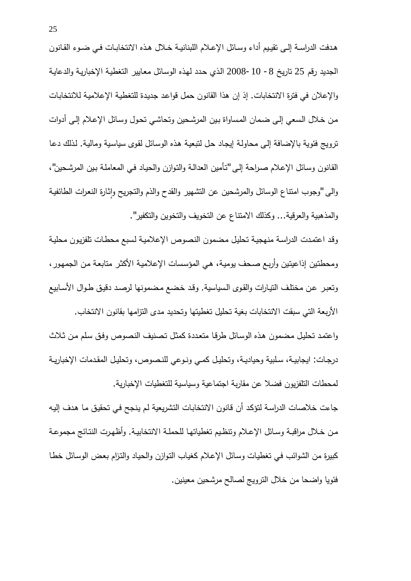هدفت الدراسـة إلـي تقييم أداء وسـائل الإعـلام اللبنانيــة خـلال هـذه الانتخابـات فـي ضـوء القـانون الجديد رقم 25 تاريخ 8− 10−2008 الذي حدد لهذه الوسائل معابير التغطية الإخبارية والدعاية والإعلان في فترة الانتخابات. إذ إن هذا القانون حمل قواعد جديدة للتغطية الإعلامية للانتخابات من خلال السعي إلى ضمان المساواة بين المرشحين وتحاشي تحول وسائل الإعلام إلى أدوات ترويج فئوية بالإضافة إلى محاولة إيجاد حل لتبعية هذه الوسائل لقوى سياسية ومالية. لذلك دعا القانون وسائل الإعلام صراحة إلى "تأمين العدالـة والتوازن والحيـاد فـي المعاملـة بـين المرشـحين"، والى "وجوب امتناع الوسائل والمرشحين عن التشهير والقدح والذم والتجريح وإثارة النعرات الطائفية والمذهبية والعرفية… وكذلك الامتناع عن التخويف والتخوين والتكفير ".

وقد اعتمدت الدراسة منهجية تحليل مضمون النصوص الإعلامية لسبع محطات تلفزيون محلية ومحطتين إذاعيتين وأربـع صـحف يوميـة، هـي المؤسسات الإعلاميـة الأكثر متابعـة من الجمهور ، وتعبر عن مختلف التيارات والقوى السياسية. وقد خضع مضمونها لرصد دقيق طوال الأسابيع الأربعة التي سبقت الانتخابات بغية تحليل تغطيتها وتحديد مدى التزامها بقانون الانتخاب.

واعتمد تحليل مضمون هذه الوسائل طرقا متعددة كمثل تصنيف النصوص وفق سلم من ثلاث درجات: ايجابيـة، سلبية وحياديـة، وتحليل ك*مـى* ونـوعي للنـصـوص، وتحليل المقدمات الإخباريـة لمحطات التلفزيون فضلا عن مقاربة اجتماعية وسياسية للتغطيات الإخبارية.

جاءت خلاصات الدراسة لتؤكد أن قانون الانتخابات التشريعية لم ينجح في تحقيق ما هدف إليه من خـلال مراقبـة وسـائل الإعـلام وتنظـيم تغطياتـها للحملـة الانتخابيـة. وأظـهرت النتـائـج مجموعـة كبيرة من الشوائب في تغطيات وسائل الإعلام كغياب النوازن والحياد والنزام بعض الوسائل خطا فئويا وإضحا من خلال النزويج لصالح مرشحين معينين.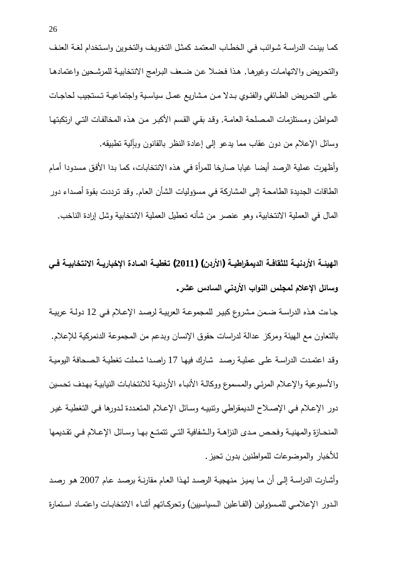كما بينت الدراسة شوائب في الخطاب المعتمد كمثل التخويف والتخوين واستخدام لغة العنف والتحريض والاتهامـات وغيرهـا. هذا فضلا عن ضـعف البـرامج الانتخابيـة للمرشـحين واعتمادهـا على التحريض الطـائفي والفئـوي بـدلا مـن مـشاريـع عمـل سياسـية واجتماعيـة تـستجيب لـحاجـات المواطن ومستلزمات المصلحة العامـة. وقد بقي القسم الأكبر من هذه المخالفات التي ارتكبتها وسائل الإعلام من دون عقاب مما يدعو إلى إعادة النظر بالقانون وبألية نطبيقه. وأظهرت عملية الرصد أيضا غيابا صارخا للمرأة في هذه الانتخابات، كما بدا الأفق مسدودا أمام الطاقات الجديدة الطامحة إلى المشاركة في مسؤوليات الشأن العام. وقد ترددت بقوة أصداء دور المال في العملية الانتخابية، وهو عنصر من شأنه تعطيل العملية الانتخابية وشل إرادة الناخب.

الهيئــة الأردنيــة للثقافــة الديمقراطيــة (الأردن) (2011) تغطيــة المــادة الإخباريــة الانتخابيــة فــي وسائل الإعلام لمجلس النواب الأردن*ى* السادس عشر .

جاءت هذه الدراسة ضمن مشروع كبير للمجموعة العربية لرصد الإعلام في 12 دولـة عربيـة بالتعاون مع الهيئة ومركز عدالة لدراسات حقوق الإنسان وبدعم من المجموعة الدنمركية للإعلام. وقد اعتمدت الدراسة على عملية رصد شارك فيها 17 راصدا شملت تغطية الصحافة اليومية والأسبوعية والإعلام المرئيي والمسموع ووكالـة الأنبـاء الأردنيـة للانتخابـات النيابيـة بـهدف تحسين دور الإعلام في الإصـلاح الديمقراطي ونتبيـه وسـائل الإعـلام المتعددة لـدورها فـي التغطيـة غير المنحـازة والمهنيـة وفحـص مـدي النزاهـة والـشفافية التـي نتمتـع بـهـا وسـائل الإعـلام فـي تقـديمها للأخبار والموضوعات للمواطنين بدون تحبز .

¯»Ű±Ã»ƍ 2007Àŕ»ŷ¯»Ű±ŗř»Ɗ±ŕƂƈÀŕ»Ÿƅ§§°»Ǝƅ¯»Ű±ƅ§ř»ƔŠƎƊƈ²»ƔƈƔŕ»ƈ Á£ Ƒ»ƅ¥ ř»Ŭ§±¯ƅ§ª±ŕ»Ů£Ã الدور الإعلامـي للمسؤولين (الفـاعلين الـسياسيين) وتحركـاتهم أثنـاء الانتخابـات واعتمـاد اسـتمارة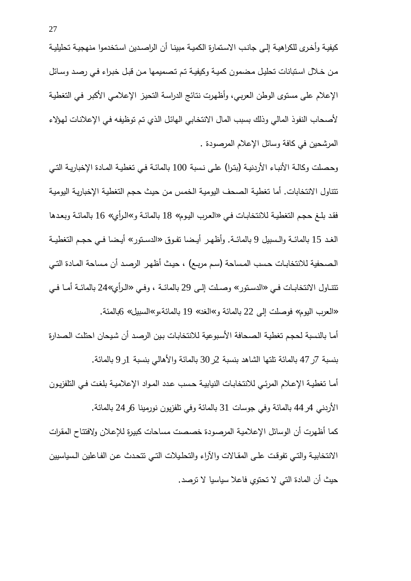كيفية وأخرى للكراهية إلـى جانب الاستمارة الكمية مبينا أن الراصدين استخدموا منهجية تحليلية من خـلال استبانات تحليل مضمون كميـة وكيفيـة تـم تصميمها مـن قبـل خبـراء فـي رصـد وسـائل الإعلام على مستوى الوطن العربي، وأظهرت نتائج الدراسة التحيز الإعلامي الأكبر في التغطية لأصحاب النفوذ المالي وذلك بسبب المال الانتخابي الهائل الذي تم توظيفه في الإعلانات لهوْلاء المرشحين في كافة وسائل الإعلام المرصودة .

وحصلت وكالـة الأنبـاء الأردنيـة (بنـرا) علـي نـسبة 100 بالمائـة فـي تغطيـة المـادة الإخباريـة النـي تتناول الانتخابات. أما تغطية الصحف اليومية الخمس من حيث حجم التغطية الإخبارية اليومية فقد بلـغ حجم التغطيـة للانتخابـات فـي «العرب اليوم» 18 بالمائـة و»الـرأي» 16 بالمائـة وبعدها الغد 15 بالمائـة والـسبيل 9 بالمائـة. وأظهـر أيـضا نفـوق «الدسـتور» أيـضا فـي حجـم التغطيـة المعحفية للانتخابات حسب المساحة (سم مربـع) ، حيث أظهر الرصد أن مساحة المـادة التـي تتناول الانتخابـات فـي «الدسـتور » وصـلت إلـي 29 بالمائــة ، وفـي «الـرأي»24 بالمائــة أمـا فـي «العرب اليوم» فوصلت إلى 22 بالمائة و »الغد» 19 بالمائة،و »السبيل» 6بالمئة.

أما بالنسبة لحجم تغطية الصحافة الأسبوعية للانتخابات بين الرصد أن شيحان احتلت الصدارة بنسبة 7ر 47 بالمائة تلتها الشاهد بنسبة 2ر30 بالمائة والأهالي بنسبة 1ر9 بالمائة.

أمـا تغطيـة الإعـلام المرئـي للانتخابـات النيابيـة حسب عدد المـواد الإعلاميـة بلغت فـي التلفزيـون الأردنبي 4ر 44 بالمائة وفي جوسات 31 بالمائة وفي تلفزيون نورمينا 6ر 24 بالمائة.

كما أظهرت أن الوسائل الإعلامية المرصودة خصصت مساحات كبيرة للإعلان ولافتتاح المقرات الانتخابيـة والتـي تفوقت علـي المقالات والآراء والتحليلات التـي تتحدث عن الفـاعلين الـسياسيين حيث أن المادة التي لا تحتوى فاعلا سياسيا لا ترصد.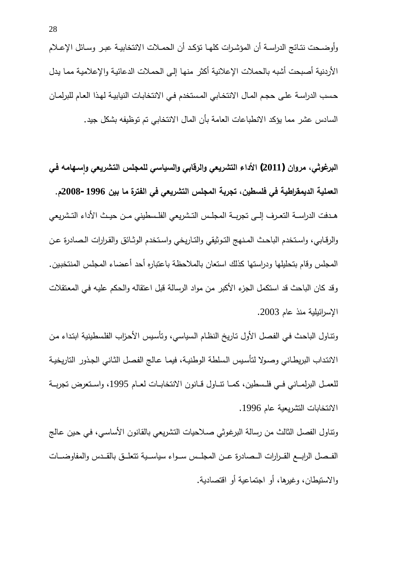وأوضـحت نتـائج الدراســة أن المؤشـرات كلهـا تؤكـد أن الحمــلات الانتخابيــة عبـر وسـائل الإعــلام الأردنية أصبحت أشبه بالحملات الإعلانية أكثر منها إلى الحملات الدعائية والإعلامية مما يدل حسب الدراسة على حجم المال الانتخابي المستخدم في الانتخابات النيابية لهذا العام للبرلمان السادس عشر مما يؤكد الانطباعات العامة بأن المال الانتخابي تم توظيفه بشكل جيد.

البرغوثي، مروان (2011) الأداء التشريعي والرقابي والسياسي للمجلس التشريعي وإسـهامـه في العملية الديمقراطية في فلسطين، تجربة المجلس التشريعي في الفترة ما بين 1996 -2008م. هدفت الدراســـة التعـرف إلــي تجربـــة المجلـس التـشريعي الفلـسطيني مــن حيــث الأداء التـشريعي والرقابي، واستخدم الباحث المنهج التوثيقي والتاريخي واستخدم الوثـائق والقرارات الـصادرة عن المجلس وقام بتحليلها ودراستها كذلك استعان بالملاحظة باعتباره أحد أعضاء المجلس المنتخبين. وقد كان الباحث قد استكمل الجزءِ الأكبر من مواد الرسالة قبل اعتقاله والحكم عليه في المعتقلات الإسرائيلية منذ عام 2003.

ونتاول الباحث في الفصل الأول تاريخ النظام السياسي، وتأسيس الأحزاب الفلسطينية ابتداء من الانتداب البريطاني وصـولا لتأسـيس الـسلطـة الوطنيــة، فيمـا عـالـج الفصـل الثـاني الـجـذور التاريخيـة للعمـل البرلمـاني فـي فلـسطين، كمـا نتــاول قـانون الانتخابـات لعـام 1995، واسـتعرض تجربــة الانتخابات التشريعية عام 1996.

ونتاول الفصل الثالث من رسالة البرغوثي صلاحيات التشريعي بالقانون الأساسي، في حين عالج الفيصل الرابيع القيرارات البصادرة عين المجلس سيواء سباسيبة تتعليق بالقيدس والمفاوضيات والاستيطان، وغيرها، أو اجتماعية أو اقتصادية.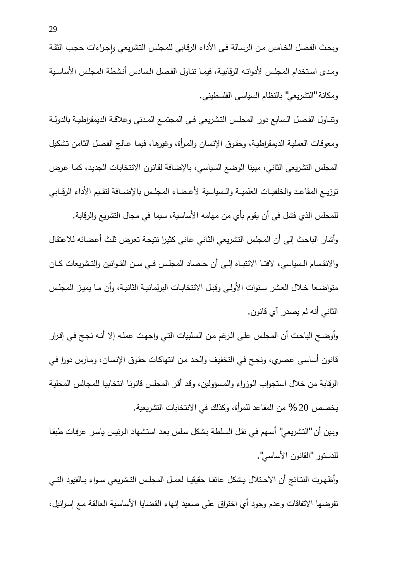وبحث الفصل الخامس من الرسالة في الأداء الرقابي للمجلس التشريعي واجراءات حجب الثقة ومدى استخدام المجلس لأدواته الرقابية، فيمـا تتـاول الفصل السادس أنشطة المجلس الأساسية ومكانة "التشريعي" بالنظام السياسي الفلسطيني.

ونتـاول الفصـل الـسابـع دور المجلس التشريعي فـي المجتمـع المـدني وعلاقـة الديمقراطيـة بالدولـة ومعوقات العملية الديمقراطية، وحقوق الإنسان والمرأة، وغيرها، فيما عالج الفصل الثامن تشكيل المجلس التشريعي الثاني، مبينا الوضع السياسي، بالإضافة لقانون الانتخابات الجديد، كما عرض توزيــع المقاعـد والخلفيــات العلميــة والــسياسية لأعـضـاء المجلـس بـالإضـــافة لتقـيم الأداء الرقــابي للمجلس الذي فشل في أن يقوم بأي من مهامه الأساسية، سيما في مجال النشريع والرقابة. وأشار الباحث إلى أن المجلس التشريعي الثاني عاني كثيرا نتيجة تعرض ثلث أعضائه للاعتقال والانقسام الـسياسي، لافتـا الانتبـاه إلـي أن حـصاد المجلـس فـي سـن القـوانين والتـشريعات كـان متواضـعا خـلال العشر سنوات الأولـي وقبل الانتخابـات البرلمانيـة الثانيـة، وأن مـا يميـز المجلس الثاني أنه لم يصدر آي قانون.

وأوضح الباحث أن المجلس على الرغم من السلبيات التي واجهت عمله إلا أنـه نجح في إقرار قانون أساسي عصري، ونجح في التخفيف والحد من انتهاكات حقوق الإنسان، ومارس دورا في الرقابة من خلال استجواب الوزراء والمسؤولين، وقد أقر المجلس قانونا انتخابيا للمجالس المحلية يخصص 20 % من المقاعد للمرأة، وكذلك في الانتخابات التشريعية.

وبين أن "التشريعي" أسهم في نقل السلطة بشكل سلس بعد استشهاد الرئيس ياسر عرفات طبقا للدسنور "القانون الأساسي".

وأظهرت النتـائج أن الاحـتلال يـشكل عائقـا حقيقيـا لـعمـل المجلـس التـشريعي سـواء بـالقيود التــي تفرضها الاتفاقات وعدم وجود أي اختراق على صعيد إنهاء القضايا الأساسية العالقة مع إسرائيل،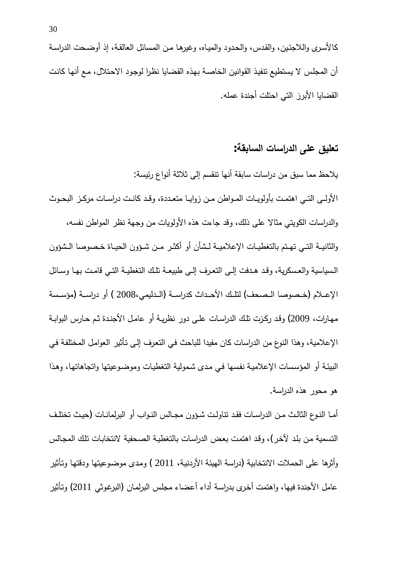كالأسرى واللاجئين، والقدس، والحدود والمياه، وغيرها من المسائل العالقة، إذ أوضحت الدراسة أن المجلس لا يستطيع تتفيذ القوانين الخاصبة بهذه القضايا نظرا لوجود الاحتلال، مع أنها كانت القضابا الأبرز التي احتلت أجندة عمله.

تعليق على الدراسات السابقة:

بلاحظ مما سبق من دراسات سابقة أنها نتقسم إلى ثلاثة أنواع رئيسة: الأولـي التـي اهتمـت بأولويـات المـواطن مـن زوايـا متعـددة، وقـد كانـت دراسـات مركـز البحـوث والدراسات الكويتي مثالا على ذلك، وقد جاءت هذه الأولويات من وجهة نظر المواطن نفسه، والثانيــة التــي تـهـتم بالتغطيـات الإعلاميــة لــشأن أو أكثـر مــن شــؤون الـحيــاة خـصـوصـا الــشؤون السياسية والعسكرية، وقد هدفت إلى التعرف إلى طبيعـة تلك التغطيـة التـي قامـت بـهـا وسـائل الإعــلام (خـصوصا الـصحف) لنلـك الأحـداث كدراسـة (الـدليمي،2008 ) أو دراسـة (مؤسـسة مهارات، 2009) وقد ركزت تلك الدراسات على دور نظريـة أو عامل الأجندة ثـم حـارس البوابـة الإعلامية، وهذا النوع من الدراسات كان مفيدا للباحث في التعرف إلى تأثير العوامل المختلفة في البيئة أو المؤسسات الإعلامية نفسها في مدى شمولية التغطيات وموضىوعيتها واتجاهاتها، وهذا هو محور هذه الدراسة.

أمـا النـوع الثالـث مـن الدراسـات فقد تناولـت شـؤون مجـالس النـواب أو البرلمانـات (حيـث تختلـف التسمية من بلد لآخر)، وقد اهتمت بعض الدراسات بالتغطية الصحفية لانتخابات تلك المجالس وأثرها على الحملات الانتخابية (دراسة الهيئة الأردنية، 2011 ) ومدى موضوعيتها ودقتها وتأثير عامل الأجندة فيها، واهتمت أخرى بدراسة أداء أعضاء مجلس البرلمان (البرغوثي 2011) وتأثير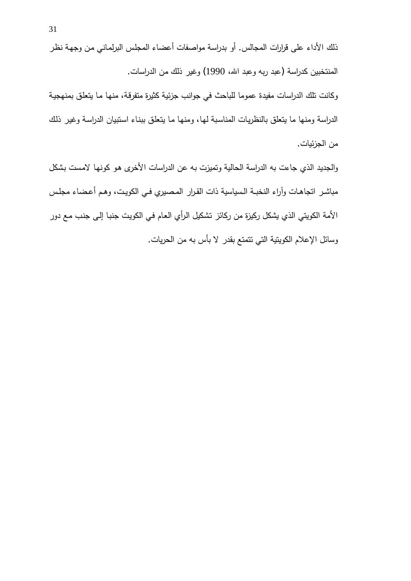ذلك الأداء على قرارات المجالس. أو بدراسة مواصفات أعضاء المجلس البرلماني من وجهة نظر المنتخبين كدراسة (عبد ربه وعبد الله، 1990) وغير ذلك من الدراسات.

وكانت نلك الدراسات مفيدة عموما للباحث في جوانب جزئية كثيرة منفرقة، منها ما يتعلق بمنهجية الدراسة ومنها ما يتعلق بالنظريات المناسبة لها، ومنها ما يتعلق ببناء استبيان الدراسة وغير ذلك من الجزئيات.

والجديد الذي جاءت به الدراسة الحالية وتميزت به عن الدراسات الأخرى هو كونها لامست بشكل مباشر ِ اتجاهـات وآراء النخبــة الـسياسية ذات القرار المـصيري فـي الكويـت، وهـم أعـضـاء مجلـس الأمة الكويتي الذي يشكل ركيزة من ركائز تشكيل الرأي العام في الكويت جنبا إلى جنب مع دور وسائل الإعلام الكويتية التي تتمتع بقدر لا بأس به من الحريات.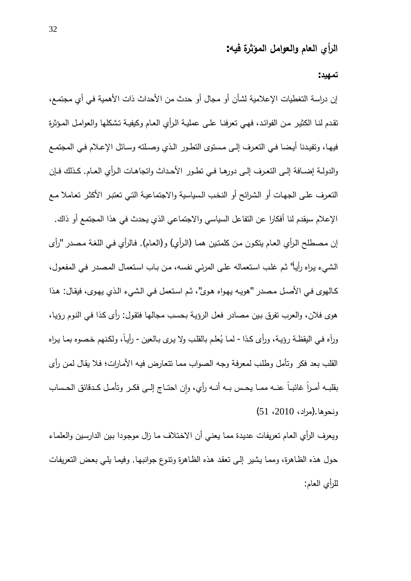الرأي العام والعوامل الموئثرة فيه:

**تمهيد :** 

إن دراسة التغطيات الإعلامية لشأن أو مجال أو حدث من الأحداث ذات الأهمية في أي مجت*م*ع، تقدم لذا الكثير من الفوائد، فهي تعرفنا على عملية الرأي العام وكيفية تشكلها والعوامل المؤثرة فيها، وتفيدنا أيضا في التعرف إلى مستوى التطور الذي وصلته وسائل الإعلام في المجت*م*ع والدولـة إضـافة إلـي التعـرف إلـي دورهـا فـي تطـور الأحـداث واتجاهـات الـرأي العـام. كـذلك فـإن النعرف على الجهات أو الشرائح أو النخب السياسية والاجتماعية التي تعتبر الأكثر تعاملا مـع الإعلام سيقدم لذا أفكارا عن النفاعل السياسي والاجتماعي الذي يحدث في هذا المجتمع أو ذاك. إن مصطلح الرأي العام يتكون من كلمتين هما (الرأي) و(العام). فالرأي في اللغة مصدر "رأي الشيء يراه رأياً" ثم غلب استعماله على المرئي نفسه، من باب استعمال المصدر في المفعول، كالهوى في الأصل مصدر "هويه يهواه هوي"، ثم استعمل في الشيء الذي يهوي، فيقال: هذا هوى فلان، والعرب نفرق بين مصادر فعل الرؤية بحسب مجالها فتقول: رأى كذا في النوم رؤيا، رراه فـي اليقظـة رؤيـة، ورأى كـذا – لمـا يُعلـم بالقلـب ولا يـرى بـالـعين – رأيـا، ولكـنـهم خـصـوه بمـا يـراه القلب بعد فكر وتأمل وطلب لمعرفة وجه الصواب مما نتعارض فيه الأمارات؛ فلا يقال لمن رأى بقلبـه أمـراً غائبـاً عنــه ممــا يحـس بــه أنــه رأى، وإن احتـاج إلــى فكـر وتأمـل كـدقائق الحـساب  $(51, 2010, 6)$ ونجوها.

ويعرف الرأي العام تعريفات عديدة مما يعني أن الاختلاف ما زال موجودا بين الدارسين والعلماء حول هذه الظاهرة، ومما يشير إلى تعقد هذه الظاهرة ونتوع جوانبها. وفيما يلي بعض التعريفات للرأي العام: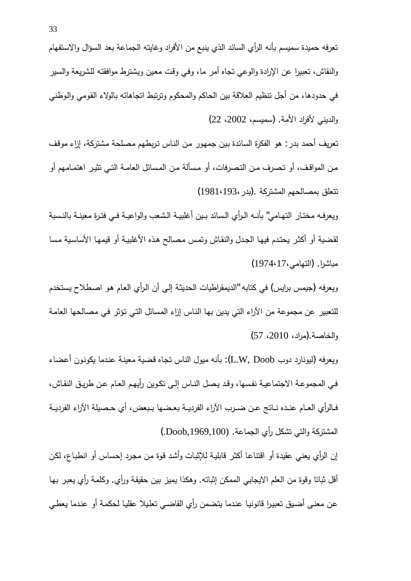في حدودها، من أجل نتظيم العلاقة بين الحاكم والمحكوم وترتبط اتجاهاته بالولاء القومي والوطني والديني لأفراد الأمة. (سميسم، 2002، 22)

تعريف أحمد بدر : هو الفكرة السائدة بين جمهور من الناس تربطهم مصلحة مشتركة، إزاء موقف من المواقف، أو تصرف من التصرفات، أو مسألة من المسائل العامـة التـي تثير اهتمـامـهم أو نتعلق بمصالحهم المشتركة .(بدر ،1931،193)

ويعرفه مختار التهامي" بأنـه الـرأي الـسائد بـين أغلبيـة الـشعب والواعيـة فـي فترة معينـة بالنـسبة لقضية أو أكثر يحتدم فيها الجدل والنقاش وتمس مصالح هذه الأغلبية أو قيمها الأساسية مسا مباشرا. (التهامي،174،17)

ويعرفه (جيمس برايس) في كتابه "الديمقراطيات الحديثة إلى أن الرأي العام هو اصطلاح يستخدم للتعبير عن مجموعة من الآراء التي يدين بها الناس إزاء المسائل التي تؤثر في مصالحها العامة  $(57, 2010, 6)$ والخاصية.

ويعرفه (ليونارد دوب L.W, Doob): بأنه ميول الناس تجاه قضية معينة عندما يكونون أعضاء في المجموعة الاجتماعية نفسها، وقد يصل النـاس إلـي تكوين رأيهم العـام عن طريق النقـاش، فالرأي العـام عنـده نــاتج عـن ضــرب الآراء الفرديــة بعـضـها بـبعض، أي حـصبلة الآراء الفرديــة المشتركة والتي تشكل رأي الجماعة. (Doob,1969,100.)

إن الرأي يعني عقيدة أو اقتناعا أكثر قابلية للإثبات وأشد قوة من مجرد إحساس أو انطباع، لكن أقل ثباتا وقوة من العلم الايجابي الممكن إثباته. وهكذا يميز بين حقيقة ورأى. وكلمة رأى يعبر بها عن معني أضبق تعبيرا قانونيا عندما يتضمن رأى القاضبي تعليلا عقليا لحكمة أو عندما يعطي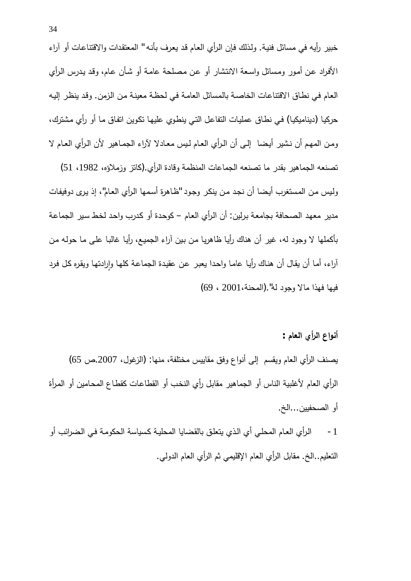خبير رأيه في مسائل فنية. ولذلك فإن الرأي العام قد يعرف بأنه " المعتقدات والاقتناعات أو آراء الأفراد عن أمور ومسائل واسعة الانتشار أو عن مصلحة عامة أو شأن عام، وقد بدرس الرأي العام في نطاق الاقتناعات الخاصة بالمسائل العامة في لحظة معينة من الزمن. وقد ينظر إليه حركيا (ديناميكيا) في نطاق عمليات التفاعل التي ينطوي عليها تكوين اتفاق ما أو رأي مشترك، ومن الممهم أن نشير أيضا إلـى أن الـرأي العـام لـيس معـادلا لآراء الـجمـاهير لأن الـرأي الـعـام لا

تصنعه الجماهير بقدر ما تصنعه الجماعات المنظمة وقادة الرأي.(كانز وزملاؤه، 1982، 51) وليس من المستغرب أيضا أن نجد من ينكر وجود "ظاهرة أسمها الرأي العام"، إذ يرى دوفيفات مدير معهد الصحافة بجامعة برلين: أن الرأي العام – كوحدة أو كدرب واحد لخط سير الجماعة بأكملها لا وجود له، غير أن هناك رأيا ظاهريا من بين آراء الجميع، رأيا غالبا على ما حوله من آراء، أما أن يقال أن هناك رأيا عاما واحدا يعبر عن عقيدة الجماعة كلها وارادتها ويقره كل فرد !<br>:  $(69 \cdot 2001 \cdot 200)$ فيها فهذا مالا وجود له".(المحنة

أ**ن**واع الرأي العام :

يصنف الرأي العام ويقسم إلى أنواع وفق مقاييس مختلفة، منها: (الزغول، 2007.ص 65) الرأي العام لأغلبية الناس أو الجماهير مقابل رأى النخب أو القطاعات كقطاع المحامين أو المرأة أو الصحفيين...الخ.

∃ − الرأي العام المحلي أي الذي يتعلق بالقضايا المحلية كسياسة الحكومة في الضرائب أو النعليم..الخ. مقابل الرأي العام الإقليمي ثم الرأي العام الدولي.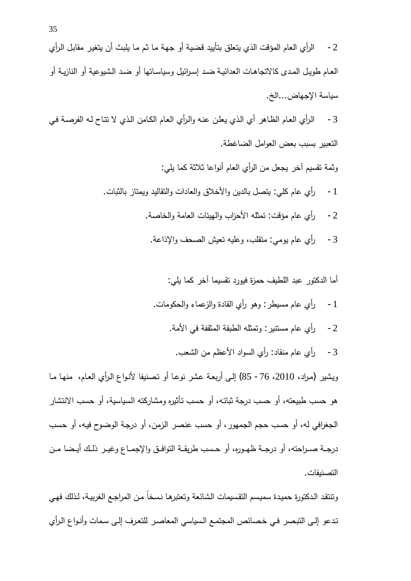.ťƅ§...¶ŕƎŠƙ§řŬŕƔŬ

3− الرأي العام الظاهر أي الذي يعلن عنه والرأي العام الكامن الذي لا نتاح لـه الفرصـة فـي التعبير بسبب بعض العوامل الضاغطة.

وثمة تقسيم آخر يجعل من الرأي العام أنواعا ثلاثة كما يلي:

- .ªŕŗŝƅŕŗ²ŕśƈƔïƔƅŕƂśƅ§Ãª§¯ŕŸƅ§Ã½ƜŦƗ§ÃÁƔ¯ƅŕŗ¿ŰśƔ :ƓƆƄÀŕŷÅ£± -1
	- 2− رأى عام مؤقت: تمثله الأحزاب والمهيئات العامة والخاصة.
		- 3− رأى عام بومي: منقلب، وعلبه نعبش الصحف والإذاعة.

أما الدكتور عبد اللطيف حمزة فيورد نقسيما آخر كما يلي:

- 1 رأي عام مسيطر : وهو رأي القادة والزعماء والحكومات.
	- و. مرأى عام مستتير : ونمثله الطبقة المثقفة في الأمة - $2\,$ 
		- 3− رأى عام منقاد: رأى السواد الأعظم من الشعب.

ويشير (مراد، 2010، 76- 85) إلىي أربعة عشر نوعا أو نصنيفا لأنواع الرأي العام، منها ما هو حسب طبيعته، أو حسب درجة ثباته، أو حسب تأثيره ومشاركته السياسية، أو حسب الانتشار الجغرافي له، أو حسب حجم الجمهور ، أو حسب عنصر الزمن، أو درجة الوضوح فيه، أو حسب درجـة صـراحته، أو درجـة ظهـوره، أو حـسب طريقـة التوافـق والإجمـاع وغيـر ذلـك أيـضا مـن التصنيفات .

ونتنقد الدكتورة حميدة سميسم التقسيمات الشائعة وتعتبرها نسخاً من المراجع الغربية، لذلك فهي تدعو إلى التبصر في خصائص المجتمع السياسي المعاصر للتعرف إلى سمات وأنواع الرأي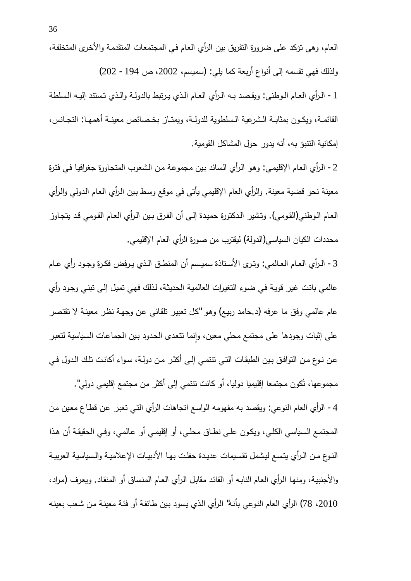العام، وهي نؤكد على ضرورة النفريق بين الرأي العام في المجتمعات المتقدمة والأخرى المتخلفة، ولذلك فهي نقسمه إلى أنواع أربعة كما بلي: (سميسم، 2002، ص 194 - 202) 1 - الرأي العام الوطني: ويقصد بـه الرأي العام الذي يرنبط بالدولـة والذي تستند إليـه الـسلطـة القائمـة، ويكـون بمثابـة الـشرعية الـسلطوية للدولـة، ويمتـاز بخـصـائص معينــة أهمـهـا: التجـانس،

إمكانية النتبؤ به، أنه يدور حول المشاكل القومية.

2− الرأي العام الإقليمي: وهو الرأي السائد بين مجموعة من الشعوب المتجاورة جغرافيا في فترة معينة نحو قضية معينة. والرأي العام الإقليمي يأتي في موقع وسط بين الرأي العام الدولي والرأي العام الـوطني(القومي). وتشير الدكتورة حميدة إلـي أن الفرق بـين الرأي العـام القومي قد يتجـاوز محددات الكيان السياسي(الدولة) ليقترب من صورة الرأي العام الإقليمي.

3 – الـرأي العـام العـالمـي: ونـري الأسـتاذة سميـسم أن المنطـق الـذي يـرفض فكـرة وجـود رأي عـام غالمي باتت غير قوية في ضوء التغيرات العالمية الحديثة، لذلك فهي تميل إلى تبني وجود رأي عام عالمي وفق ما عرفه (د حامد ربيع) وهو "كل تعبير نلقائي عن وجهة نظر معينـة لا تقتصر على إثبات وجودها على مجتمع محلي معين، وإنما نتعدى الحدود بين الجماعات السياسية لتعبر عن نوع من التوافق بين الطبقات التي تتتمي إلى أكثر من دولـة، سواء أكانت تلك الدول في

مجموعها، تُكون مجتمعا إقليميا دوليا، أو كانت تتتمي إلى أكثر من مجتمع إقليمي دولي". 4- الرأي العام النوعي: ويقصد به مفهومه الواسع انجاهات الرأي النـي نـعبر عن قطـاع معين من المجتمع السياسي الكلبي، ويكون على نطـاق محلـي، أو إقليمـي أو عـالمـي، وفـي الحقيقـة أن هـذا النوع من الرأي بتسع ليشمل تقسيمات عديدة حفلت بها الأدبيـات الإعلاميـة والسياسية العربيـة والأجنبية، ومنها الرأي العام النابـه أو القائد مقابل الرأي العام المنساق أو المنقاد. ويعرف (مراد، 2010، 78) الرأي العام النوعي بأنه" الرأي الذي يسود بين طائفة أو فئة معينة من شعب بعينه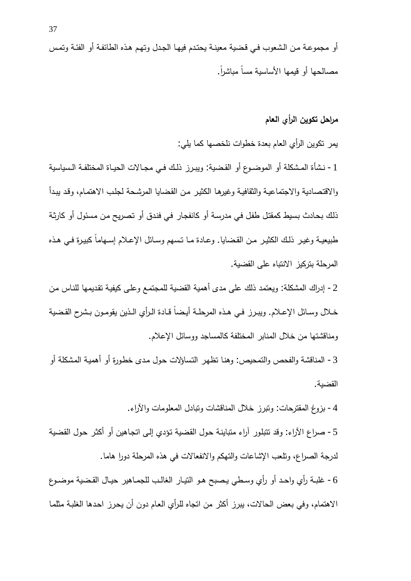أو مجموعة من الشعوب في قضية معينـة يحتدم فيهـا الجدل وتهم هذه الطائفـة أو الفئـة وتمس مصالحها أو قبمها الأساسبة مساً مباشراً.

# مرا**حل تكوين الر**أي العام

يمر نكوين الرأي العام بعدة خطوات نلخصها كما يلي:

1 - نشأة المشكلة أو الموضىوع أو القضية: ويبرز ذلك في مجـالات الحيـاة المختلفـة الـسياسية والاقتصادية والاجتماعية والثقافية وغيرها الكثير من القضايا المرشحة لجلب الاهتمام، وقد يبدأ ذلك بحادث بسيط كمقتل طفل في مدرسة أو كانفجار في فندق أو تصريح من مسئول أو كارثة طبيعيـة وغيـر ذلك الكثيـر مـن القضايا. وعـادة مـا تسهم وسـائل الإعـلام إسـهاماً كبيـرة فـي هـذه المرحلة بتركيز\_الانتباه على القضية.

2− إدراك المشكلة: ويعتمد ذلك على مدى أهمية القضية للمجتمع وعلى كيفية تقديمها للناس من خـلال وسـائل الإعـلام. ويبـرز فـي هـذه المرحلــة أيـضـاً قـادة الـرأي الـذين يقومـون بـشرح القـضية ومناقشتها من خلال المنابر المختلفة كالمساجد ووسائل الإعلام.

3− المناقشة والفحص والتمحيص: وهنا تظهر التساؤلات حول مدى خطورة أو أهمية المشكلة أو القضبة.

4- بزوغ المقترحات: ونبرز خلال المناقشات ونبادل المعلومات والأراء.

5- صراع الأراء: وقد نتبلور أراء متباينة حول القضية تؤدي إلى انجاهين أو أكثر حول القضية لدرجة الصراع، وتلعب الإشاعات والتهكم والانفعالات في هذه المرحلة دورا هاما.

6 – غلبـة رأي واحـد أو رأي وسـطـي يـصبح هـو النيـار الـغالـب للجمـاهير حيـال القـضية موضـوع الاهتمام، وفي بعض الحالات، ببرز أكثر من اتجاه للرأي العام دون أن يحرز احدها الغلبة مثلما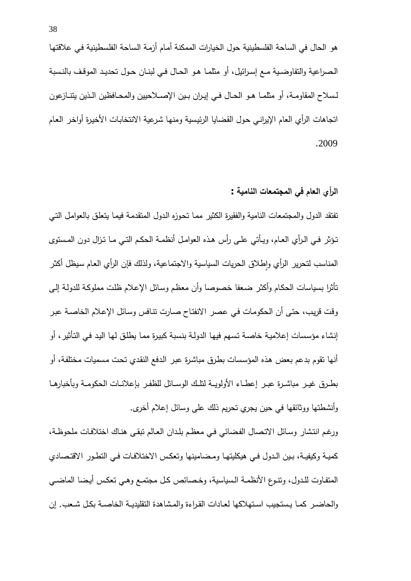هو الحال في الساحة الفلسطينية حول الخيارات الممكنة أمام أزمة الساحة الفلسطينية في علاقتها المصراعية والتفاوضـية مـع إسـرائيل، أو مثلمـا هـو الحـال فـي لبنـان حـول تحديـد الموقـف بالنـسبة لـسلاح المقاومـة، أو مثلمـا هـو الحـال فـي إيـران بـين الإصــلاحيين والمحـافظين الـذين يتنــازعون اتجاهات الرأي العام الإيراني حول القضايا الرئيسية ومنها شرعية الانتخابات الأخيرة أواخر العام .2009

## الرأي العام في المجتمعات النامية :

تفتقد الدول والمجتمعات النامية والفقيرة الكثير مما تحوزه الدول المتقدمة فيما يتعلق بالعوامل التبي تؤثِّر في الرأي العام، ويأتي على رأس هذه العوامل أنظمة الحكم التي ما تزال دون المستوى المناسب لتحرير الرأي وإطلاق الحريات السياسية والاجتماعية، ولذلك فإن الرأي العام سيظل أكثر تأثرا بسياسات الحكام وأكثر ضعفا خصوصا وأن معظم وسائل الإعلام ظلت مملوكة للدولة إلى وقت قريب، حتى أن الحكومات في عصر الانفتاح صارت نتافس وسائل الإعلام الخاصىة عبر إنشاء مؤسسات إعلامية خاصـة تسهم فيها الدولـة بنسبة كبيرة ممـا يطلق لـها اليد فـي التأثير ، أو أنها تقوم بدعم بعض هذه المؤسسات بطرق مباشرة عبر الدفع النقدي تحت مسميات مختلفة، أو بطرق غيـر مباشـرة عبـر إعطـاء الأولويــة لنلـك الوسـائل للظفـر بإعلانـات الـحكومــة وبأخبارهـا وأنشطتها ووثائقها في حين يجري تحريم ذلك على وسائل إعلام أخرى.

ورغم انتشار وسائل الاتصال الفضائي في معظم بلدان العالم تبقي هناك اختلافات ملحوظة، كمية وكيفية، بين الدول في هيكليتها ومضامينها وتعكس الاختلافات في التطور الاقتصادي المتفاوت للدول، وتتوع الأنظمـة الـسياسية، وخصائص كل مجتمـع وهـي تعكس أيضا الماضـي والحاضر كما يستجيب استهلاكها لعادات القراءة والمشاهدة التقليديـة الخاصـة بكل شـعب. إن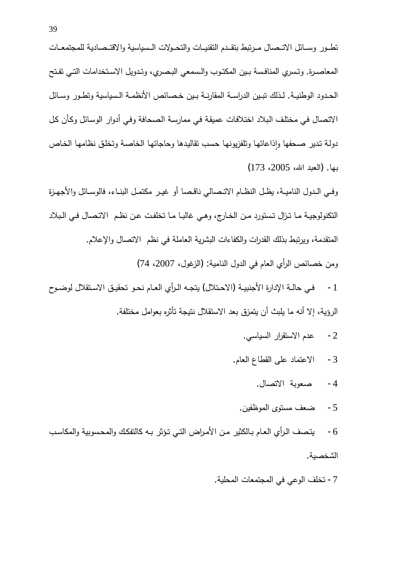تطـور وسـائل الاتـصـال مـرتبط بنقـدم النقنيـات والتحـولات الـسياسية والاقتـصـادية للمجتمعـات المعاصرة. وتسرى المنافسة بين المكتوب والسمعي البصري، وتدويل الاستخدامات التي تفتح الحدود الوطنية. لذلك تبين الدراسة المقارنـة بـين خصائص الأنظمـة الـسياسية وتطـور وسـائل الاتصال في مختلف البلاد اختلافات عميقة في ممارسة الصحافة وفي أدوار الوسائل وكأن كل دولة تدير صحفها واذاعاتها وتلفزيونها حسب تقاليدها وحاجاتها الخاصة وتخلق نظامها الخاص بيها. (العبد الله، 2005، 173)

وفي الدول الناميــة، يظـل النظــام الاتــصالي ناقـصـا أو غيـر مكتمـل البنــاء، فالوســائل والأجهـزة التكنولوجية مـا تـزال تستورد مـن الخـارج، وهـي غالبـا مـا تخلفت عـن نظـم الاتـصـال فـي الـبلاد المتقدمة، ويرتبط بذلك القدرات والكفاءات البشرية العاملة في نظم الاتصال والإعلام. ومن خصائص الرأي العام في الدول النامية: (الزغول، 2007، 74)

1 − في حالــة الإدارة الأجنبيــة (الاحـتلال) يتجــه الـرأى العــام نحـو تحقيـق الاسـتقلال لوضــوح الرؤية، إلا أنه ما يلبث أن يتمزق بعد الاستقلال نتيجة تأثره بعوامل مختلفة.

- −2 عدم الاستقرار السياسي.
- 3- الاعتماد على القطاع العام.
	- 4- صعوبة الاتصال.
	- 5 ضعف مستوى الموظفين.

6 — يتصف الرأي العام بـالكثير من الأمراض التي تؤثر بـه كالتفكك والمحسوبية والمكاسب الشخصبة.

7 - تخلف الوعي في المجتمعات المحلية.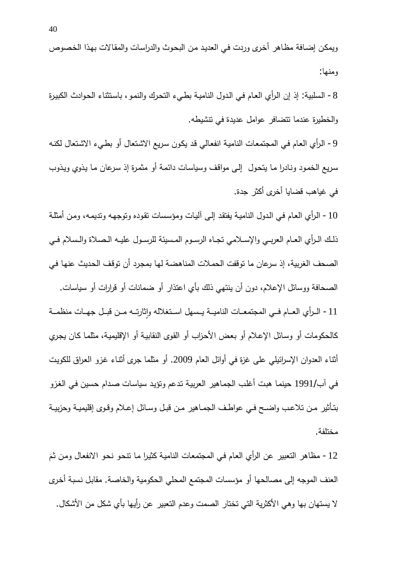ويمكن إضافة مظاهر أخرى وردت في العديد من البحوث والدراسات والمقالات بهذا الخصوص ومنها:

8 - السلبية: إذ إن الرأي العام في الدول النامية بطيء التحرك والنمو ، باستثناء الحوادث الكبيرة والخطيرة عندما نتضافر عوامل عديدة في نتشيطه.

9− الرأي العام في المجتمعات النامية انفعالي قد يكون سريع الاشتعال أو بطيء الاشتعال لكنـه سريع الخمود ونادرا ما يتحول إلىي مواقف وسياسات دائمة أو مثمرة إذ سرعان ما يذوي ويذوب في غياهب قضايا أخرى أكثر جدة.

10 − الرأي العام في الدول النامية يفتقد إلى آليات ومؤسسات نقوده وتوجهه وتديمه، ومن أمثلة ذلك الرأي العـام العربـي والإسـلامي تجـاه الرسـوم المـسيئة للرسـول عليـه الـصـلاة والـسلام فـي الصحف الغربية، إذ سرعان ما توقفت الحملات المناهضة لها بمجرد أن توقف الحديث عنها في المصحافة ووسائل الإعلام، دون أن ينتهي ذلك بأي اعتذار أو ضمانات أو قرارات أو سياسات. 11 - الـرأي العــام فــي المجتمعــات الناميــة يــسهل اســتغلاله واثارتــه مــن قبــل جهــات منظمــة كالحكومات أو وسائل الإعلام أو بعض الأحزاب أو القوى النقابية أو الإقليمية، مثلما كان يجري أثناء العدوان الإسرائيلي على غزةٍ في أوائل العام 2009. أو مثلما جرى أثناء غزو العراق للكويت في آب/1991 حينما هبت أغلب الجماهير العربية تدعم وتؤيد سياسات صدام حسين في الغزو بتأثير من تلاعب واضح فيي عواطف الجماهير من قبل وسائل إعلام وقوى إقليمية وحزبية مختلفة .

12 - مظاهر التعبير عن الرأي العام في المجتمعات النامية كثيرا ما نتحو نحو الانفعال ومن ثمَ É العنف الموجه إلى مصالحها أو مؤسسات المجتمع المحلي الحكومية والخاصبة. مقابل نسبة أخرى لا يستهان بها وهي الأكثرية التي تختار الصمت وعدم التعبير عن رأيها بأي شكل من الأشكال.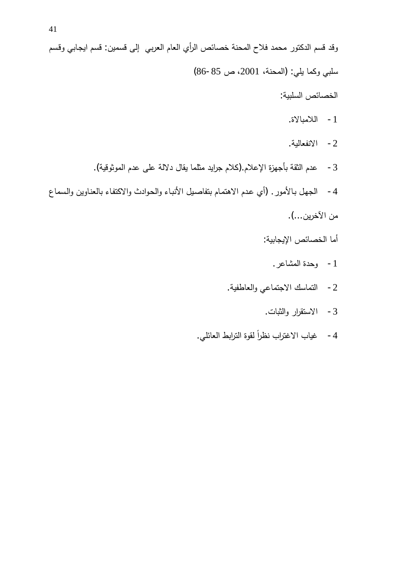وقد قسم الدكتور محمد فلاح المحنة خصائص الرأي العام العربي إلى قسمين: قسم ايجابي وقسم  $(86-85$ سلبي وكما يلي: (المحنة، 2001، ص الخصائص السلببة:

- .©ƛŕŗƈƜƅ§ -1
- 2- الانفعالية.
- 3− عدم الثقة بأجهزة الإعلام.(كلام جرايد مثلما يقال دلالة على عدم الموثوقية).

4- الجهل بالأمور . (أي عدم الاهتمام بتفاصيل الأنباء والحوادث والاكتفاء بالعناوين والسماع

- من الآخرين...).
- أما الخصائص الإبجابية:
	- 1- وحدة المشاعر .
- 2- النماسك الاجتماعي والعاطفية.
	- 3- الاستقرار والثبات.
- 4− غياب الاغتراب نظراً لقوة الترابط العائلي.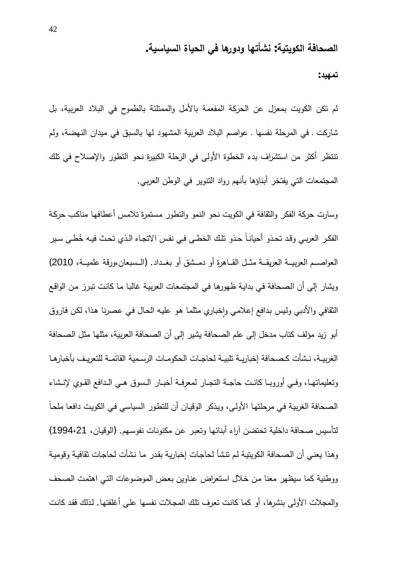الصحافة الكويتية: نشأتها ودورها في الحياة السياسية.

**تمهيد :** 

لم نكن الكويت بمعزل عن الحركة المفعمة بالأمل والممتلئة بالطموح في البلاد العربية، بل شاركت . في المرحلة نفسها . عواصم البلاد العربية المشهود لها بالسبق في ميدان النهضة، ولم تتنظر أكثر من استشراف بدء الخطوة الأولى في الرحلة الكبيرة نحو النطور والإصلاح في تلك المجتمعات التي يفتخر أبناؤها بأنهم رواد النتوير في الوطن العربي.

وسارت حركة الفكر والثقافة في الكويت نحو النمو والنطور مستمرة تلامس أعطافها مناكب حركة الفكر العربي وقد تحذو أحيانـا حذو تلك الخطـى فـي نفس الاتجـاه الذي تحث فيـه خُطـى سـير العواصيم العربيية العريقية مثيل القياهرة أو دميشق أو بغيداد. (السبيعان،ورقة علميية، 2010) ويشار إلى أن الصحافة في بداية ظهورها في المجتمعات العربية غالبا ما كانت تبرز من الواقع الثقافي والأدبي وليس بدافع إعلامي واخباري مثلما هو عليه الحال في عصرنا هذا، لكن فاروق أبو زيد مؤلف كتاب مدخل إلى علم الصحافة يشير إلى أن الصحافة العربية، مثلها مثل الصحافة الغربيـة، نـشأت كـصـحافة إخباريـة تلبيـة لحاجـات الـحكومـات الرسـمية القائمـة للتعريـف بأخبارهـا وتعليماتهـا، وفـي أوروبـا كانـت حاجــة التجـار لمعرفــة أخبــار الــسوق هـي الــدافـع القـوي لإنــشاء الصحافة الغربية في مرحلتها الأولى، ويذكر الوقيان أن للتطور السياسي في الكويت دافعا ملحاً لتأسيس صحافة داخلية تحتضن آراء أبنائها وتعبر عن مكنونات نفوسهم. (الوقيان، 1994،21) وهذا يعني أن الصحافة الكويتية لم تتشأ لحاجات إخبارية بقدر ما نشأت لحاجات ثقافية وقومية ووطنية كما سيظهر معنا من خلال استعراض عناوين بعض الموضوعات التي اهتمت الصحف والمجلات الأولى بنشرها، أو كما كانت نعرف نلك المجلات نفسها على أغلفتها. لذلك فقد كانت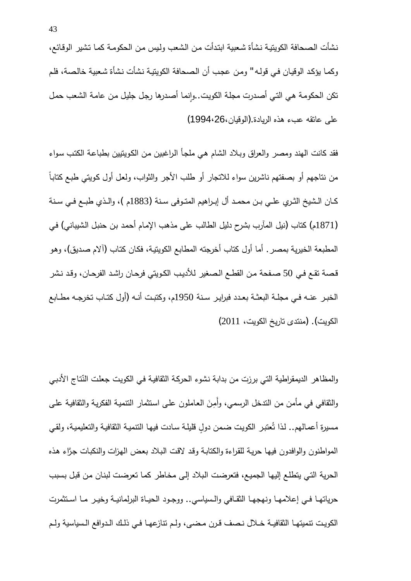نشأت الصحافة الكويتية نشأة شعبية ابتدأت من الشعب وليس من الحكومة كما تشير الوقائع، وكما يؤكد الوقيان في قولـه " ومن عجب أن الصحافة الكويتية نشأت نشأة شعبية خالصنة، فلم تكن الحكومة هي التي أصدرت مجلة الكويت..وانما أصدرها رجل جليل من عامة الشعب حمل على عاتقه عبء هذه الريادة.(الوقيان،264646)

فقد كانت المهند ومصر والعراق وبـلاد الشام هي ملجأ الراغبين من الكويتيين بطباعة الكتب سواء من نتاجهم أو بصفتهم ناشرين سواء للاتجار أو طلب الأجر والثواب، ولعل أول كويتي طبع كتاباً كان الـشيخ الثري علـي بـن محمـد أل إبـراهيم المتـوفي سـنة (1883م )، والـذي طبــع فـي سـنة (1871م) كتاب (نيل المآرب بشرح دليل الطالب على مذهب الإمام أحمد بن حنبل الشيباني) في المطبعة الخيرية بمصر . أما أول كتاب أخرجته المطابع الكويتية، فكان كتاب (آلام صديق)، وهو قصة نقع في 50 صـفحة من القطـع الـصغير للأديب الكويتي فرحـان راشد الفرحـان، وقد نـشر الخبر عنـه فـي مجلـة البعثـة بعـدد فبرايـر سـنـة 1950م، وكتبت أنـه (أول كتـاب تخرجـه مطـابـع الكويت). (منتدى ناريخ الكويت، 2011)

والمظاهر الديمقراطية التي برزت من بدابة نشوء الحركة الثقافية في الكويت جعلت النّتاج الأدبي والثقافي في مأمن من الندخل الرسمي، وأُمِنَ العاملون على اسنثمار النتمية الفكرية والثقافية على مسيرة أعمالهم.. لذا تُعتبر الكويت ضمن دول قليلة سادت فيها النتمية الثقافية والتعليمية، ولقي المواطنون والوافدون فيها حرية للقراءة والكتابـة وقد لاقت البـلاد بعض الـهزات والنكبـات جرًاء هذه الحرية التي يتطلع إليها الجميع، فتعرضت البلاد إلى مخاطر كما تعرضت لبنان من قبل بسبب حرياتها في إعلامها ونهجها الثقافي والسياسي.. ووجود الحياة البرلمانيـة وخيـر مـا اسـتثمرت الكويت نتميتها الثقافيــة خـلال نـصف قرن مـضي، ولـم نتازعهـا فـي ذلـك الـدوافـع الـسياسية ولـم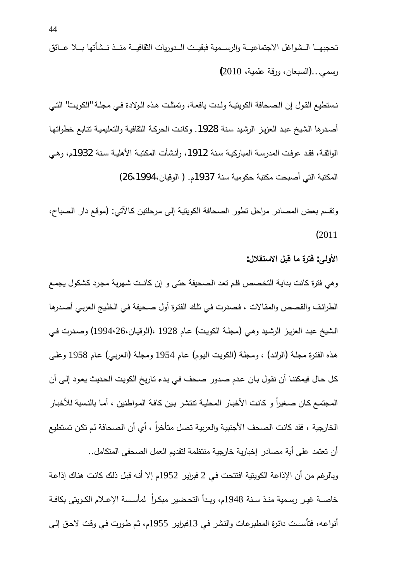تحجبهــا الــشواغل الاجتماعيــة والرســمية فبقيــت الــدوريات الثقافيــة منــذ نــشأتها بـــلا عـــائق رسمي...(السبعان، ورقة علمية، 2010)

نستطيع القول إن الصحافة الكويتية ولدت يافعة، وتمثلت هذه الولادة في مجلـة "الكويت" التـي أصدرها الشيخ عبد العزيز الرشيد سنة 1928. وكانت الحركة الثقافية والتعليمية تتابع خطواتها الواثقة، فقد عرفت المدرسة المباركية سنة 1912، وأنشأت المكتبة الأهلية سنة 1932م، وهي المكتبة التي أصبحت مكتبة حكومية سنة 1937م. ( الوقيان،1994،26)

ونقسم بعض المصادر مراحل نطور الصحافة الكويتية إلى مرحلتين كالآتي: (موقع دار الصباح، (2011

الأولى: فترة ما قبل الاستقلال:

وهي فترة كانت بداية التخصص فلم تعد الصحيفة حتى و إن كانـت شـهرية مجرد كشكول يجمـع الطرائف والقصص والمقالات ، فصدرت في تلك الفترة أول صحيفة في الخليج العربي أصدرها الشيخ عبد العزيز الرشيد وهي (مجلـة الكويت) عام 1928 ،(الوقيان،264·1994) وصدرت فـي هذه الفترة مجلة (الرائد) ، ومجلة (الكويت اليوم) عام 1954 ومجلة (العربي) عام 1958 وعلى كل حال فيمكننا أن نقول بان عدم صدور صحف في بدء تاريخ الكويت الحديث يعود إلى ان المجتمع كان صغيراً و كانت الأخبار المحلبة تتتشر بين كافة المواطنين ، أما بالنسبة للأخبار الخارجية ، فقد كانت الصحف الأجنبية والعربية تصل متأخراً ، أي أن الصحافة لم تكن تستطيع أن تعتمد على أية مصادر إخبارية خارجية منتظمة لتقديم العمل الصحفي المتكامل..

وبالرغم من أن الإذاعة الكويتية افتتحت في 2 فبراير 1952م إلا أنـه قبل ذلك كانت هناك إذاعة خاصــة غيـر رسـمية منـذ سـنـة 1948م، وبـدأ التحـضير مبكـراً لمأسـسة الإعـلام الكـويتي بكافـة أنواعـه، فتأسست دائرة المطبوعات والنشر في 13فبراير 1955م، ثم طـورت فـي وقت لاحق إلـي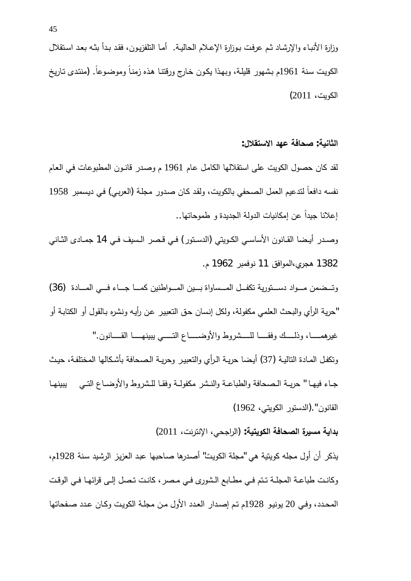وزارة الأنبـاء والإرشـاد ثـم عرفت بـوزارة الإعـلام الـحاليـة. أمـا النلفزيـون، فقد بـدأ بثـه بـعـد اسنقلال الكويت سنة 1961م بشهور قليلة، وبهذا يكون خارج ورقتنا هذه زمناً وموضوعاً. (منتدى تاريخ (الكويت، 2011)

الثانية: صحافة عهد الاستقلال:

لقد كان حصول الكويت على استقلالها الكامل عام 1961 م وصدر قانـون المطبوعات في العام نفسه دافعاً لتدعيم العمل الصحفي بالكويت، ولقد كان صدور مجلة (العربي) في ديسمبر 1958 إعلانا جبداً عن إمكانيات الدولة الجدبدة و طموحاتها..

وصدر أيضا القانون الأساسي الكويتي (الدستور) في قصر السيف في 14 جمـادي الثـاني 1382 هجرى،الموافق 11 نوفمبر 1962 م.

وتــضمن مـــواد دســـتورية تكفـــل المـــساواة بـــين المـــواطنين كمـــا جـــاء فـــي المــــادة (36) **ّخري**ة الرأي والبحث العلمي مكفولة، ولكل إنسان حق النعبير عن رأيه ونشره بالقول أو الكتابـة أو غيرهمـــا، وذلـــك وفقـــا للـــشروط والأوضــــاع التــــى بيبنهــــا القــــانون." ونكفل المـادة التاليـة (37) أيـضا حريـة الـرأي والتعبير وحريـة الـصـحافة بأشـكالـها المختلفـة، حيث

جـاء فيهـا " حريــة الـصـحافة والطباعــة والنـشر مكفولــة وفقـا للـشروط والأوضــاع التــي بيبنهـا (القانون" (الدستور الكويتي، 1962)

**بداية مسيرة الصحافة الكويتية: (ال**راجحي، الإنترنت، 2011)

بذكر أن أول مجله كوبتبة هي "مجلة الكوبت" أصدرها صـاحبها عبد العزبز الرشبد سنة 1928م، وكانت طباعــة المجلــة تـتم فــي مطــابـع الـشوري فــي مـصـر ، كانـت تـصـل إلــي قرائـهــا فــي الوقـت المحدد، وفي 20 يونيو 1928م تم إصدار العدد الأول من مجلة الكويت وكان عدد صفحاتها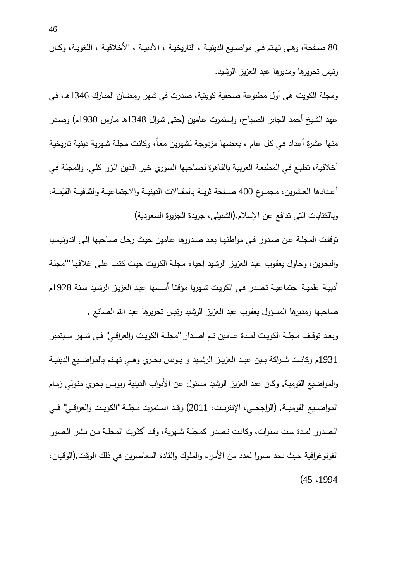80 صفحة، وهي تهتم في مواضيع الدينية ، التاريخية ، الأنبيـة ، الأخلاقيـة ، اللغويـة، وكـان رئيس تحريرها ومديرها عبد العزيز الرشيد.

ومجلة الكويت هي أول مطبوعة صحفية كويتية، صدرت في شهر رمضان المبارك 1346هـ، في عهد الشيخ أحمد الجابر الصباح، واستمرت عامين (حتى شوال 1348هـ مارس 1930م) وصدر منها عشرة أعداد في كل عام ، بعضها مزدوجة لشهرين معاً، وكانت مجلة شهرية دينية تاريخية أخلاقية، تطبع في المطبعة العربية بالقاهرة لصاحبها السوري خير الدين الزر كلي. والمجلة في أعـدادها العشرين، مجمـوع 400 صـفحة ثريـة بالمقـالات الدينيـة والاجتماعيـة والثقافيـة القيّمـة، وبالكتابات التي ندافع عن الإسلام.(الشبيلي، جريدة الجزيرة السعودية)

توقفت المجلة عن صدور في مواطنها بعد صدورها عامين حيث رجل صـاحبها إلـي اندونيسيا والبحرين، وحاول يعقوب عبد العزيز الرشيد إحياء مجلة الكويت حيث كتب على غلافها ""مجلة أدبية علمية اجتماعية تصدر في الكويت شهريا مؤقتا أسسها عبد العزيز الرشيد سنة 1928م صاحبها ومديرها المسؤول يعقوب عبد العزيز الرشيد رئيس تحريرها عبد الله الصانع .

وبعد توقف مجلـة الكويت لمـدة عـامين تـم إصـدار "مجلـة الكويت والعراقـي" فـي شـهر سـبتمبر 1931م وكانت شراكة بين عبد العزيز الرشيد و يونس بحري وهي تهتم بالمواضيع الدينيـة والمواضيع القومية. وكان عبد العزيز الرشيد مسئول عن الأبواب الدينية ويونس بحري متولي زمام المواضـيع القوميـة. (الراجحـي، الإنترنـت، 2011) وقـد اسـتمرت مجلــة "الكويـت والعراقــي" فــي الصدور لمدة ست سنوات، وكانت تصدر كمجلة شهرية، وقد أكثرت المجلة من نشر الصور الفونوغرافية حيث نجد صورا لعدد من الأمراء والملوك والقادة المعاصرين في ذلك الوقت.(الوقيان، (451994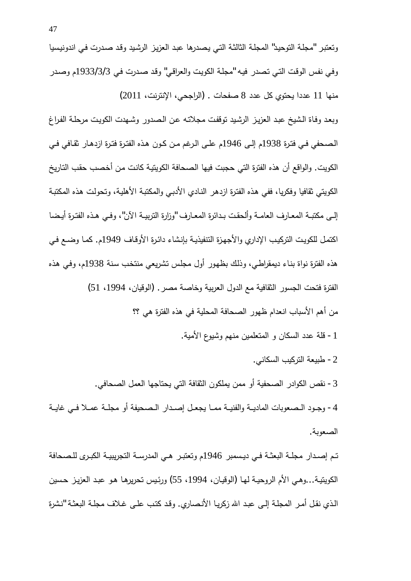وتعتبر "مجلة التوحيد" المجلة الثالثة التي يصدرها عبد العزيز الرشيد وقد صدرت في اندونيسيا وفي نفس الوقت التي تصدر فيه "مجلة الكويت والعراقي" وقد صدرت في 1933/3/3 وصدر منها 11 عددا يحتوى كل عدد 8 صفحات . (الراجحي، الإنترنت، 2011) وبعد وفاة الشيخ عبد العزيز الرشيد توقفت مجلاته عن الصدور وشهدت الكويت مرحلة الفراغ الصحفي في فترة 1938م إلى 1946م على الرغم من كون هذه الفترة فترة ازدهار ثقافي في الكويت. والواقع أن هذه الفترة التي حجبت فيها الصحافة الكويتية كانت من أخصب حقب التاريخ الكويتي ثقافيا وفكريا، ففي هذه الفترة ازدهر النـادي الأدبـي والمكتبـة الأهليـة، وتحولت هذه المكتبـة إلـى مكتبـة المعـارف العامـة وألحقت بـدائرة المعـارف "وزارة التربيـة الآن"، وفـي هـذه الفتـرة أيـضـا اكتمل للكويت التركيب الإداري والأجهزة التتفيذية بإنشاء دائرة الأوقاف 1949م. كما وضـع في هذه الفترة نواة بناء ديمقراطي، وذلك بظهور أول مجلس تشريعي منتخب سنة 1938م، وفي هذه الفترة فتحت الجسور الثقافية مع الدول العربية وخاصة مصر . (الوقيان، 1994، 51) من أهم الأسباب انعدام ظهور الصحافة المحلية في هذه الفترة هي ؟؟ .<sup>1</sup> – قلة عدد السكان و المتعلمين منهم وشيوع الأمية 2 - طبيعة التركيب السكاني. 3 − نقص الكوادر الصحفية أو ممن يملكون الثقافة التي يحتاجها العمل الصحافي. 4- وجود الـصعوبات الماديـة والفنيـة ممـا يجعـل إصـدار الـصحيفة أو مجلـة ع*م*ـلا فـي غايـة

الصعوبة.

تم إصدار مجلـة البعثـة فـي ديـسمبر 1946م وتعتبـر هـي المدرسـة التجريبيـة الكبـري للـصـحافة الكويتية...وهي الأم الروحية لها (الوقيان، 1994، 55) ورئيس تحريرها هو عبد العزيز حسين الذي نقل أمر المجلة إلى عبد الله زكريا الأنصاري. وقد كتب على غلاف مجلة البعثة "نشرة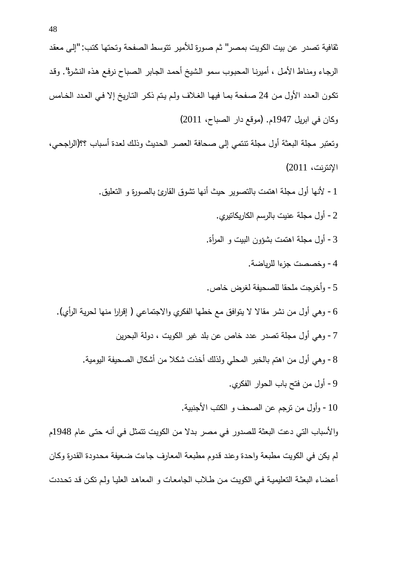| ثقافية تصدر  عن بيت الكويت بمصر " ثم صورة للأمير  تتوسط الصفحة وتحتها كتب: "إلى معقد           |
|------------------------------------------------------------------------------------------------|
| الرجاء ومناط الأمل ، أميرنا المحبوب سمو الشيخ أحمد الجابر الصباح نرفع هذه النشرة". وقد         |
| تكون العدد الأول من 24 صـفحة بمـا فيهـا الغـلاف ولـم يـتم ذكـر التـاريخ إلا فـي العـدد الخـامس |
| وكان في ابريل 1947م. (موقع دار الصباح، 2011)                                                   |
| ونعتبر مجلة البعثة أول مجلة نتنمي إلى صحافة العصر الحديث وذلك لعدة أسباب ؟؟(الراجحي،           |
| الإنترنت، 2011)                                                                                |
| 1- لأنـها أول مـجلـة اهتمت بالنصـوير حيث أنـها نشوق القارئ بالصـورة و النـعليق.                |
| 2- أول مجلة عنيت بالرسم الكاريكانيري.                                                          |
| 3- أول مجلة اهتمت بشؤون الببيت و المرأة.                                                       |
| 4- وخصصت جزءا للرياضة.                                                                         |
| 5- وأخرجت ملحقا للصحيفة لغرض خاص.                                                              |
| 6- وهي أول من نشر مقالا لا يتوافق مع خطها الفكري والاجتماعي ( إقرارا منها لحرية الرأي).        |
| 7- وهي أول مجلة تصدر عدد خاص عن بلد غير الكويت ، دولة البحرين                                  |
| 8- وهي أول من اهتم بالخبر المحلي ولذلك أخذت شكلا من أشكال الصحيفة اليومية.                     |
| 9- أول من فتح باب الحوار الفكري.                                                               |
| 10- وأول من نرجم عن الصحف و الكتب الأجنبية.                                                    |
| والأسباب التي دعت البعثة للصدور في مصر بدلا من الكويت نتمثل في أنه حتى عام 1948م               |
| لم يكن في الكويت مطبعة واحدة وعند قدوم مطبعة المعارف جاءت ضعيفة محدودة القدرة وكان             |
| أعضاء البعثـة التعليميـة فـي الكويت مـن طـلاب الـجامعـات و المعاهد العليـا ولـم تكـن قد تحـددت |

48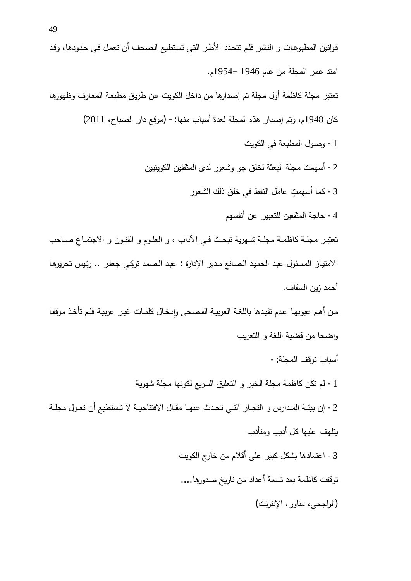قوانين المطبوعات و النشر فلم تتحدد الأطر التي تستطيع الصحف أن تعمل في حدودها، وقد امتد عمر المجلة من عام 1946 –1954م. تعتبر مجلة كاظمة أول مجلة تم إصدارها من داخل الكويت عن طريق مطبعة المعارف وظهورها كان 1948م، وتم إصدار هذه المجلة لعدة أسباب منها: - (موقع دار الصباح، 2011) 1 - وصول المطبعة في الكويت 2− أسهمت مجلة البعثة لخلق جو وشعور لدى المثقفين الكويتيين 2 3 − كما أسهمتٍ عامل النفط في خلق ذلك الشعور 4 - حاجة المثقفين للتعبير عن أنفسهم تعتبر مجلـة كاظمـة مجلـة شـهرية تبحث فـي الآداب ، و العلـوم و الفنـون و الاجتمـاع صـاحب الامتياز المسئول عبد الحميد الصانع مدير الإدارة : عبد الصمد تركي جعفر .. رئيس تحريرها أحمد زين السقاف. من أهم عيوبها عدم تقيدها باللغة العربية الفصحى وإدخال كلمات غير عربية فلم تأخذ موقفا واضحا من قضية اللغة و التعربيب أسياب توقف المجلة: -1 - لم تكن كاظمة مجلة الخبر و التعليق السريع لكونها مجلة شهرية 2− إن بيئـة المدارس و التجـار التـى تحدث عنهـا مقـال الافتتاحيـة لا تـستطيع أن تعـول مجلـة بنلهف علبها كل أدبب ومتأدب 3 - اعتمادها بشكل كبير على أقلام من خارج الكويت نوففت كاظمة بعد تسعة أعداد من تاريخ صدورها…. (الراجحي، مناور ، الإنترنت)

49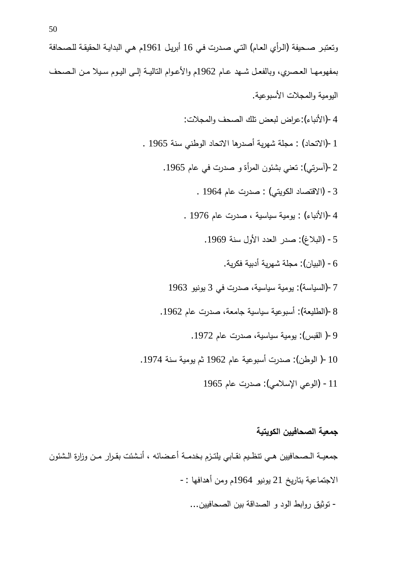- 4-(الأنباء):عراض لبعض نلك الصحف والمجلات:
- . [الاتحاد) : مجلة شهرية أصدرها الاتحاد الوطني سنة 1965 .
	- .1965 أسرتي): تعني بشئون المرأة و صدرت في عام 1965.
		- . [الاقتصاد الكويتي) : صدرت عام 1964 $\,$ .
		- . 1976 فيومية سياسية ، صدرت عام 1976 $\cdot$ 4
			- 5- (البلاغ): صدر العدد الأول سنة 1969.
				- و (البيان): مجلة شهرية أدبية فكرية.  $\epsilon$
		- 7-(السياسة): يومية سياسية، صدرت في 3 يونيو 1963
	- 8-(الطليعة): أسبوعية سياسية جامعة، صدرت عام 1962.
		- 9-( القبس): يومية سياسية، صدرت عام 1972.
- .1974 (الوطن): صدرت أسبوعية عام 1962 ثم يومية سنة 1974
	- 1965 (الوعي الإسلامي): صدرت عام 1965 $(1965$

#### جمعية الصحافيين الكويتية

جمعيــة الـصـحافيين هــي تتظـيم نقـابـي بلتـزم بـخدمــة أعـضائـه ، أنـشئت بقـرار مـن وزارة الـشئون -: الاجتماعية بتاريخ 21 يونيو 1964م ومن أهدافها

- توثيق روابط الود و الصداقة بين الصحافيين…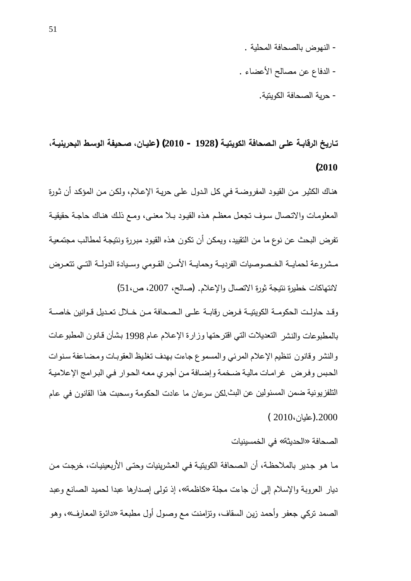- النهوض بالصحافة المحلية .
- الدفاع عن مصالح الأعضاء .
	- حربة الصحافة الكوبتبة.

تاريخ الرقابــة علـي الـصحافـة الكويتيــة (1928 - 2010) (عليـان، صـحيفـة الوسـط البحرينيــة،  **(2010**

هذاك الكثير من القيود المفروضـة فـي كل الـدول علـي حريـة الإعـلام، ولكن مـن المؤكد أن ثـورة المعلومـات والاتصـال سـوف تجعل معظـم هذه القيـود بـلا معنـي، ومـع ذلك هنـاك حاجـة حقيقيـة تفرض البحث عن نوع ما من التقييد، ويمكن أن تكون هذه القيود مبررةٍ ونتيجة لمطالب مجتمعية مـشروعة لحمايــة الخـصوصبات الفرديــة وحمايــة الأمــن القـومي وسـبادة الدولــة التــي تتعـرض لانتهاكات خطبرة نتبجة ثورة الاتصال والإعلام. (صالح، 2007، ص:51)

وقد حاولت الحكومــة الكويتيــة فـرض رقابــة علــى الــصـحافة مــن خــلال تعـديل قـوانين خاصـــة دالمطيوعات والنشر التعديلات التي اقتر حتها وز ار ة الإعلام عـام 1998 بشأن قـانو ن المطبو عـات والنشر وقانون تنظيم الإعلام المرئي والمسموع جاءت بهدف تغليظ العقوبات ومضاعفة سنوات الحبس وفرض غرامات مالية ضخمة وإضافة من أجرى معه الحوار في البرامج الإعلامية التلفزيونية ضمن المسئولين عن البث لكن سرعان ما عادت الحكومة وسحبت هذا القانون في عام  $(2010, 2000)$ (علبان).

#### الصحافة «الحديثة» في الخمسينيات

ما هو جدير بالملاحظـة، أن الصحافة الكويتيـة فـي العشرينيات وحتـي الأربعينيـات، خرجت من ديار العروبة والإسلام إلى أن جاءت مجلة «كاظمة»، إذ تولى إصدارها عبدا لحميد الصانع وعبد الصمد نزكي جعفر وأحمد زين السقاف، ونزامنت مع وصول أول مطبعة «دائرة المعارف»، وهو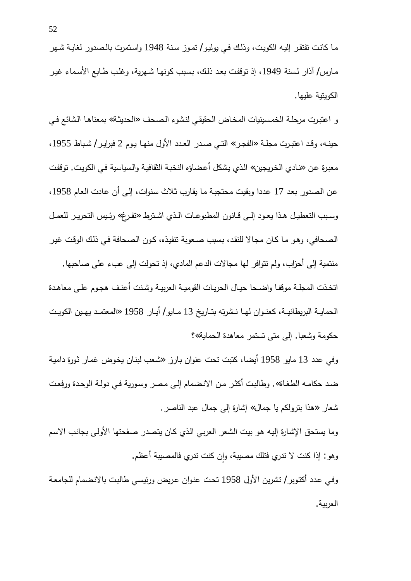ما كانت تفتقر إليه الكويت، وذلك في يوليو/تموز سنة 1948 واستمرت بالصدور لغايـة شـهر مارس/ آذار لسنة 1949، إذ توقفت بعد ذلك، بسبب كونها شـهرية، وغلب طـابـع الأسـماء غيـر الكوبتية علبها.

و اعتبرت مرحلة الخمسينيات المخاض الحقيقي لنشوء الصحف «الحديثة» بمعناها الشائع في حينـه، وقد اعتبرت مجلـة «الفجر» التـى صـدر العـدد الأول منهـا بـوم 2 فبرايـر / شـباط 1955، معبرة عن «نادي الخريجين» الذي يشكل أعضاؤه النخبة الثقافية والسياسية في الكويت. توقفت عن الصدور بعد 17 عددا وبقيت محتجبة ما يقارب ثلاث سنوات، إلى أن عادت العام 1958، وسبب التعطيل هذا يعود إلى قـانون المطبوعـات الـذي اشـترط «تفـرغ» رئـيس التحريـر للعمـل الصحافي، وهو ما كان مجالا للنقد، بسبب صعوبة نتفيذه، كون الصحافة في ذلك الوقت غير

منتمية إلى أحزاب، ولم نتوافر لها مجالات الدعم المادي، إذ تحولت إلى عبء على صاحبها. اتخذت المجلة موقفا واضحا حيال الحريات القومية العربية وشنت أعنف هجوم علىي معاهدة الحمايـة البريطانيـة، كعنـوان لـهـا نـشرته بتـاريخ 13 مـايو / أيـار 1958 «المعتمـد يـهـين الكويـت حكومة وشعبا. إلى متى تستمر معاهدة الحماية»؟

وفي عدد 13 مايو 1958 أيضا، كتبت تحت عنوان بارز «شعب لبنان يخوض غمار ثورة دامية ضد حكامـه الطغـاة». وطالبت أكثر من الانضمام إلـى مصر وسورية فـي دولـة الوحدة ورفعت شعار «هذا بنزولكم يا جمال» إشارة إلى جمال عبد الناصر .

وما يستحق الإشارة إليه هو بيت الشعر العربي الذي كان يتصدر صفحتها الأولى بجانب الاسم رهو : إذا كنت لا تدري فتلك مصبية، وإن كنت تدري فالمصبية أعظم.

وفي عدد أكتوبر / تشرين الأول 1958 تحت عنوان عريض ورئيسي طالبت بالانضمام للجامعة العربية.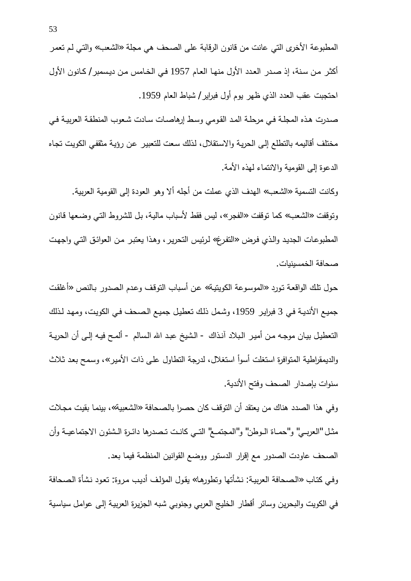المطبوعة الأخرى التي عانت من قانون الرقابة على الصحف هي مجلة «الشعب» والتي لم تعمر أكثر من سنة، إذ صدر العدد الأول منها العام 1957 في الخامس من ديسمبر / كانون الأول احتجبت عقب العدد الذي ظهر بوم أول فبراير / شباط العام 1959.

صدرت هذه المجلة في مرحلة المد القومي وسط إرهاصـات سـادت شـعوب المنطقة العربيـة فـي مختلف أقاليمه بالنطلع إلى الحرية والاستقلال، لذلك سعت للنعبير عن رؤية مثقفي الكويت تجاه الدعوة إلى القومية والانتماء لهذه الأمة.

وكانت التسمية «الشعب» الهدف الذي عملت من أجله ألا وهو العودة إلى القومية العربية. وتوقفت «الشعب» كما توقفت «الفجر»، ليس فقط لأسباب مالية، بل للشروط التي وضعها قانون المطبوعات الجديد والذي فرض «التفرغ» لرئيس التحرير ، وهذا يعتبر من العوائق التبي وإجهت صحافة الخمسينيات.

حول تلك الواقعة تورد «الموسوعة الكويتية» عن أسباب التوقف وعدم الصدور بالنص «أغلقت جميع الأنديـة فـي 3 فبراير 1959، وشمل ذلك تعطيل جميع الصـحف فـي الكويت، ومـهد لـذلك التعطيل بيـان موجـه مـن أميـر الـبلاد آنـذاك - الـشيخ عبـد الله الـسالم - ألمـح فيـه إلـي أن الـحريــة والديمقراطية المتوافرة استغلت أسوأ استغلال، لدرجة التطاول على ذات الأمير »، وسمح بعد ثلاث سنوات بإصدار الصحف وفتح الأندية.

وفي هذا الصدد هناك من يعتقد أن التوقف كان حصرا بالصحافة «الشعبية»، بينما بقيت مجلات مثل "العربي" و"حمـاة الـوطن" و"المجتمـع" التـي كانـت تـصدرها دائـرة الـشئون الاجتماعيــة وأن الصحف عاودت الصدور مع إقرار الدستور ووضع القوانين المنظمة فيما بعد.

وفي كتاب «الصحافة العربية: نشأتها وتطورها» يقول المؤلف أديب مروة: تعود نشأة الصحافة في الكويت والبحرين وسائر أقطار الخليج العربي وجنوبي شبه الجزيرة العربية إلى عوامل سياسية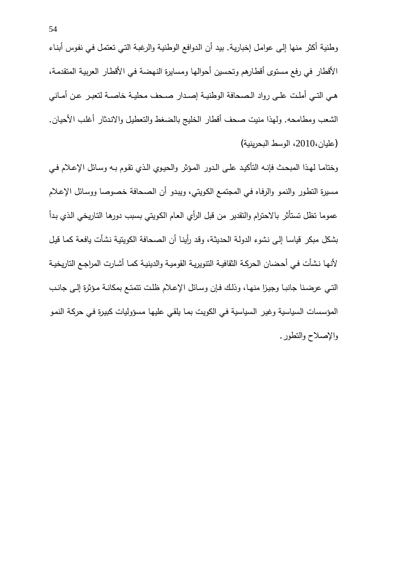وطنية أكثر منها إلى عوامل إخبارية. بيد أن الدوافع الوطنية والرغبة التي تعتمل في نفوس أبناء الأقطار في رفع مستوى أقطارهم وتحسين أحوالها ومسايرة النهضبة في الأقطار العربية المتقدمة، هي التي أملت على رواد الصحافة الوطنية إصدار صحف محلية خاصىة لتعبر عن أمـاني الشعب ومطامحه. ولهذا منيت صحف أقطار الخليج بالضغط والتعطيل والاندثار أغلب الأحيان. (عليان،2010، الوسط البحرينية)

وختامـا لـهذا المبحث فإنـه التأكيد علـي الـدور المؤثر والحيوي الـذي تقوم بـه وسـائل الإعـلام فـي مسيرة التطور والنمو والرفاه في المجتمع الكويتي، ويبدو أن الصحافة خصوصا ووسائل الإعلام عموما تظل تستأثر بالاحترام والتقدير من قبل الرأي العام الكويتي بسبب دورها التاريخي الذي بدأ بشكل مبكرٍ قياسا إلى نشوءِ الدولة الحديثة، وقد رأينا أن الصحافة الكويتية نشأت يافعة كما قيل لأنها نشأت في أحضان الحركة الثقافية النتويرية القومية والدينية كمـا أشـارت المراجـع التاريخيـة التي عرضنا جانبا وجيزا منها، وذلك فإن وسائل الإعلام ظلت نتمتع بمكانـة مؤثرة إلـي جانب المؤسسات السياسية وغير السياسية في الكويت بما يلقى عليها مسؤوليات كبيرة في حركة النمو والإصلاح والنطور .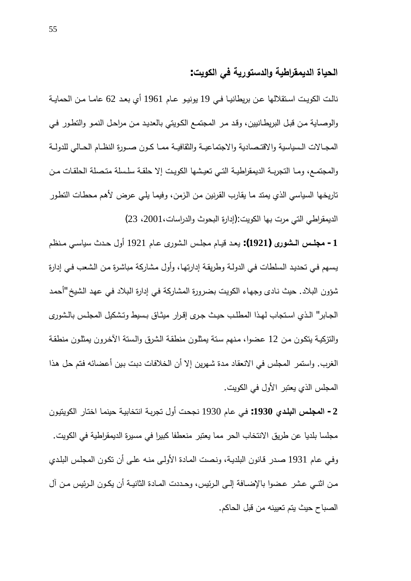# الحياة الديمقراطية والدستورية في الكويت:

نالت الكويت استقلالها عن بريطانيا فـي 19 يونيـو عـام 1961 أي بعـد 62 عامـا مـن الـحمايـة والوصـاية مـن قبـل البريطـانيين، وقد مـر المـجتمـع الكـويتي بالـعديـد مـن مراحـل النمـو والتطـور فـي المجـالات الـسباسبة والاقتـصادبة والاجتماعبـة والثقافيــة ممـا كـون صـورة النظـام الـحـالـي للدولــة والمجتمع، وما التجربــة الديمقراطيــة التــى تعيشها الكويت إلا حلقـة سلسلة متـصلة الحلقـات مـن تاريخها السياسي الذي يمتد ما يقارب القرنين من الزمن، وفيما يلي عرض لأهم محطات التطور الديمقراطي التي مرت بها الكويت:(إدارة البحوث والدراسات،2001، 23)

À¸Ɗ»»ƈƓ»»ŬŕƔŬ«¯»»ţ¿Ã£ 1921Àŕ»»ŷıÃŮ»»ƅ§³»»ƆŠƈÀŕ»»ƔƁ¯»»ŸƔ **:(1921)ðÂŬººƃ¦²ººƄŞƆ -1** يسهم في تحديد السلطات في الدولـة وطريقـة إدارتها، وأول مشاركـة مباشرة مـن الشعب فـي إدارة شؤون البلاد. حيث نادي وجهاء الكويت بضرورة المشاركة في إدارة البلاد في عهد الشيخ "أحمد الجابر " الذي استجاب لهذا المطلب حيث جرى إقرار ميثاق بسيط وتشكيل المجلس بالشوري والتزكية بتكون من 12 عضوا، منهم ستة بمثلون منطقة الشرق والستة الأخرون بمثلون منطقة الغرب. وإستمر المجلس في الانعقاد مدة شهرين إلا أن الخلافات دبت بين أعضائه فتم حل هذا المجلس الذي يعتبر الأول في الكويت.

ÁûƔśƔÃƄƅ§±ŕ»śŦ§ŕ»ƈƊƔţř»ƔŗŕŦśƊ§ř»ŗ±Šś¿Ã£ª»ţŠƊ 1930Àŕ»ŷƓ»ž **:1930Ä®ºƄŕƃ¦²ºƄŞƆƃ¦ -2** مجلسا بلديا عن طريق الانتخاب الحر مما يعتبر منعطفا كبيرا في مسيرة الديمقراطية في الكويت. وفي عام 1931 صدر قانون البلدية، ونصت المادة الأولى منه على أن تكون المجلس البلدي من اثنـي عشر عضوا بالإضـافة إلـي الرئيس، وحـددت المـادة الثانيـة أن يكـون الـرئيس مـن آل الصباح حيث ينم نعيينه من قبل الحاكم.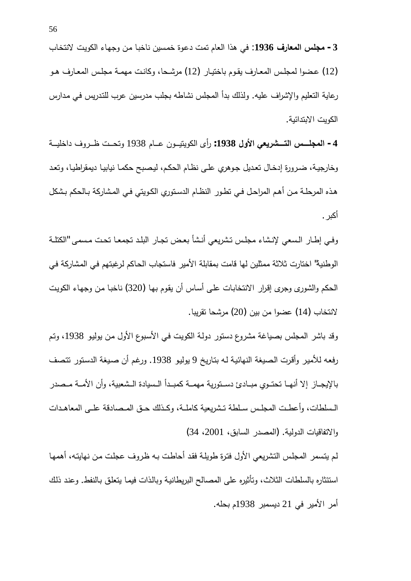¨ŕ»ŦśƊƛª»ƔÃƄƅ§¡ŕ»ƎŠÃÁ»ƈŕ»ŗŦŕƊÁƔŬ»ƈŦ©Ã»ŷ¯ªƈśÀŕŸƅ§§°ƍƓž :**1936»°œŶƆƃ¦²ƄŞƆ -3** (12) عضوا لمجلس المعارف يقوم باختيار (12) مرشحا، وكانت مهمـة مجلس المعـارف هـو رعاية التعليم والإشراف عليه. ولذلك بدأ المجلس نشاطه بجلب مدرسين عرب للتدريس في مدارس الكويت الابتدائية.

ř»»»»ƔƆŦ§¯¼Ã±»»»¸ª»»»ţśÃ 1938Àŕ»»»ŷÁû»»ƔśƔÃƄƅ§Ä£± **:1938¾Âƕ¦ƑŶƒ°Ŭººººººřƃ¦²ººººººƄŞƆƃ¦ -4** وخارجية، ضرورة إدخال تعديل جوهري على نظام الحكم، ليصبح حكما نيابيا ديمقراطيا، وتعد هذه المرحلـة مـن أهـم المراحـل فـي تطـور النظـام الدسـتوري الكـويتي فـي المشاركـة بـالـحكم بـشكل أكبر .

وفـي إطـار الـسعى لإنشاء مجلس تشريعي أنشأ بعض تجـار البلد تجمعـا تحت مـسمي "الكتلـة الوطنية" اختارت ثلاثة ممثلين لها قامت بمقابلة الأمير فاستجاب الحاكم لرغبتهم في المشاركة في الحكم والشوري وجري إقرار الانتخابات على أساس أن يقوم بها (320) ناخبا من وجهاء الكويت لانتخاب (14) عضوا من بين (20) مرشحا تقريبا.

وقد باشر المجلس بصياغة مشروع دستور دولة الكويت في الأسبوع الأول من يوليو 1938، وتم زفعه للأمير وأقرت الصيغة النهائية لـه بتاريخ 9 يوليو 1938. ورغم أن صبغة الدستور تتصف بالإيجـاز إلا أنهـا تحتـوي مبـادئ دسـتورية مهمــة كمبـدأ الـسيادة الـشعبية، وأن الأمــة مـصدر الـسلطات، وأعطـت المجلـس سـلطة تـشريعية كاملــة، وكـذلك حـق المـصـادقة علــي المعاهـدات والاتفاقيات الدولية. (المصدر السابق، 2001، 34)

لم يتسمر المجلس التشريعي الأول فترة طويلة فقد أحاطت بـه ظروف عجلت من نهايتـه، أهمها استئثاره بالسلطات الثلاث، وتأثيره على المصالح البريطانية وبالذات فيمـا يتعلق بـالنفط. وعند ذلك أمر الأمير في 21 ديسمبر 1938م بحله.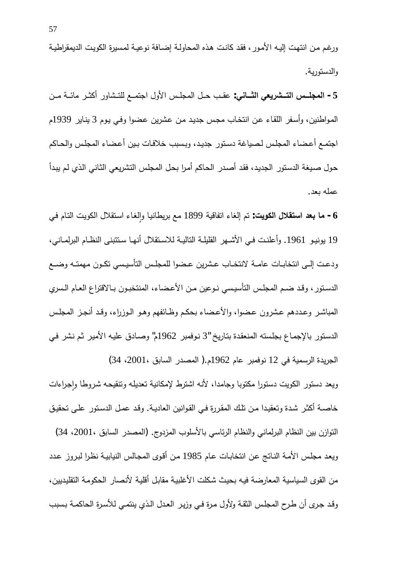ورغم من انتهت إليه الأمور ، فقد كانت هذه المحاولة إضـافة نوعيـة لمسيرة الكويت الديمقراطيـة والدستورية.

5 - ا**لمجلس التـشريعي الثــاني**: عقب حـل المجلس الأول اجتمـع للتـشاور أكثـر مائــة مـن المواطنين، وأسفر اللقاء عن انتخاب مجس جديد من عشرين عضوا وفي يوم 3 يناير 1939م اجتمع أعضاء المجلس لصياغة دستور جديد، وبسبب خلافات بين أعضاء المجلس والحاكم حول صبغة الدستور الجديد، فقد أصدر الحاكم أمرا بحل المجلس التشريعي الثاني الذي لم يبدأ عمله يعد.

Ɠ»žÀໜƅ§ª»ƔÃƄƅ§¿ƜƂś»Ŭ§¡ŕ»żƅ§Ãŕ»ƔƊŕ·Ɣ±ŗŶƈ ǔ 1899řƔƁŕſś§¡ŕżƅ¥Àś **:©ƒÂƂƃ¦¾ƚƀřŪ¦®ŶŕœƆ -6** 19 يونيو 1961. وأعلنت في الأشـهر القليلـة التاليـة للاسـتقلال أنـهـا سـتتبنـي النظـام البرلمـانـي، ودعت إلـى انتخابـات عامــة لانتخـاب عـشرين عـضوا للمجلـس التأسيـسي تكـون مهمتــه وضــع الدستور ، وقد ضم المجلس التأسيسي نـوعين مـن الأعضاء، المنتخبـون بـالاقتراع العـام الـسري المباشر وعددهم عشرون عضوا، والأعضاء بحكم وظائفهم وهو الـوزراء، وقد أنجز المجلس الدستور بالإجماع بجلسته المنعقدة بتاريخ "3 نوفمبر 1962م" وصادق عليه الأمير ثم نشر في (34 من 1962). الجريدة الرسمية في 12 نوفمبر عام 1962م. [10] 34)

ويعد دستور الكويت دستورا مكتوبا وجامدا، لأنه اشترط لإمكانية تعديله وتتقيحه شروطا واجراءات خاصــة أكثر شدة وتعقيدا من تلك المقررة فـي القوانين العاديـة. وقد عمـل الدسـتور علـي تحقيق التوازن بين النظام البرلماني والنظام الرئاسي بالأسلوب المزدوج. (المصدر السابق ،2001، 34) ويعد مجلس الأمة الناتج عن انتخابات عام 1985 من أقوى المجالس النيابية نظرا لبروز ٍ عدد من القوى السياسية المعارضة فيه بحيث شكلت الأغلبية مقابل أقلية لأنصار الحكومة التقليديين، وقد جرى أن طرح المجلس الثقة ولأول مرة في وزير العدل الذي ينتمي للأسرة الحاكمـة بسبب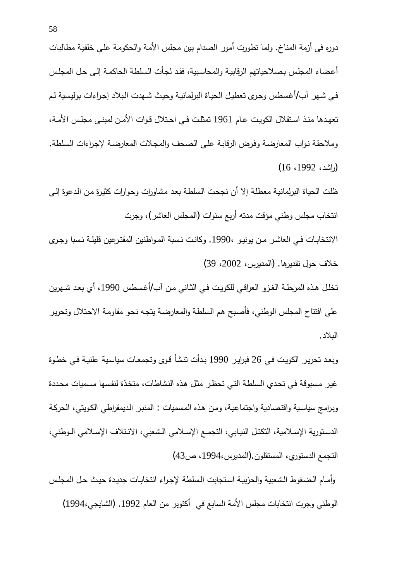دوره في أزمة المناخ. ولما تطورت أمور الصدام بين مجلس الأمة والحكومة على خلفية مطالبات أعضاء المجلس بصلاحياتهم الرقابية والمحاسبية، فقد لجأت السلطة الحاكمة إلى حل المجلس في شهر آب/أغسطس وجري تعطيل الحياة البرلمانية وحيث شهدت البلاد إجراءات بوليسية لم تعهدها منذ استقلال الكويت عـام 1961 تمثلت فـي احـتلال قـوات الأمـن لمبنـي مجلس الأمـة، وملاحقة نواب المعارضنة وفرض الرقابة على الصحف والمجلات المعارضة لإجراءات السلطة.  $(16,1992, \ldots)$ 

ظلت الحياة البرلمانية معطلة إلا أن نجحت السلطة بعد مشاورات وحوارات كثيرة من الدعوة إل*ي* انتخاب مجلس وطني مؤقت مدته أربع سنوات (المجلس العاشر)، وجرت

الانتخابات في العاشر من يونيو ،1990. وكانت نسبة المواطنين المقترعين قليلة نسبا وجري خلاف حول تقديرها. (المديرس، 2002، 39)

تخلل هذه المرحلة الغزو العراقي للكويت في الثاني من آب/أغسطس 1990، أي بعد شـهرين على افتتاح المجلس الوطني، فأصبح هم السلطة والمعارضة يتجه نحو مقاومة الاحتلال وتحرير البلاد.

وبعد تحرير الكويت في 26 فبراير 1990 بدأت نتشأ قوى وتجمعات سياسية علنيـة فـي خطـوة غير مسبوقة في تحدي السلطة التي تحظر مثل هذه النشاطات، متخذة لنفسها مسميات محددة وبرامج سياسية واقتصادية واجتماعية، ومن هذه المسميات : المنبر الديمقراطي الكويتي، الحركة الدسنورية الإسلامية، التكتل النيابي، التجمـع الإسلامي الشعبي، الائـتلاف الإسـلامي الـوطني، التجمع الدستوري، المستقلون.(المديرس،1994، ص43)

وأمـام الـضغوط الشعبية والـحزبيـة اسـتجابت السلطـة لإجراء انتخابـات جديـدة حيث حل المجلس الوطني وجرت انتخابات مجلس الأمة السابع في أكتوبر من العام 1992. (الشايجي،1994)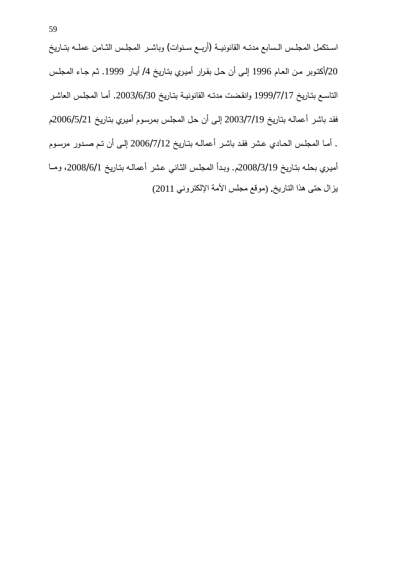استكمل المجلس السابع مدته القانونيـة (أربـع سـنوات) وباشـر المجلـس الثـامن عملـه بتـاريخ 20/أكتوبر من العام 1996 إلى أن حل بقرار أميري بتاريخ 4/ أيار 1999. ثم جاء المجلس التاسع بتاريخ 1999/7/17 وانقضت مدته القانونية بتاريخ 30/3/6/30. أما المجلس العاشر فقد باشر أعمالـه بتاريخ 2003/7/19 إلى أن حل المجلس بمرسوم أميري بتاريخ 2006/5/21م . أما المجلس الحادي عشر فقد باشر أعمالـه بتاريخ 2006/7/12 إلـي أن تم صدور مرسوم أميري بحله بتاريخ 2008/3/19م. وبدأ المجلس الثاني عشر أعماله بتاريخ 2008/6/1، ومـا

يزال حتى هذا التاريخ. (موقع مجلس الأمة الإلكتروني 2011)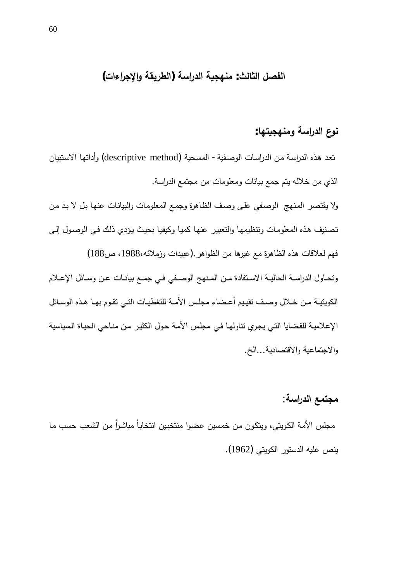# الفصل الثالث: منهجية الدراسة (الطريقة والإجراءات)

نوع الدراسة ومنهجيتها:

نعد هذه الدراسة من الدراسات الوصفية- المسحية (descriptive method) وأداتها الاستبيان الذي من خلاله بتم جمع بيانات ومعلومات من مجتمع الدراسة.

ولا يقتصر المنهج الوصفي على وصف الظاهرة وجمع المعلومات والبيانات عنها بل لا بد من تصنيف هذه المعلومات وتتظيمها والتعبير عنها كميا وكيفيا بحيث يؤدي ذلك في الوصول إلى

فهم لعلاقات هذه الظاهرة مع غيرها من الظواهر .(عبيدات وزملائه،1988، ص188)

وتحاول الدراسة الحالية الاستفادة من المنهج الوصفي في جمع بيانـات عن وسـائل الإعـلام الكويتية من خـلا وصـف تقييم أعضاء مجلس الأمـة للتغطيـات التـي تقوم بهـا هـذه الوسـائل الإعلامية للقضايا التي يجري نتاولها في مجلس الأمة حول الكثير من مناحي الحياة السياسية والاجتماعية والاقتصادية...الخ.

# مجت*م*ع الدراسة:

مجلس الأمة الكويتي، ويتكون من خمسين عضوا منتخبين انتخاباً مباشراً من الشعب حسب ما ينص عليه الدستور الكويتي (1962).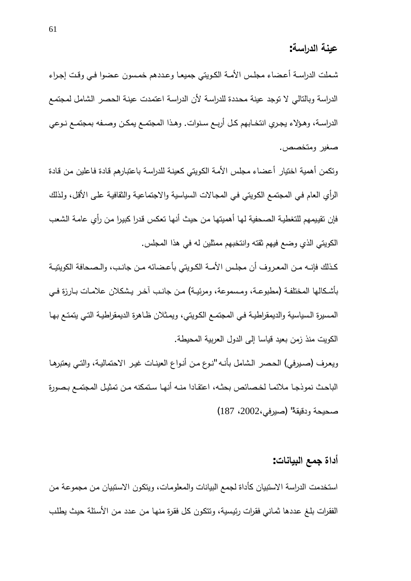شملت الدراسـة أعضاء مجلس الأمـة الكويتي جميعا وعددهم خمـسون عضوا فـي وقت إجراء الدراسة وبالتالي لا توجد عينة محددة للدراسة لأن الدراسة اعتمدت عينة الحصر الشامل لمجتمع الدراسـة، وهـؤلاء يجـري انتخـابهم كـل أربــع سـنوات. وهـذا المجتمــع بمكـن وصــفه بمجتمــع نـوعي صغير ومتخصص،

وتكمن أهمية اختيار أعضاء مجلس الأمة الكويتي كعينة للدراسة باعتبارهم قادة فاعلين من قادة الرأي العام في المجتمع الكويتي في المجالات السياسية والاجتماعية والثقافية على الأقل، ولذلك فإن تقييمهم للتغطية الصحفية لها أهميتها من حيث أنها تعكس قدرا كبيرا من رأي عامة الشعب الكويتي الذي وضع فيهم ثقته وانتخبهم ممثلين له في هذا المجلس.

كذلك فإنــه مـن المعـروف أن مجلس الأمــة الكـويتي بأعـضائه مـن جانـب، والـصـحافة الكويتيـة بأشكالها المختلفة (مطبوعة، ومسموعة، ومرئيـة) مـن جانـب آخـر يـشكلان علامـات بـارزة فـي المسيرة السياسية والديمقراطيـة فـي المجتمـع الكويتي، ويمـثلان ظـاهرة الديمقراطيـة التـي يتمتـع بـهـا الكويت منذ زمن بعيد قياسا إلى الدول العربية المحيطة.

ويعرف (صيرفي) الحصر الشامل بأنـه "نـوع مـن أنـواع العينـات غيـر الاحتماليـة، والتـي يعتبرهـا الباحث نموذجا ملائما لخصائص بحثـه، اعتقادا منـه أنهـا سـتمكنـه مـن تمثيل المـجتمـع بـصورة صحيحة ودقيقة" (صبرفي،2002، 187)

#### أداة ج*م*ع البيانات:

استخدمت الدراسة الاستبيان كأداة لجمع البيانات والمعلومات، ويتكون الاستبيان من مجموعة من الفقرات بلـغ عددها ثمـانـي فقرات رئيسية، ونتكون كل فقرة منـها من عدد من الأسئلة حيث يطلب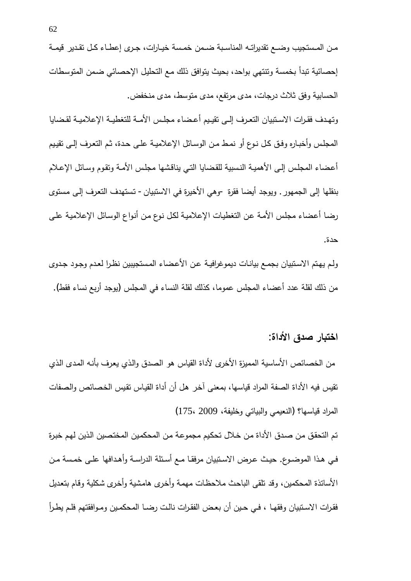من المستجيب وضـع تقديراتـه المناسـبة ضـمن خمـسة خيـارات، جـري إعطـاء كـل تقـدير قيمـة إحصائية تبدأ بخمسة وتتنهي بواحد، بحيث يتوافق ذلك مع التحليل الإحصائي ضمن المتوسطات الحسابية وفق ثلاث درجات، مدى مرتفع، مدى منوسط، مدى منخفض.

وتهدف فقرات الاستبيان التعرف إلـى تقييم أعضاء مجلس الأمـة للتغطيـة الإعلاميـة لقضايا المجلس وأخباره وفق كل نـوع أو نمـط مـن الوسـائل الإعلاميـة علـي حـدة، ثـم التـعـرف إلـي تقييم أعضاء المجلس إلى الأهمية النسبية للقضايا التي يناقشها مجلس الأمـة وتقوم وسـائل الإعـلام بنقلها إلى الجمهور . ويوجد أيضا فقرة -وهي الأخيرة في الاستبيان - تستهدف التعرف إلى مستوى رضا أعضاء مجلس الأمة عن التغطيات الإعلامية لكل نوع من أنواع الوسائل الإعلامية على حدة.

ولم يهتم الاستبيان بجمع بيانـات ديموغرافيـة عن الأعضـاء المستجيبين نظـرا لعدم وجـود جـدوي من ذلك لقلة عدد أعضاء المجلس عموما، كذلك لقلة النساء في المجلس (يوجد أربع نساء فقط).

# ا**ختب**ار صدق الأداة:

من الخصائص الأساسية المميزة الأخرى لأداة القياس هو الصدق والذي يعرف بأنـه المدى الذي تقيس فيه الأداة الصفة المراد قياسها، بمعنى آخر هل أن أداة القياس تقيس الخصائص والصفات المراد قياسها؟ (النعيمي والبياتي وخليفة، 2009 ،175)

تم التحقق من صدق الأداة من خلال تحكيم مجموعة من المحكمين المختصين الذين لهم خبرة في هذا الموضوع. حيث عرض الاستبيان مرفقا مـع أسئلة الدراسـة وأهدافها علـي خمسة مـن الأساتذة المحكمين، وقد تلقى الباحث ملاحظات مهمة وأخرى هامشية وأخرى شكلية وقام بتعديل فقرات الاستبيان وفقهـا ، فـي حـين أن بـعـض الفقـرات نالـت رضـا المـحكمـين ومـوافقتهم فلـم يطـرأ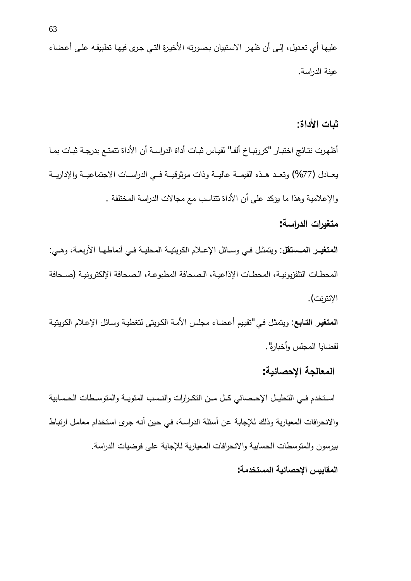عليها أي تعديل، إلـى أن ظهر الاستبيان بصورته الأخيرة التـى جرى فيها تطبيقه علـى أعضاء عبنة الدراسة.

### :**¨¦®ƕ¦©œŕś**

أظهرت نتـائج اختبـار "كرونبـاخ ألفـا" لقيـاس ثبـات أداة الدراســة أن الأداة تتمتــع بدرجــة ثبـات بمـا يعـادل (77%) وتعـد هـذه القيمــة عاليــة وذات موثوقيــة فــي الدراســات الاجتماعيــة والإداريــة والإعلامية وهذا ما يؤكد على أن الأداة تتناسب مع مجالات الدراسة المختلفة .

متغيرات الدراسة:

ا**لمتغيـر المـستقل**: ويتمثـل فـي وسـائل الإعـلام الكويتيــة المحليــة فـي أنماطهــا الأربعــة، وهـي: المحطـات التلفزيونيـة، المحطـات الإذاعيـة، الـصـحافة المطبوعـة، الـصـحافة الإلكترونيـة (صـحافة الإنترنت).

ا**لمتغير التـابـع**: ويتمثل فـي "تقييم أعضـاء مجلس الأمـة الكويتي لتغطيـة وسائل الإعـلام الكويتيـة لقضابا المجلس وأخباره".

#### المعالجة الإحصائية:

استخدم في التحليل الإحصائي كـل مـن التكـرارات والنـسب المئويــة والمتوسـطات الحـسابية والانحرافات المعيارية وذلك للإجابة عن أسئلة الدراسة، في حين أنـه جرى استخدام معامل ارتباط بيرسون والمتوسطات الحسابية والانحرافات المعيارية للإجابة على فرضيات الدراسة.

المقاييس الإحصائية المستخدمة: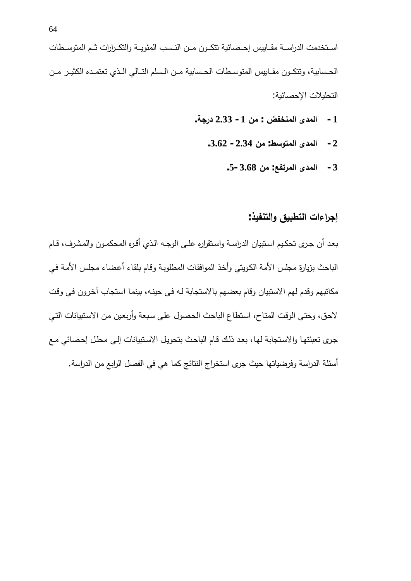استخدمت الدراســة مقـاييس إحـصائية تتكـون مـن النـسب المئويــة والتكـرارات ثـم المتوسـطات الحسابية، ونتكـون مقـابيس المتوسـطات الحـسابية مـن الـسلم النـالي الـذي تعتمـده الكثيـر مـن التحليلات الاحصائية:

- **.ŗŞ°® 2.33 -1ÀƆ :µŽŤƈƆƃ¦Ã®Ɔƃ¦ -1**
	- **.3.62 -2.34ÀƆ :¶ŪÂřƆƃ¦Ã®Ɔƃ¦ -2**
		- **.5-3.68ÀƆ :ŴŽř°Ɔƃ¦Ã®Ɔƃ¦ -3**

إجراءات التطبيق والتنفيذ :

بعد أن جري تحكيم استبيان الدراسة واستقراره علىي الوجه الذي أقره المحكمون والمشرف، قـام الباحث بزيارة مجلس الأمة الكويتي وأخذ الموافقات المطلوبة وقام بلقاء أعضباء مجلس الأمة في مكاتبهم وقدم لهم الاستبيان وقام بعضهم بالاستجابة لـه في حينـه، بينمـا استجاب آخرون في وقت لاحق، وحتى الوقت المتاح، استطاع الباحث الحصول على سبعة وأربعين من الاستبيانات التي جرى تعبئتها والاستجابة لها، بعد ذلك قام الباحث بتحويل الاستبيانات إلى محلل إحصائي مع أسئلة الدراسة وفرضياتها حيث جرى استخراج النتائج كما هي في الفصل الرابع من الدراسة.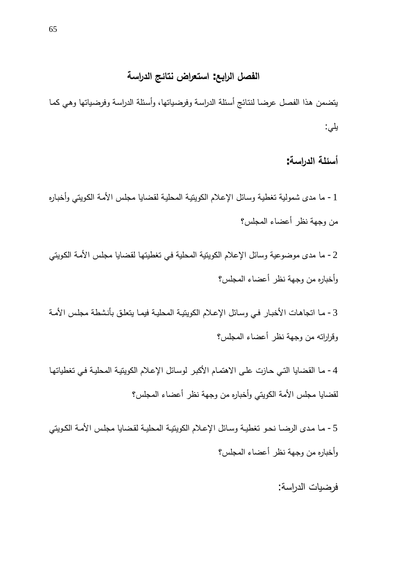## **الفصل الرابع: استعراض نتائج الدراسة**

يتضمن هذا الفصل عرضا لنتائج أسئلة الدراسة وفرضياتها، وأسئلة الدراسة وفرضياتها وهي كما يلي:

أسئلة الدراسة:

1 - ما مدى شمولية تغطية وسائل الإعلام الكوينية المحلية لقضايا مجلس الأمة الكويتي وأخباره من وجهة نظر أعضاء المجلس؟

2− ما مدى موضوعية وسائل الإعلام الكويتية المحلية في تغطيتها لقضايا مجلس الأمة الكويتي وأخباره من وجهة نظر أعضاء المجلس؟

3− مـا اتجاهات الأخبار فـي وسائل الإعـلام الكويتيـة المحليـة فيمـا يتعلق بأنشطـة مجلس الأمـة وقراراته من وجهة نظر أعضاء المجلس؟

4 - ما القضايا التي حازت على الاهتمام الأكبر لوسائل الإعلام الكويتية المحلية في تغطياتها لقضايا مجلس الأمة الكويتي وأخباره من وجهة نظر أعضاء المجلس؟

5 - ما مدى الرضا نحو تغطية وسائل الإعلام الكويتية المحلية لقضايا مجلس الأمة الكويتي وأخباره من وجهة نظر أعضاء المجلس؟

فرضيات الدراسة: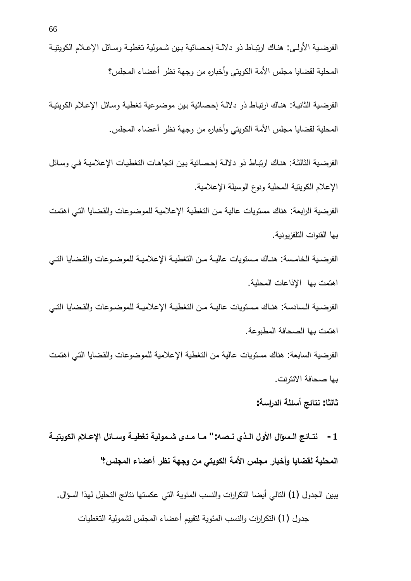الفرضية الأولـي: هنـاك ارتبـاط ذو دلالــة إحـصـائيـة بـين شـموليـة تـغطيــة وسـائل الإعــلام الكويتيــة المحلية لقضايا مجلس الأمة الكويتي وأخباره من وجهة نظر أعضاء المجلس؟

الفرضية الثانية: هناك ارتباط ذو دلالـة إحصائية بين موضـوعية تغطيـة وسـائل الإعـلام الكويتيـة المحلية لقضايا مجلس الأمة الكويتي وأخباره من وجهة نظر أعضاء المجلس.

الفرضية الثالثة: هناك ارتباط ذو دلالـة إحصائية بين اتجاهات التغطيات الإعلاميـة فـي وسـائل الإعلام الكويتية المحلية ونوع الوسيلة الإعلامية.

الفرضية الرابعة: هناك مسنويات عالية من التغطية الإعلامية للموضوعات والقضايا التي اهتمت بها القنوات النلفزيونية.

الفرضية الخامسة: هنـاك مستويات عاليـة مـن التغطيـة الإعلاميـة للموضـوعات والقضايا التـي اهتمت بها الإذاعات المحلبة.

الفرضية السادسة: هنـاك مـستويات عاليـة مـن التغطيـة الإعلاميـة للموضـوعات والقـضايا التـي اهتمت بها الصحافة المطبوعة.

الفرضية السابعة: هناك مسنويات عالية من النغطية الإعلامية للموضوعات والقضايا التي اهتمت بها صحافة الانترنت.

**:ŗŪ¦°®ƃ¦ŗƄőŪ¢ŝőœřƈ :œśƃœś**

**ŗººƒřƒÂƂƃ¦¿ƚººŵƗ¦¾őœººŪÂŗººƒ¶źřŗƒƃÂƆººŬƆœººƆ " :ƊŮººƈ įººƃ¦¾Âƕ¦¾¦£Ūººƃ¦ŝőœººřƈ -1** المحلية لقضايا وأخبار مجلس الأمة الكويتي من وجهة نظر أعضاء المجلس؟"

يبين الجدول (1) التالي أيضا التكرارات والنسب المئوية التي عكستها نتائج التحليل لهذا السؤال.

جدول (1) التكرارات والنسب المئوية لنقييم أعضاء المجلس لشمولية التغطيات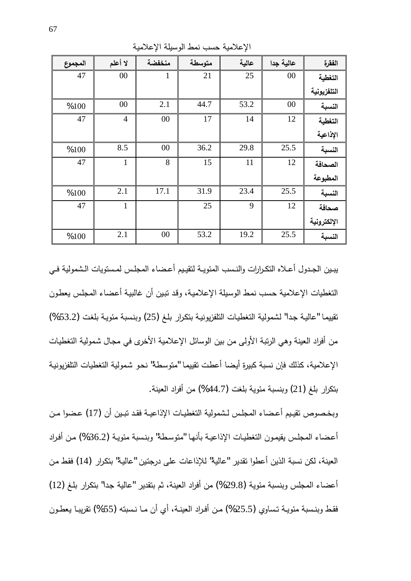| المجموع | لا أعلم        | منخفضة       | متوسطة | عالية | عالية جدا | الفقرة      |
|---------|----------------|--------------|--------|-------|-----------|-------------|
| 47      | $00\,$         | $\mathbf{1}$ | 21     | 25    | 00        | التغطية     |
|         |                |              |        |       |           | التلفزيونية |
| %100    | $00\,$         | 2.1          | 44.7   | 53.2  | 00        | النسبة      |
| 47      | $\overline{4}$ | 00           | 17     | 14    | 12        | التغطية     |
|         |                |              |        |       |           | الإذاعية    |
| %100    | 8.5            | 00           | 36.2   | 29.8  | 25.5      | النسبة      |
| 47      | $\mathbf{1}$   | 8            | 15     | 11    | 12        | الصحافة     |
|         |                |              |        |       |           | المطبوعة    |
| %100    | 2.1            | 17.1         | 31.9   | 23.4  | 25.5      | النسبة      |
| 47      | $\mathbf{1}$   |              | 25     | 9     | 12        | صحافة       |
|         |                |              |        |       |           | الإلكترونية |
| %100    | 2.1            | 00           | 53.2   | 19.2  | 25.5      | النسبة      |

الإعلامية حسب نمط الوسيلة الإعلامية

يبين الجدول أعـلاه التكـرارات والنـسب المئويــة لتقيـيم أعـضـاء المجلـس لمـستويات الـشمولية فـي التغطيات الإعلامية حسب نمط الوسيلة الإعلامية، وقد تبين أن غالبية أعضاء المجلس يعطون تقييما "عالية جدا" لشمولية التغطيات التلفزيونية بتكرار بلغ (25) وبنسبة مئوية بلغت (53.2%) من أفراد العينة وهي الرتبة الأولى من بين الوسائل الإعلامية الأخرى في مجال شمولية التغطيات الإعلامية، كذلك فإن نسبة كبيرة أيضا أعطت نقييما "متوسطة" نحو شمولية التغطيات التلفزيونية بتكرار بلغ (21) وبنسبة مئوية بلغت (44.7%) من أفراد العينة.

وبخصوص نقييم أعضاء المجلس لشمولية التغطيات الإذاعيـة فقد نبـين أن (17) عضوا مـن أعضاء المجلس يقيمون التغطيات الإذاعية بأنها "متوسطة" وبنسبة مئوية (36.2%) من أفراد العينة، لكن نسبة الذين أعطوا تقدير "عالية" للإذاعات على درجتين "عالية" بتكرار (14) فقط من أعضاء المجلس وبنسبة مئوية (29.8%) من أفراد العينة، ثم بتقدير "عالية جدا" بتكرار بلغ (12) فقط وبنسبة مئويـة تساوى (25.5%) من أفراد العينـة، أي أن مـا نسبته (55%) تقريبـا يعطـون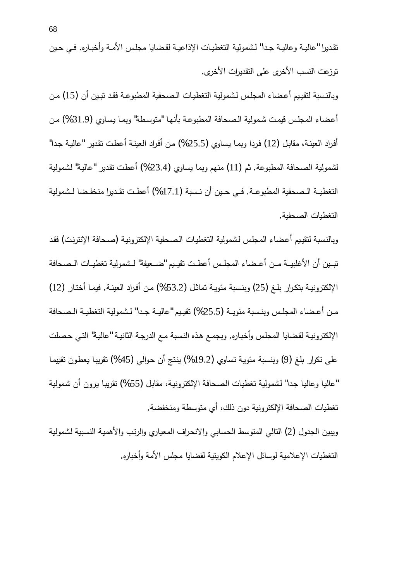تقديرا "عاليـة وعاليـة جـدا" لـشمولية التغطيـات الإذاعيـة لقضـايا مجلس الأمـة وأخبـاره. فـي حـين توزعت النسب الأخرى على التقديرات الأخرى.

وبالنسبة لتقييم أعضاء المجلس لشمولية التغطيات الصحفية المطبوعة فقد تبين أن (15) من أعضاء المجلس قيمت شمولية الصحافة المطبوعة بأنها "متوسطة" وبما يساوي (31.9%) من أفراد العينـة، مقابل (12) فردا وبمـا يساوي (25.5%) من أفراد العينـة أعطت تقدير "عاليـة جدا" لشمولية الصحافة المطبوعة. ثم (11) منهم وبما يساوي (23.4%) أعطت نقدير "عالية" لشمولية التغطيــة الـصـحفية المطبوعــة. فــي حــين أن نــسبة (17.1%) أعطـت تقـديرا منخفـضـا لــشمولية التغطبات الصحفبة.

وبالنسبة لتقييم أعضاء المجلس لشمولية التغطيات الصحفية الإلكترونية (صحافة الإنترنت) فقد تبـين أن الأغلبيــة مـن أعـضاء المجلـس أعطـت تقيـيم "ضــعيفة" لـشمولية تغطيــات الـصـحافة الإلكترونية بتكرار بلغ (25) وبنسبة مئوية تماثل (53.2%) من أفراد العينـة. فيمـا أختـار (12) من أعضاء المجلس وبنسبة مئويـة (25.5%) تقيـيم "عاليـة جـدا" لـشمولية التغطيـة الـصحافة الإلكترونية لقضايا المجلس وأخباره. وبجمع هذه النسبة مع الدرجة الثانية "عالية" التي حصلت على تكرار بلغ (9) وبنسبة مئوية تساوي (19.2%) بنتج أن حوالي (45%) تقريبا يعطون تقييما řƔƅÃƈ»ŮÁ£Áñ»Ɣŕ»ŗƔ±Ƃś (%55)¿»ŗŕƂƈř»ƔƊñśƄƅƙ§řžŕţŰ»ƅ§ªŕ»Ɣ·żśřƔƅÃƈŮ»ƅ "§¯»Šŕ»ƔƅŕŷÃŕ»Ɣƅŕŷ" تغطيات الصحافة الإلكترونية دون ذلك، أي متوسطة ومنخفضة.

ويبين الجدول (2) التالي المتوسط الحسابي والانحراف المعياري والرتب والأهمية النسبية لشمولية التغطيات الإعلامية لوسائل الإعلام الكويتية لقضايا مجلس الأمة وأخباره.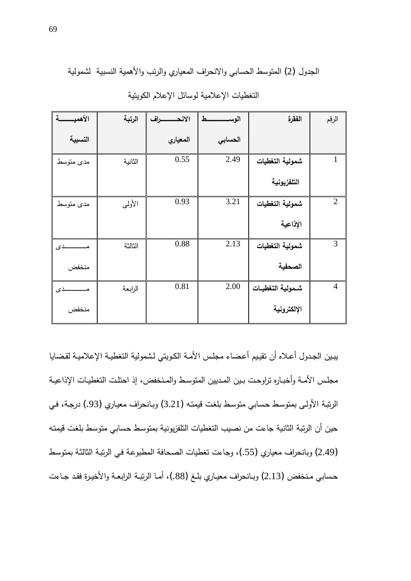الجدول (2) المتوسط الحسابي والانحراف المعياري والرنب والأهمية النسبية لشمولية

|           | الرتبة  | الانحــــــــــــراف | ہے      | الفقرة          | الرقم          |
|-----------|---------|----------------------|---------|-----------------|----------------|
| النسبية   |         | المعياري             | الحسابي |                 |                |
| مدى متوسط | الثانية | 0.55                 | 2.49    | شمولية التغطيات | 1              |
|           |         |                      |         | التلفزيونية     |                |
| مدى متوسط | الأولى  | 0.93                 | 3.21    | شمولية التغطيات | $\overline{2}$ |
|           |         |                      |         | الإذاعية        |                |
| دی        | الثالثة | 0.88                 | 2.13    | شمولية التغطيات | 3              |
| منخفض     |         |                      |         | الصحفية         |                |
| دی        | الرابعة | 0.81                 | 2.00    | شمولية التغطيات | $\overline{4}$ |
| منخفض     |         |                      |         | الإلكترونية     |                |

التغطبات الإعلامية لوسائل الإعلام الكوبنية

يبين الجدول أعلاه أن تقييم أعضاء مجلس الأمة الكويتي لشمولية التغطية الإعلامية لقضايا مجلس الأمـة وأخبـاره تراوحت بـين المـدبين المتوسط والمـنخفض، إذ احتلت التغطيـات الإذاعيـة الرتبة الأولى بمتوسط حسابي متوسط بلغت قيمته (3.21) وبانحراف معياري (93.) درجة، في حين أن الرتبة الثانية جاءت من نصبب التغطيات التلفزيونية بمتوسط حسابي متوسط بلغت فيمته (2.49) وبانحراف معياري (55.)، وجاءت تغطيات الصحافة المطبوعة في الرتبة الثالثة بمتوسط حسابي منخفض (2.13) وبـانحراف معيـاري بلـغ (88.)، أمـا الرنبـة الرابعـة والأخيرة فقد جـاءت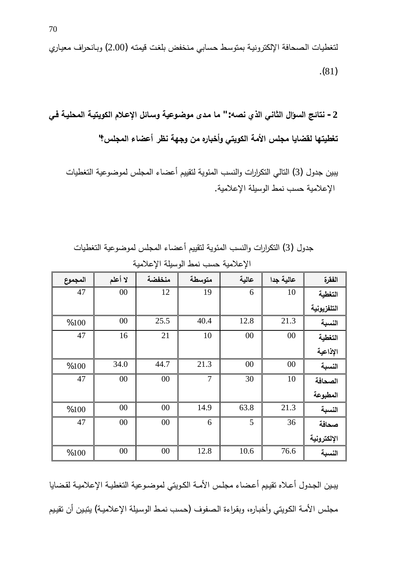لتغطيات الصحافة الإلكترونية بمتوسط حسابي منخفض بلغت قيمته (2.00) وبانحراف معياري .(81)

**ƑºżŗºƒƄšƆƃ¦ŗºƒřƒÂƂƃ¦¿ƚºŵƗ¦¾őœºŪÂŗƒŵºŰÂƆîºƆœƆ " :ƊŮƈįƃ¦Ƒƈœśƃ¦¾¦£Ūƃ¦ŝőœřƈ -2 "²ƄŞƆƃ¦ œŰŵ¢°·ƈŗƌŞÂÀƆƉ°œŕŤ¢ÂƑřƒÂƂƃ¦ŗƆƕ¦²ƄŞƆœƒœŰƀƃœƌřƒ¶źř**

يبين جدول (3) التالي التكرارات والنسب المئوية لتقييم أعضاء المجلس لموضوعية التغطيات الإعلامية حسب نمط الوسيلة الإعلامية.

|         | الإعلامية حسب نمط الوسيلة الإعلامية |        |        |       |           |             |  |  |  |
|---------|-------------------------------------|--------|--------|-------|-----------|-------------|--|--|--|
| المجموع | لا أعلم                             | منخفضة | متوسطة | عالية | عالية جدا | الفقرة      |  |  |  |
| 47      | 00                                  | 12     | 19     | 6     | 10        | التغطية     |  |  |  |
|         |                                     |        |        |       |           | التلفزيونية |  |  |  |
| %100    | 00                                  | 25.5   | 40.4   | 12.8  | 21.3      | النسبة      |  |  |  |
| 47      | 16                                  | 21     | 10     | 00    | 00        | التغطية     |  |  |  |
|         |                                     |        |        |       |           | الإذاعية    |  |  |  |
| %100    | 34.0                                | 44.7   | 21.3   | 00    | 00        | النسبة      |  |  |  |
| 47      | 00                                  | 00     | 7      | 30    | 10        | الصحافة     |  |  |  |
|         |                                     |        |        |       |           | المطبوعة    |  |  |  |
| %100    | 00                                  | 00     | 14.9   | 63.8  | 21.3      | النسبة      |  |  |  |
| 47      | 00                                  | 00     | 6      | 5     | 36        | صحافة       |  |  |  |
|         |                                     |        |        |       |           | الإلكترونية |  |  |  |
| %100    | 00                                  | 00     | 12.8   | 10.6  | 76.6      | النسبة      |  |  |  |

جدول (3) التكرارات والنسب المئوية لتقييم أعضاء المجلس لموضوعية التغطيات

يبين الجدول أعلاه تقييم أعضاء مجلس الأمة الكويتي لموضوعية التغطية الإعلامية لقضايا مجلس الأمـة الكويتي وأخباره، وبقراءة الصفوف (حسب نمط الوسيلة الإعلاميـة) يتبين أن تقييم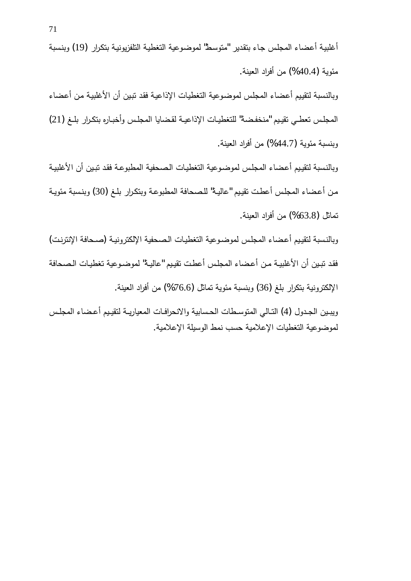أغلبية أعضاء المجلس جاء بنقدير "متوسط" لموضوعية التغطية التلفزيونية بتكرار (19) وبنسبة مئوبة (40.4%) من أفراد العبنة.

وبالنسبة لنقييم أعضاء المجلس لموضوعية النغطيات الإذاعية فقد نبين أن الأغلبية من أعضاء المجلس تعطي تقييم "منخفضة" للتغطيـات الإذاعيــة لقضايا المجلس وأخبـاره بنكـرار بلــغ (21) وبنسبة مئوية (44.7%) من أفراد العينة.

وبالنسبة لتقييم أعضاء المجلس لموضىوعية التغطيات الصحفية المطبوعة فقد نبين أن الأغلبية من أعضاء المجلس أعطت تقييم "عالية" للصحافة المطبوعة وبتكرار بلغ (30) وبنسبة مئوية تماثل (63.8%) من أفراد العبنة.

وبالنسبة لتقييم أعضاء المجلس لموضىوعية التغطيات الصحفية الإلكترونية (صحافة الإنترنت) فقد تبين أن الأغلبية من أعضاء المجلس أعطت تقييم "عالية" لموضوعية تغطيات الصحافة الإلكترونية بتكرار بلغ (36) وبنسبة مئوية تماثل (76.6%) من أفراد العينة.

ويبـين الجـدول (4) التـالي المتوسـطات الحـسابية والانحرافـات المعياريــة لتقيـيم أعـضـاء المجلـس لموضوعية التغطيات الإعلامية حسب نمط الوسيلة الإعلامية.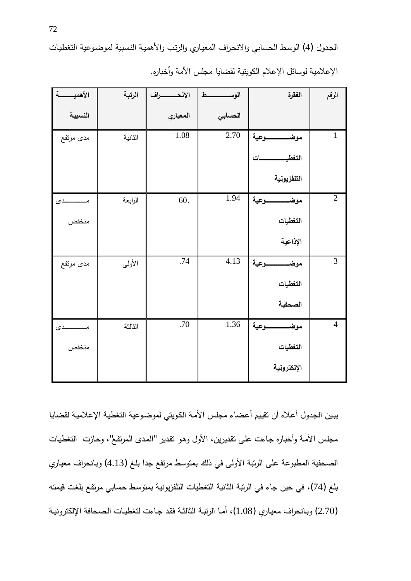الجدول (4) الوسط الحسابي والانحراف المعياري والرتب والأهمية النسبية لموضوعية التغطيات

| الأهميــــــة | الرتبة  | الانحسسراف | الوســـــــــط | الفقرة                | الرقم          |
|---------------|---------|------------|----------------|-----------------------|----------------|
| النسبية       |         | المعياري   | الحسابي        |                       |                |
| مدى مرتفع     | الثانية | 1.08       | 2.70           | موضــــــــــــــوعية | 1              |
|               |         |            |                | التغطي<br>ـــــــات   |                |
|               |         |            |                | التلفزيونية           |                |
|               | الرابعة | 60.        | 1.94           | موضــــــــــــــوعية | $\overline{2}$ |
| منخفض         |         |            |                | التغطيات              |                |
|               |         |            |                | الإذاعية              |                |
| مدى مرتفع     | الأولى  | .74        | 4.13           | موضــــــــــــــوعية | 3              |
|               |         |            |                | التغطيات              |                |
|               |         |            |                | الصحفية               |                |
| م             | الثالثة | .70        | 1.36           | موضــــــــــــــوعية | $\overline{4}$ |
| منخفض         |         |            |                | التغطيات              |                |
|               |         |            |                | الإلكترونية           |                |

الإعلامية لوسائل الإعلام الكويتية لقضايا مجلس الأمة وأخباره.

يبين الجدول أعلاه أن تقييم أعضاء مجلس الأمة الكويتي لموضوعية التغطية الإعلامية لقضايا مجلس الأمة وأخباره جاءت علىي تقديرين، الأول وهو نقدير "المدى المرتفع"، وحازت التغطيات الصحفية المطبوعة على الرتبة الأولى في ذلك بمتوسط مرتفع جدا بلغ (4.13) وبانحراف معياري بلغ (74)، في حين جاء في الرتبة الثانية التغطيات التلفزيونية بمتوسط حسابي مرتفع بلغت قيمته (2.70) وبانحراف معياري (1.08)، أما الرتبة الثالثة فقد جاءت لتغطيات الصحافة الإلكترونية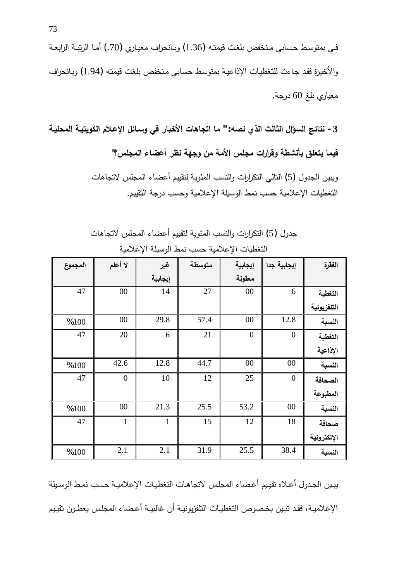3 - نتائج السؤال الثالث الذي نصه: " ما اتجاهات الأخبار في وسائل الإعلام الكويتية المحلية فيما يتعلق بأنشطة وقرارات مجلس الأمة من وجهة نظر أعضاء المجلس؟"

> وبيين الجدول (5) التالي التكرارات والنسب المئوية لتقييم أعضباء المجلس لاتجاهات التغطيات الإعلامية حسب نمط الوسيلة الإعلامية وحسب درجة التقييم.

| المجموع | لا أعلم        | غیر          | متوسطة | إيجابية        | إيجابية جدا    | الفقرة      |
|---------|----------------|--------------|--------|----------------|----------------|-------------|
|         |                | إيجابية      |        | معقولة         |                |             |
| 47      | $00\,$         | 14           | 27     | 00             | 6              | التغطية     |
|         |                |              |        |                |                | التلفزيونية |
| %100    | 00             | 29.8         | 57.4   | 00             | 12.8           | النسبة      |
| 47      | 20             | 6            | 21     | $\overline{0}$ | $\overline{0}$ | التغطية     |
|         |                |              |        |                |                | الإذاعية    |
| %100    | 42.6           | 12.8         | 44.7   | 00             | 00             | النسبة      |
| 47      | $\overline{0}$ | 10           | 12     | 25             | $\overline{0}$ | الصحافة     |
|         |                |              |        |                |                | المطبوعة    |
| %100    | 00             | 21.3         | 25.5   | 53.2           | 00             | النسبة      |
| 47      | $\mathbf{1}$   | $\mathbf{1}$ | 15     | 12             | 18             | صحافة       |
|         |                |              |        |                |                | الإلكترونية |
| %100    | 2.1            | 2.1          | 31.9   | 25.5           | 38.4           | النسبة      |

جدول (5) التكرارات والنسب المئوية لتقييم أعضاء المجلس لاتجاهات التغطيات الإعلامية حسب نمط الوسيلة الإعلامية

يبين الجدول أعلاه تقييم أعضاء المجلس لاتجاهات التغطيات الإعلامية حسب نمط الوسيلة الإعلاميـة، فقد تبين بخصوص التغطيـات التلفزيونيـة أن غالبيـة أعـضـاء المجلس يعطـون تقييم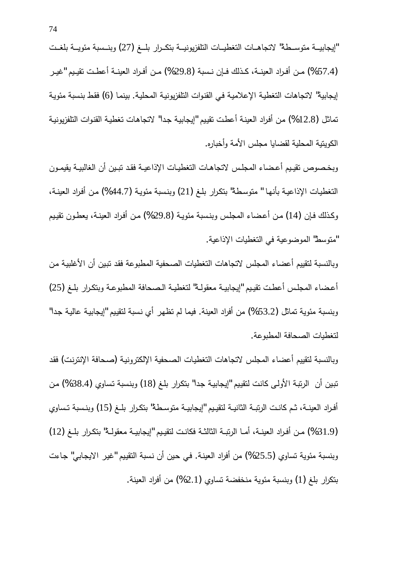يجابيــة متوســطة" لاتجاهــات التغطيــات التلفزيونيــة بتكــرار بلــغ (27) وبنــسبة مئويــة بلغــت" خد أفراد العينــة، كـذلك فـإن نـسبة (29.8%) مـن أفـراد العينــة أعطـت تقيـيم "غيـر» ع إيجابية" لاتجاهات التغطية الإعلامية في القنوات التلفزيونية المحلية. بينما (6) فقط بنسبة مئوية تماثل (12.8%) من أفراد العينة أعطت تقييم "إيجابية جدا" لاتجاهات تغطية القنوات التلفزيونية الكويتية المحلية لقضايا مجلس الأمة وأخباره.

وبخصوص نقييم أعضاء المجلس لاتجاهات التغطيات الإذاعيـة فقد تبـين أن الغالبيـة يقيمـون التغطيات الإذاعية بأنها " متوسطة" بتكرار بلغ (21) وبنسبة مئوية (44.7%) من أفراد العينـة، وكذلك فإن (14) من أعضاء المجلس وبنسبة مئوية (29.8%) من أفراد العينـة، يعطـون تقييم "متوسط" الموضوعية في التغطيات الإذاعية.

وبالنسبة لنقييم أعضاء المجلس لاتجاهات التغطيات الصحفية المطبوعة فقد تبين أن الأغلبية من أعضاء المجلس أعطت تقييم "إيجابيـة معقولـة" لتغطيـة الـصحافة المطبوعـة وبتكرار بلـغ (25) وبنسبة مئوية تماثل (53.2%) من أفراد العينة. فيما لم تظهر أي نسبة لتقييم "إيجابية عالية جدا" لتغطبات الصحافة المطبوعة.

وبالنسبة لتقييم أعضاء المجلس لاتجاهات التغطيات الصحفية الإلكترونية (صحافة الإنترنت) فقد تبين أن الرتبة الأولى كانت لتقييم "إيجابية جدا" بتكرار بلغ (18) وبنسبة تساوي (38.4%) من أفراد العينـة، ثـم كانـت الرتبـة الثانيـة لتقيـيم "إيجابيـة متوسـطة" بتكـرار بلــغ (15) وبنـسبة تـساوي (31.9%) من أفراد العينـة، أمـا الرنبـة الثالثـة فكانـت لنقيـيم "إيجابيـة معقولـة" بتكـرار بلــغ (12) وبنسبة مئوية تساوي (25.5%) من أفراد العينة. في حين أن نسبة التقييم "غير الايجابي" جاءت بتكرار بلغ (1) وبنسبة مئوية منخفضة تساوى (2.1%) من أفراد العينة.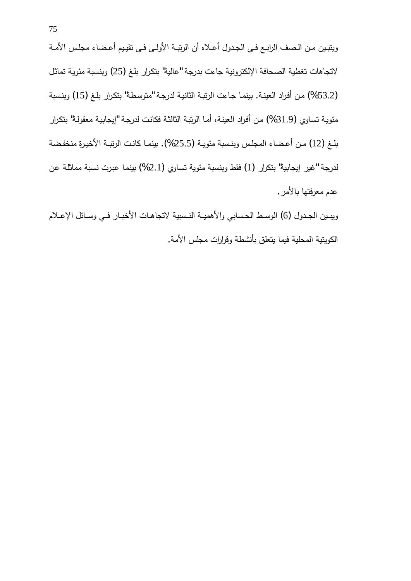ويتبين من الصف الرابع في الجدول أعلاه أن الرتبـة الأولـى فـي تقييم أعضاء مجلس الأمـة لاتجاهات تغطية الصحافة الإلكترونية جاءت بدرجة "عالية" بتكرار بلغ (25) وبنسبة مئوية تماثل خرة ڳوراد العينـة. بينمـا جـاءت الرنبـة الثانيـة لدرجـة "متوسطـة" بتكرار بلـغ (15) وبنسبة . مئوية تساوي (31.9%) من أفراد العينـة، أمـا الرنبـة الثالثـة فكانت لدرجـة "إيجابيـة معقولـة" بتكرار بلغ (12) من أعضاء المجلس وبنسبة مئويـة (25.5%). بينمـا كانت الرتبـة الأخيرة منخفضـة لدرجة "غير إيجابية" بتكرار (1) فقط وبنسبة مئوية تساوى (2.1%) بينما عبرت نسبة مماثلة عن عدم معرفتها بالأمر .

ويبـين الجـدول (6) الوسـط الحـسابي والأهميــة النـسبية لاتجاهـات الأخبـار فـي وسـائل الإعــلام الكوبنية المحلية فيما بتعلق بأنشطة وقرارات مجلس الأمة.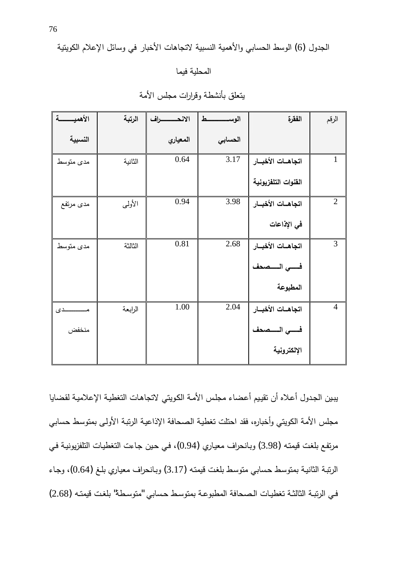#### المحلبة فبما

| الأهميـــــ | الرتبة  | الانحـــــــــــراف | <u>ﯩﻠ</u> | الفقرة              | الرقم          |
|-------------|---------|---------------------|-----------|---------------------|----------------|
| النسبية     |         | المعياري            | الحسابي   |                     |                |
| مدى متوسط   | الثانية | 0.64                | 3.17      | اتجاهـات الأخبــار  | $\mathbf{1}$   |
|             |         |                     |           | القنوات التلفزيونية |                |
| مدى مرتفع   | الأولى  | 0.94                | 3.98      | اتجاهـات الأخبــار  | $\overline{2}$ |
|             |         |                     |           | في الإذاعات         |                |
| مدى متوسط   | الثالثة | 0.81                | 2.68      | اتجاهـات الأخبــار  | 3              |
|             |         |                     |           | فسي السصحف          |                |
|             |         |                     |           | المطبوعة            |                |
| دی          | الرابعة | 1.00                | 2.04      | اتجاهـات الأخبــار  | $\overline{4}$ |
| منخفض       |         |                     |           | فسي السصحف          |                |
|             |         |                     |           | الإلكترونية         |                |

بنعلق بأنشطة وقرارات مجلس الأمة

يبين الجدول أعلاه أن تقييم أعضاء مجلس الأمة الكويتي لاتجاهات التغطية الإعلامية لقضايا مجلس الأمة الكويتي وأخباره، فقد احتلت تغطية الصحافة الإذاعية الرتبة الأولى بمتوسط حسابي مرتفع بلغت فيمته (3.98) وبانحراف معياري (0.94)، في حين جاءت التغطيات التلفزيونية في الرتبة الثانية بمنوسط حسابي منوسط بلغت قيمته (3.17) وبانحراف معياري بلغ (0.64)، وجاء في الرتبة الثالثة تغطيات الصحافة المطبوعة بمتوسط حسابي "متوسطة" بلغت قيمته (2.68)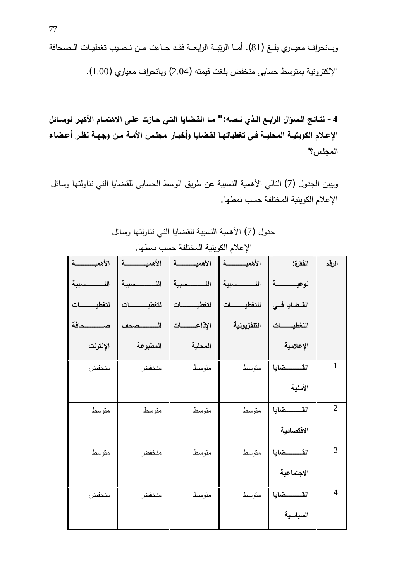وبـانحراف معيـاري بلـغ (81). أمــا الرنبــة الرابعــة فقـد جـاءت مـن نـصيب تغطيــات الــصحافة الإلكترونية بمتوسط حسابي منخفض بلغت قيمته (2.04) وبانحراف معياري (1.00).

4 - نتائج السوال الرابع الذي نصه: " مـا القضايا الت*ي ح*ازت عل*ى* الاهتمـام الأكبـر لوسـائل الإعلام الكويتيــة المحليــة فـي تغطياتهـا لقضايا وأخبــار مجلس الأمــة مـن وجهــة نظـر أعضاء المجلس؟"

ويبين الجدول (7) التالي الأهمية النسبية عن طريق الوسط الحسابي للقضايا التي نتاولتها وسائل الإعلام الكويتية المختلفة حسب نمطها.

| فسقة<br>الأهمي | فسفة<br>الأهميــــــ | الأهميـــــــــــة | تسة<br>الأهميـ | الفقرة :              | الرقم          |
|----------------|----------------------|--------------------|----------------|-----------------------|----------------|
|                | الذ                  |                    |                | نوعيـــــــــــة      |                |
| لتغطي<br>ات    | لتغطي<br>بات         | لتغطيب<br>بات      | للتغطيسات      | القـضايا فــ <i>ى</i> |                |
| حافة           | المستصحف             | الإذاعــــــات     | التلفزيونية    | التغطيـــــــات       |                |
| الإنترنت       | المطبوعة             | المحلية            |                | الإعلامية             |                |
| منخفض          | منخفض                | متوسط              | متوسط          | القــــــــضايا       | 1              |
|                |                      |                    |                | الأمنية               |                |
| متوسط          | متوسط                | متوسط              | متوسط          | القـــــــضايا        | $\overline{2}$ |
|                |                      |                    |                | الاقتصادية            |                |
| متوسط          | منخفض                | متوسط              | متوسط          | القـــــــضايا        | 3              |
|                |                      |                    |                | الاجتماعية            |                |
| منخفض          | منخفض                | متوسط              | متوسط          | القــــــــضايا       | 4              |
|                |                      |                    |                | السياسية              |                |

جدول (7) الأهمية النسبية للقضايا التي نتاولتها وسائل

الإعلام الكويتية المختلفة حسب نمطها.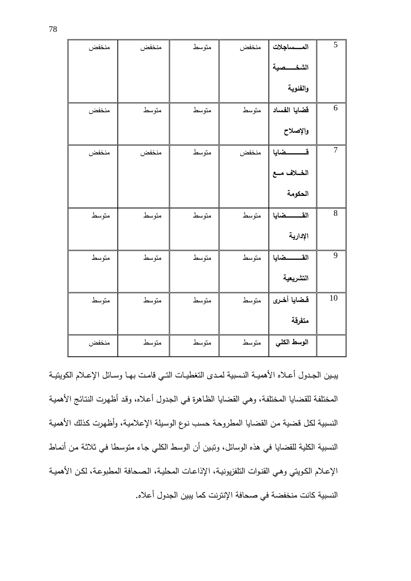| منخفض | منخفض | متوسط | منخفض | المسساجلات     | 5  |
|-------|-------|-------|-------|----------------|----|
|       |       |       |       | الشخـــــصية   |    |
|       |       |       |       | والفئوية       |    |
| منخفض | متوسط | متوسط | متوسط | قضايا الفساد   | 6  |
|       |       |       |       | والإصلاح       |    |
| منخفض | منخفض | متوسط | منخفض | فـــــــــضايا | 7  |
|       |       |       |       | الخلاف مع      |    |
|       |       |       |       | الحكومة        |    |
| متوسط | متوسط | متوسط | متوسط | القـــــــضايا | 8  |
|       |       |       |       | الإدارية       |    |
| متوسط | متوسط | متوسط | متوسط | القـــــــضايا | 9  |
|       |       |       |       | التشريعية      |    |
| متوسط | متوسط | متوسط | متوسط | قضايا أخرى     | 10 |
|       |       |       |       | متفرقة         |    |
| منخفض | متوسط | متوسط | متوسط | الوسط الكلي    |    |

يبين الجدول أعلاه الأهمية النسبية لمدى التغطيات التي قامت بها وسائل الإعلام الكويتية المختلفة للقضايا المختلفة، وهي القضايا الظاهرة في الجدول أعلاه، وقد أظهرت النتائج الأهمية النسبية لكل قضية من القضايا المطروحة حسب نوع الوسيلة الإعلامية، وأظهرت كذلك الأهمية النسبية الكلية للقضايا في هذه الوسائل، ونبين أن الوسط الكلي جاء متوسطا في ثلاثة من أنماط الإعلام الكويتي وهي القنوات التلفزيونية، الإذاعات المحلية، الصحافة المطبوعة، لكن الأهمية النسبية كانت منخفضة في صحافة الإنترنت كما يبين الجدول أعلاه.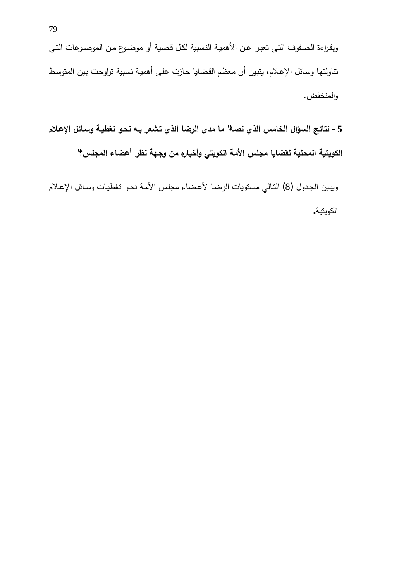وبقراءة الصفوف التي تعبر عن الأهمية النسبية لكل قضية أو موضوع من الموضوعات التي تناولتها وسائل الإعلام، يتبين أن معظم القضايا حازت على أهمية نسبية تراوحت بين المتوسط والمنخفض .

5 - نتائج السؤال الخامس الذي نصه" ما مدى الرضا الذي تشعر بـ4 نحو تغطيـة وسـائل الإعـلام الكويتية المحلية لقضايا مجلس الأمة الكويتي وأخباره من وجهة نظر أعضاء المجلس؟"

ويبين الجدول (8) التالي مستويات الرضا لأعضاء مجلس الأمة نحو تغطيات وسائل الإعلام الكويتية.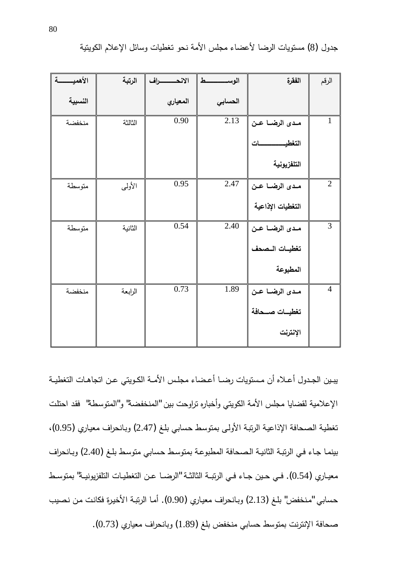| الرقم                            | $\mathbf{1}$ |                             | $\overline{2}$                    | 3                                         | $\overline{4}$                             |
|----------------------------------|--------------|-----------------------------|-----------------------------------|-------------------------------------------|--------------------------------------------|
| الفقرة                           | مدى الرضا عن | التغطي<br>ات<br>التلفزيونية | مدى الرضا عن<br>التغطيات الإذاعية | مدى الرضا عن<br>تغطيات السصحف<br>المطبوعة | مدى الرضا عن<br>تغطيسات صسحافة<br>الإنترنت |
| الوســـــــــط<br>الحسابى        | 2.13         |                             | 2.47                              | 2.40                                      | 1.89                                       |
| الانحــــــــــــراف<br>المعياري | 0.90         |                             | 0.95                              | 0.54                                      | 0.73                                       |
| الرتبة                           | الثالثة      |                             | الأولى                            | الثانية                                   | الرابعة                                    |
| الأهميـــــــة<br>النسبية        | منخفضة       |                             | متوسطة                            | متوسطة                                    | منخفضة                                     |

جدول (8) مستويات الرضا لأعضاء مجلس الأمة نحو تغطيات وسائل الإعلام الكويتية

يبين الجدول أعـلاه أن مـستويات رضـا أعـضاء مجلس الأمـة الكـويتي عـن اتجاهـات التغطيـة الإعلامية لقضايا مجلس الأمة الكويتي وأخباره تراوحت بين "المنخفضة" و"المتوسطة" فقد احتلت تغطية الصحافة الإذاعية الرتبة الأولى بمتوسط حسابي بلغ (2.47) وبانحراف معياري (0.95)، بينما جاء في الرتبة الثانية الصحافة المطبوعة بمتوسط حسابي متوسط بلغ (2.40) وبانحراف معيـاري (0.54). فـي حـين جـاء فـي الرتبــة الثالثــة "الرضــا عـن التغطيـات التلفزيونيــة" بمتوسـط حسابي "منخفض" بلغ (2.13) وبانحراف معياري (0.90). أما الرنبة الأخيرة فكانت من نصيب صحافة الإنترنت بمتوسط حسابي منخفض بلغ (1.89) وبانحراف معياري (0.73).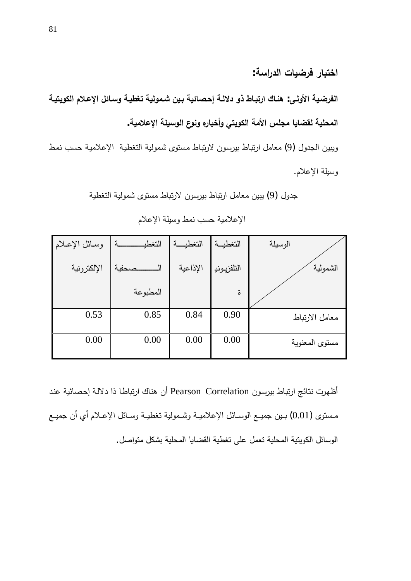اختبار فرضيات الدراسة:

الفرضية الأول*ـى*: هنـاك ارتبـاط ذو دلالـة إحصـائيـة بـين شـموليـة تـغطيـة وسـائل الإعـلام الكويتيـة المحلية لقضايا مجلس الأمة الكويت*ي* وأخباره ونوع الوسيلة الإعلامية.

ويبين الجدول (9) معامل ارتباط بيرسون لارتباط مستوى شمولية التغطية الإعلامية حسب نمط وسيلة الإعلام.

جدول (9) يبين معامل ارتباط بيرسون لارتباط مستوى شمولية التغطية

| وسائل الإعىلام | التغطي   | التغطيسة | التغطيبة   | الوسيلة        |
|----------------|----------|----------|------------|----------------|
| الإلكترونية    | حىحفية   | الإذاعية | التلفزيوني | الشمولية       |
|                | المطبوعة |          | ڎ          |                |
| 0.53           | 0.85     | 0.84     | 0.90       | معامل الارتباط |
| 0.00           | 0.00     | 0.00     | 0.00       | مستوى المعنوية |

الإعلامية حسب نمط وسيلة الإعلام

أظهرت نتائج ارتباط بيرسون Pearson Correlation أن هناك ارتباطا ذا دلالة إحصائية عند مـسنوي (0.01) بـين جميـع الوسـائل الإعلاميــة وشـمولية تغطيــة وسـائل الإعــلام أي أن جميـع الوسائل الكويتية المحلية تعمل على تغطية القضايا المحلية بشكل متواصل.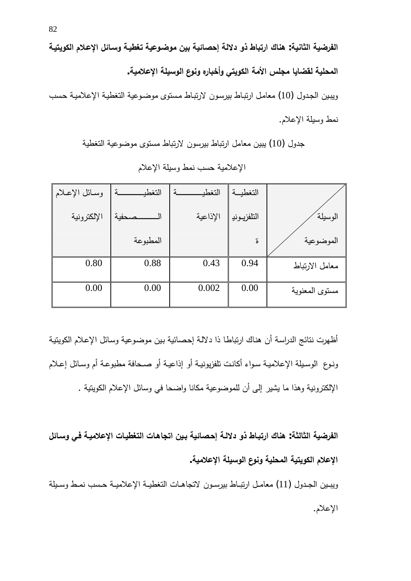الفرضية الثانية: هناك ارتباط ذو دلالة إحصائية بين موضوعية تغطية وسائل الإعلام الكويتية المحلية لقضايا مجلس الأمة الكويتي وأخباره ونوع الوسيلة الإعلامية.

ويبين الجدول (10) معامل ارتباط بيرسون لارتباط مستوى موضوعية التغطية الإعلامية حسب نمط وسيلة الإعلام.

جدول (10) يبين معامل ارتباط بيرسون لارتباط مستوى موضوعية التغطية

| وسائل الإعلام | التغطي   | التغطي   | التغطيسة   |                |
|---------------|----------|----------|------------|----------------|
| الإلكترونية   | صحفية    | الإذاعية | التلفزيوند | الوسيلة        |
|               | المطبوعة |          | ة          | الموضوعية      |
| 0.80          | 0.88     | 0.43     | 0.94       | معامل الارتباط |
| 0.00          | 0.00     | 0.002    | 0.00       | مستوى المعنوية |

الإعلامية حسب نمط وسيلة الإعلام

أظهرت نتائج الدراسة أن هناك ارتباطا ذا دلالة إحصائية بين موضوعية وسائل الإعلام الكويتية ونـوع الوسـيلة الإعلاميـة سـواء أكانـت نلفزيونيـة أو إذاعيـة أو صــحافة مطبوعـة أم وسـائل إعـلام الإلكترونية وهذا ما يشير إلى أن للموضوعية مكانا واضحا في وسائل الإعلام الكويتية .

الفرضية الثالثة: هناك ارتباط ذو دلالـة إحصائية بين اتجاهات التغطيـات الإعلاميـة ف*ي* وسـائل الإعلام الكويتية المحلية ونوع الوسيلة الإعلامية.

ويبين الجدول (11) معامل ارتباط بيرسون لاتجاهات التغطيـة الإعلاميـة حسب نمـط وسـيلة الإعلام.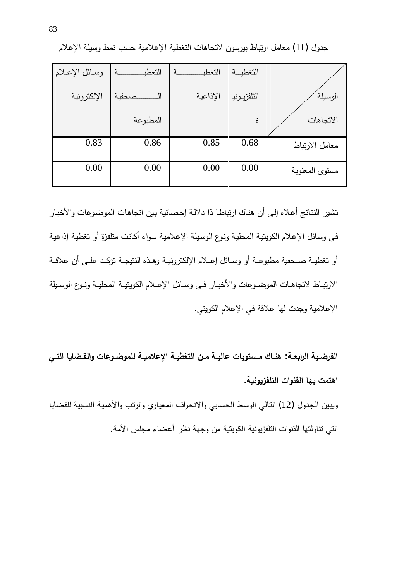| وسائل الإعىلام | التغطي<br>À | التغطي   | التغطية        |                |
|----------------|-------------|----------|----------------|----------------|
| الإلكترونية    | حىحفية      | الإذاعية | التلفزيوند     | الوسيلة        |
|                | المطبوعة    |          | $\ddot{\circ}$ | الاتجاهات      |
| 0.83           | 0.86        | 0.85     | 0.68           | معامل الارتباط |
| 0.00           | 0.00        | 0.00     | 0.00           | مستوى المعنوية |

جدول (11) معامل ارتباط بيرسون لاتجاهات التغطية الإعلامية حسب نمط وسيلة الإعلام

تشير النتائج أعلاه إلى أن هناك ارتباطا ذا دلالة إحصائية بين اتجاهات الموضوعات والأخبار في وسائل الإعلام الكويتية المحلية ونوع الوسيلة الإعلامية سواء أكانت متلفزة أو تغطية إذاعية أو تغطيــة صــحفية مطبوعــة أو وسـائل إعــلام الإلكترونيــة وهـذه النتيجــة تؤكـد علــي أن علاقــة الارتبـاط لاتجاهـات الموضـوعات والأخبـار فـي وسـائل الإعـلام الكويتيـة المحليـة ونـوع الوسـيلة الإعلامية وجدت لها علاقة في الإعلام الكويتي.

الفرضية الرابعـة: هنـاك مـستويات عاليــة مـن التغطيــة الإعلاميــة للموضـوعات والقـضايـا الت*ــى* اهتمت بـها الـقنوات التلفزيونيـة.

ويبين الجدول (12) التالي الوسط الحسابي والانحراف المعياري والرنب والأهمية النسبية للقضايا التي نتاولتها القنوات التلفزيونية الكويتية من وجهة نظر أعضاء مجلس الأمة.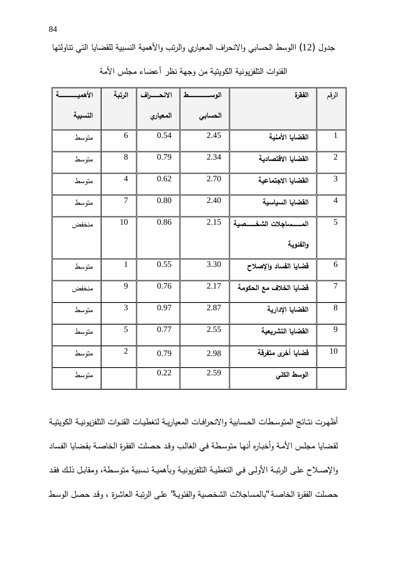جدول (12) االوسط الحسابي والانحراف المعياري والرنب والأهمية النسبية للقضايا التي نتاولتها

| الأهميــــــ | الرتبة          | الانحسراف | الوســــــــط | الفقرة                  | الرقم          |
|--------------|-----------------|-----------|---------------|-------------------------|----------------|
| النسبية      |                 | المعياري  | الحسابى       |                         |                |
| متوسط        | 6               | 0.54      | 2.45          | القضايا الأمنية         | $\mathbf{1}$   |
| متوسط        | 8               | 0.79      | 2.34          | القضايا الاقتصادية      | $\overline{2}$ |
| متوسط        | $\overline{4}$  | 0.62      | 2.70          | القضايا الاجتماعية      | 3              |
| متوسط        | $7\phantom{.0}$ | 0.80      | 2.40          | القضايا السياسية        | $\overline{4}$ |
| منخفض        | 10              | 0.86      | 2.15          | المسساجلات الشخسصية     | 5              |
|              |                 |           |               | والفئوية                |                |
| متوسط        | $\mathbf{1}$    | 0.55      | 3.30          | قضايا الفساد والإصلاح   | 6              |
| منخفض        | 9               | 0.76      | 2.17          | قضايا الخلاف مع الحكومة | 7              |
| متوسط        | 3               | 0.97      | 2.87          | القضايا الإدارية        | 8              |
| متوسط        | 5               | 0.77      | 2.55          | القضايا التشريعية       | 9              |
| منوسط        | $\overline{2}$  | 0.79      | 2.98          | قضايا أخرى متفرقة       | 10             |
| متوسط        |                 | 0.22      | 2.59          | الوسط الكلى             |                |

القنوات التلفزيونية الكويتية من وجهة نظر أعضاء مجلس الأمة

أظهرت نتائج المتوسطات الحسابية والانحرافات المعياريـة لتغطيـات القنوات التلفزيونيـة الكويتيـة لقضايا مجلس الأمة وأخباره أنها متوسطة في الغالب وقد حصلت الفقرة الخاصىة بقضايا الفساد والإصـلاح علـي الرتبـة الأولـي فـي التغطيـة التلفزيونيـة وبأهميـة نـسبية متوسطة، ومقابـل ذلك فقد حصلت الفقرة الخاصبة "بالمساجلات الشخصية والفئوية" على الرنبية العاشرة ، وقد حصل الوسط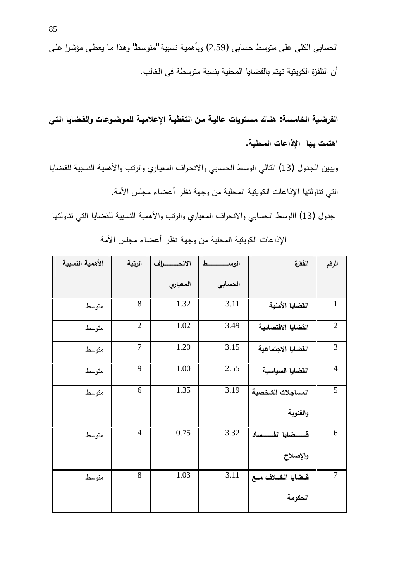الحسابي الكلي على متوسط حسابي (2.59) وبأهمية نسبية "متوسط" وهذا ما يعطي مؤشرا على أن التلفزة الكويتية تهتم بالقضايا المحلية بنسبة متوسطة في الغالب.

الفرضية الخامسة: هناك مستويات عاليـة من التغطيـة الإعلاميـة للموضوعات والقضايا الت*ي*  **.ŗƒƄšƆƃ¦©œŵ¦¯Ɨ¦ œƌŕ©ƆřƋ¦**

ويبين الجدول (13) التالي الوسط الحسابي والانحراف المعياري والزنب والأهمية النسبية للقضايا التي تناولتها الإذاعات الكويتية المحلية من وجهة نظر أعضاء مجلس الأمة.

جدول (13) االوسط الحسابي والانحراف المعياري والرنب والأهمية النسبية للقضايا التي نتاولتها

| الأهمية النسبية | الرتبة         | الانحسسراف | ﯩﯔ      | الفقرة               | الرقم          |
|-----------------|----------------|------------|---------|----------------------|----------------|
|                 |                | المعياري   | الحسابى |                      |                |
| متوسط           | 8              | 1.32       | 3.11    | القضايا الأمنية      | $\mathbf{1}$   |
| متوسط           | $\overline{2}$ | 1.02       | 3.49    | القضايا الاقتصادية   | $\overline{2}$ |
| متوسط           | $\overline{7}$ | 1.20       | 3.15    | القضايا الاجتماعية   | 3              |
| متوسط           | 9              | 1.00       | 2.55    | القضايا السياسية     | $\overline{4}$ |
| منوسط           | 6              | 1.35       | 3.19    | المساجلات الشخصية    | 5              |
|                 |                |            |         | والفئوية             |                |
| متوسط           | $\overline{4}$ | 0.75       | 3.32    | قسسضايا الفسسساد     | 6              |
|                 |                |            |         | والإصلاح             |                |
| متوسط           | 8              | 1.03       | 3.11    | قـضايا الخــلاف مــع | $\overline{7}$ |
|                 |                |            |         | الحكومة              |                |

الإذاعات الكويتية المحلية من وجهة نظر أعضاء مجلس الأمة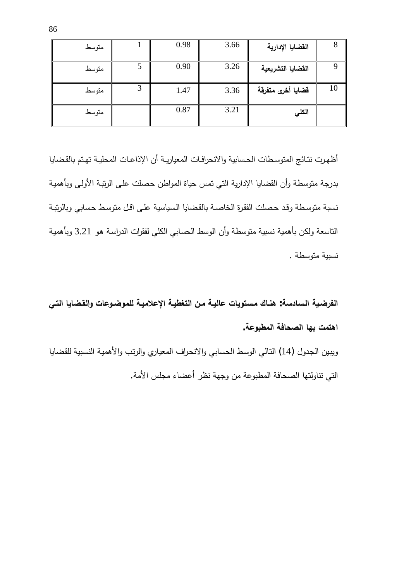| متوسط | 0.98 | 3.66 | القضايا الإدارية  |    |
|-------|------|------|-------------------|----|
| متوسط | 0.90 | 3.26 | القضايا التشريعية |    |
| متوسط | 1.47 | 3.36 | فضايا أخرى متفرقة | 10 |
| متوسط | 0.87 | 3.21 | الكلى             |    |

أظهرت نتائج المتوسطات الحسابية والانحرافات المعياريـة أن الإذاعـات المحليـة تهتم بالقضايا بدرجة منوسطة وأن القضايا الإدارية التي نمس حياة المواطن حصلت على الرنبـة الأولـي وبأهميـة نسبة متوسطة وقد حصلت الفقرة الخاصـة بالقضايا السياسية علـي اقل متوسط حسابـي وبالرتبـة التاسعة ولكن بأهمية نسبية متوسطة وأن الوسط الحسابي الكلي لفقرات الدراسة هو 3.21 وبأهمية نسبية متوسطة .

الفرضية السادسة: هناك مستويات عاليـة من التغطيـة الإعلاميـة للموضوعات والقضايا الت*ـى* اهتمت بها الصحافة المطبوعة.

ويبين الجدول (14) التالي الوسط الحسابي والانحراف المعياري والزنب والأهمية النسبية للقضايا التي نتاولتها الصحافة المطبوعة من وجهة نظر أعضاء مجلس الأمة.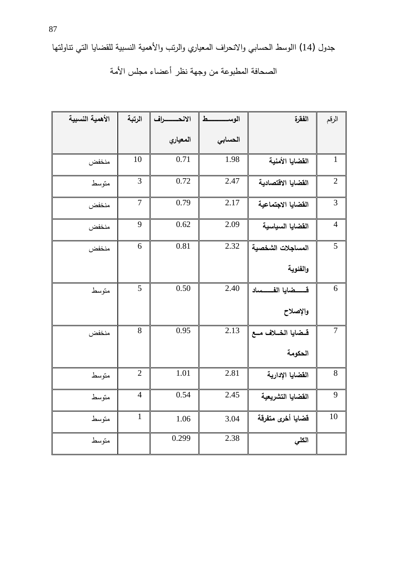| الأهمية النسبية | الرتبة         | الانحسسراف        | الوســــــــط | الفقرة                 | الرقم          |
|-----------------|----------------|-------------------|---------------|------------------------|----------------|
|                 |                | المعياري          | الحسابى       |                        |                |
| منخفض           | 10             | $\overline{0.71}$ | 1.98          | القضايا الأمنية        | $\mathbf{1}$   |
| متوسط           | 3              | 0.72              | 2.47          | القضايا الاقتصادية     | $\overline{2}$ |
| منخفض           | $\overline{7}$ | 0.79              | 2.17          | القضايا الاجتماعية     | 3              |
| منخفض           | 9              | 0.62              | 2.09          | القضايا السياسية       | $\overline{4}$ |
| منخفض           | 6              | 0.81              | 2.32          | المساجلات الشخصية      | 5              |
|                 |                |                   |               | والفئوية               |                |
| متوسط           | 5              | 0.50              | 2.40          | قـــــضايا الفـــــساد | 6              |
|                 |                |                   |               | والإصلاح               |                |
| منخفض           | 8              | 0.95              | 2.13          | قـضايا الخــلاف مــع   | $\overline{7}$ |
|                 |                |                   |               | الحكومة                |                |
| متوسط           | $\overline{2}$ | 1.01              | 2.81          | القضايا الإدارية       | 8              |
| متوسط           | $\overline{4}$ | 0.54              | 2.45          | القضايا التشريعية      | 9              |
| متوسط           | $\mathbf{1}$   | 1.06              | 3.04          | قضايا أخرى متفرقة      | 10             |
| متوسط           |                | 0.299             | 2.38          | الكلى                  |                |

řƈƗ§³ƆŠƈ¡ŕŲŷ£±¸ƊřƎŠÃÁƈřŷÃŗ·ƈƅ§řžŕţŰƅ§

جدول (14) االوسط الحسابي والانحراف المعياري والرنب والأهمية النسبية للقضايا الني نتاولتها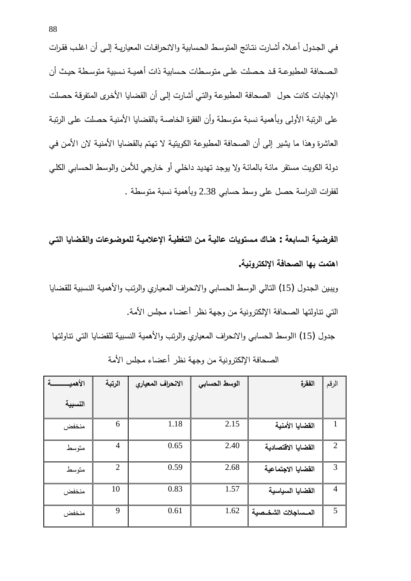في الجدول أعـلاه أشـارت نتـائج المتوسط الحسابية والانحرافـات المعياريــة إلـي أن اغلب فقرات المحدافة المطبوعـة قـد حـصلت علـي متوسـطات حـسابية ذات أهميـة نـسبية متوسـطـة حيـث أن الإجابات كانت حول الصحافة المطبوعة والتي أشارت إلى أن القضايا الأخرى المتفرقة حصلت على الرنبة الأولى وبأهمية نسبة متوسطة وأن الفقرة الخاصبة بالقضايا الأمنية حصلت على الرنبة العاشرة وهذا ما يشير إلى أن الصحافة المطبوعة الكويتية لا تهتم بالقضايا الأمنية لان الأمن في دولة الكويت مستقر مائة بالمائة ولا يوجد تهديد داخلي أو خارجي للأمن والوسط الحسابي الكلي لفقرات الدراسة حصل على وسط حسابي 2.38 وبأهمية نسبة متوسطة .

الفرضية السابعة : هناك مستويات عاليـة من التغطيـة الإعلاميـة للموضوعات والقضايا الت*ـي* اهتمت بها الصحافة الإلكترونية.

ويبين الجدول (15) التالي الوسط الحسابي والانحراف المعياري والزنب والأهمية النسبية للقضايا التي نتاولتها الصحافة الإلكترونية من وجهة نظر أعضاء مجلس الأمة.

جدول (15) االوسط الحسابي والانحراف المعياري والرنب والأهمية النسبية للقضايا التي نتاولتها

| الأهمي  | الرتبة         | الانحراف المعياري | الوسط الحسابي | الفقرة             | الرقم          |
|---------|----------------|-------------------|---------------|--------------------|----------------|
| النسبية |                |                   |               |                    |                |
| منخفض   | 6              | 1.18              | 2.15          | القضايا الأمنية    | $\mathbf{1}$   |
| متوسط   | $\overline{4}$ | 0.65              | 2.40          | القضايا الاقتصادية | $\overline{2}$ |
| متوسط   | $\overline{2}$ | 0.59              | 2.68          | القضايا الاجتماعية | 3              |
| منخفض   | 10             | 0.83              | 1.57          | القضايا السياسية   | $\overline{4}$ |
| منخفض   | 9              | 0.61              | 1.62          | المساجلات الشخصية  | $\mathfrak{S}$ |

الصحافة الإلكترونية من وجهة نظر أعضاء مجلس الأمة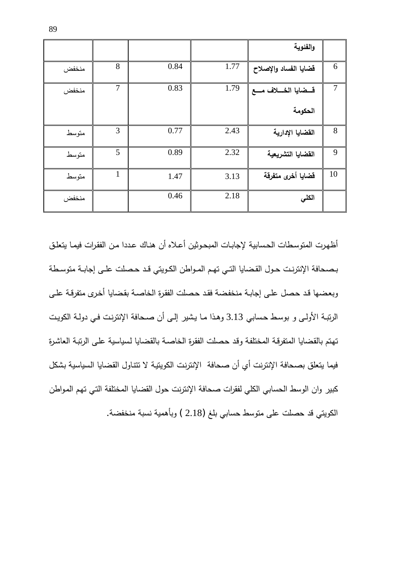|       |   |      |      | والفئوية              |    |
|-------|---|------|------|-----------------------|----|
| منخفض | 8 | 0.84 | 1.77 | قضايا الفساد والإصلاح | 6  |
| منخفض | 7 | 0.83 | 1.79 | قسضايا الخسلاف مسع    | 7  |
|       |   |      |      | الحكومة               |    |
| متوسط | 3 | 0.77 | 2.43 | القضايا الإدارية      | 8  |
| متوسط | 5 | 0.89 | 2.32 | القضايا التشريعية     | 9  |
| متوسط | 1 | 1.47 | 3.13 | قضايا أخرى متفرقة     | 10 |
| منخفض |   | 0.46 | 2.18 | الكلي                 |    |

أظهرت المتوسطات الحسابية لإجابـات المبحوثين أعـلاه أن هنـاك عددا مـن الفقرات فيمـا يتعلـق بـصـحافة الإنترنـت حـول القـضايا التـي تهـم المـواطن الكـويتي قـد حـصلت علـى إجابـة متوسـطـة وبعضها قد حصل على إجابة منخفضة فقد حصلت الفقرة الخاصة بقضايا أخرى متفرقة على الرنبـة الأولـي و بوسط حسابـي 3.13 وهذا مـا يشير إلـي أن صـحافة الإنترنت فـي دولـة الكويت تهتم بالقضايا المتفرقة المختلفة وقد حصلت الفقرة الخاصة بالقضايا لسياسية على الرنبة العاشرة فيما يتعلق بصحافة الإنترنت أي أن صحافة الإنترنت الكويتية لا تتناول القضايا السياسية بشكل كبير وان الوسط الحسابي الكلي لفقرات صحافة الإنترنت حول القضايا المختلفة التي تهم المواطن الكويتي قد حصلت على متوسط حسابي بلغ (2.18 ) وبأهمية نسبة منخفضة.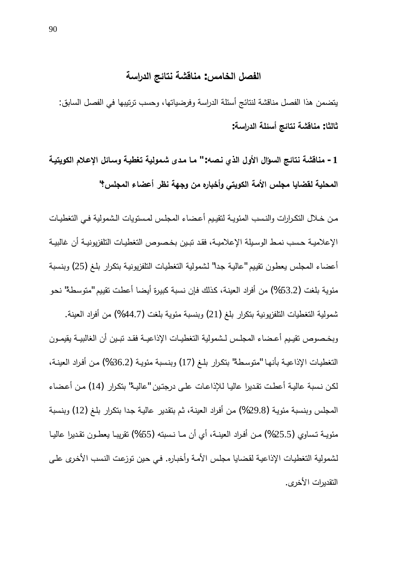### **الفصل الخامس: مناقشة نتائج الدراسة**

يتضمن هذا الفصل مناقشة لنتائج أسئلة الدراسة وفرضياتها، وحسب ترتيبها في الفصل السابق: ثالثا: مناقشة نتائج أسئلة الدراسة:

**ŗºƒřƒÂƂƃ¦¿ƚºŵƗ¦¾őœºŪÂŗºƒ¶źřŗƒƃÂƆºŬîºƆœºƆ " :ƊŮºƈįƃ¦¾Âƕ¦¾¦£Ūƃ¦ŝőœřƈŗŬſœƈƆ -1** المحلية لقضايا مجلس الأمة الكويتي وأخباره من وجهة نظر أعضاء المجلس؟"

من خـلال التكرارات والنسب المئويـة لتقييم أعضاء المجلس لمستويات الـشمولية فـي التغطيـات الإعلاميـة حسب نمـط الوسـيلة الإعلاميـة، فقد تبـين بخـصوص التغطيـات النلفزيونيـة أن غالبيـة أعضاء المجلس يعطون تقييم "عالية جدا" لشمولية التغطيات التلفزيونية بتكرار بلغ (25) وبنسبة مئوية بلغت (53.2%) من أفراد العينـة، كذلك فإن نسبة كبيرة أيضـا أعطت تقييم "متوسطـة" نحو

شمولية التغطيات التلفزيونية بتكرار بلغ (21) وبنسبة مئوية بلغت (44.7%) من أفراد العينة. وبخصوص تقييم أعضاء المجلس لـشمولية التغطيـات الإذاعيــة فقـد تبـين أن الغالبيــة بقيمـون التغطيات الإذاعية بأنها "متوسطة" بتكرار بلغ (17) وبنسبة مئوية (36.2%) من أفراد العينـة، لكن نسبة عالية أعطت تقديرا عاليا للإذاعات على درجتين "عاليـة" بتكرار (14) من أعضاء المجلس وبنسبة مئوية (29.8%) من أفراد العينة، ثم بتقدير عالية جدا بتكرار بلغ (12) وبنسبة مئويـة تـساوي (25.5%) مـن أفـراد العينـة، أي أن مـا نـسبته (55%) تقريبـا يعطـون تقـديرا عاليـا لشمولية التغطيات الإذاعية لقضايا مجلس الأمـة وأخباره. في حين توزعت النسب الأخرى على النقديرات الأخرى.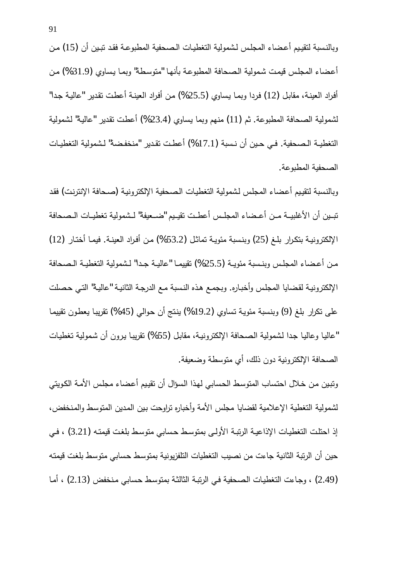وبالنسبة لتقييم أعضاء المجلس لشمولية التغطيات الصحفية المطبوعـة فقد تبـين أن (15) مـن أعضاء المجلس قيمت شمولية الصحافة المطبوعة بأنها "متوسطة" وبما يساوي (31.9%) من أفراد العينـة، مقابل (12) فردا وبمـا يساوي (25.5%) من أفراد العينـة أعطت تقدير "عاليـة جدا" لشمولية الصحافة المطبوعة. ثم (11) منهم وبما يساوي (23.4%) أعطت نقدير "عالية" لشمولية التغطيــة الـصحفية. فـي حـين أن نـسبة (17.1%) أعطت تقدير "منخفـضة" لـشمولية التغطيــات الصحفية المطيوعة.

وبالنسبة لتقييم أعضاء المجلس لشمولية التغطيات الصحفية الإلكترونية (صحافة الإنترنت) فقد تبـين أن الأغلبيــة مـن أعـضاء المجلـس أعطـت تقيـيم "ضــعيفة" لـشمولية تغطيــات الــصـحافة الإلكترونية بتكرار بلغ (25) وبنسبة مئوية تماثل (53.2%) من أفراد العينـة. فيمـا أختـار (12) من أعضاء المجلس وبنسبة مئويـة (25.5%) تقييمـا "عاليـة جـدا" لـشمولية التغطيـة الـصـحافة الإلكترونية لقضايا المجلس وأخباره. وبجمع هذه النسبة مع الدرجة الثانية "عالية" التي حصلت على نكرار بلغ (9) وبنسبة مئوية تساوي (19.2%) بِنتج أن حوالي (45%) تقريبا بعطون تقييما "عاليا وعاليا جدا لشمولية الصحافة الإلكترونيـة، مقابل (55%) تقريبـا يرون أن شمولية تغطيات الصحافة الإلكترونية دون ذلك، أي متوسطة وضعيفة.

ونبين من خلال احتساب المتوسط الحسابي لهذا السؤال أن تقييم أعضاء مجلس الأمة الكويتي لشمولية التغطية الإعلامية لقضايا مجلس الأمة وأخباره تزاوحت بين المدين المتوسط والمنخفض، إذ احتلت التغطيات الإذاعية الرتبة الأولى بمتوسط حسابي متوسط بلغت قيمته (3.21) ، في حين أن الرتبة الثانية جاءت من نصيب التغطيات النلفزيونية بمتوسط حسابي متوسط بلغت قيمته (2.49) ، وجاءت التغطيات الصحفية في الرتبة الثالثة بمتوسط حسابي منخفض (2.13) ، أما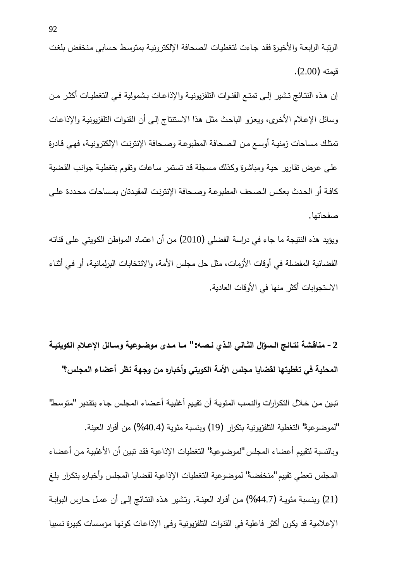الرنبة الرابعة والأخيرة فقد جاءت لتغطيات الصحافة الإلكترونية بمتوسط حسابي منخفض بلغت  $(2.00)$  فَبِمنَه

إن هذه النتـائج تـشير إلـي تمتـع القنـوات التلفزيونيـة والإذاعـات بـشموليـة فـي التغطيـات أكثـر مـن وسائل الإعلام الأخرى، ويعزو الباحث مثل هذا الاستنتاج إلى أن القنوات التلفزيونية والإذاعات تمتلك مساحات زمنية أوسع من الصحافة المطبوعة وصحافة الإنترنت الإلكترونية، فهي قادرة على عرض نقارير حية ومباشرة وكذلك مسجلة قد تستمر ساعات ونقوم بتغطية جوانب القضية كافة أو الحدث بعكس الصحف المطبوعة وصحافة الإنترنت المقيدتان بمساحات محددة على صفحاتها.

ويؤيد هذه النتيجة ما جاء في دراسة الفضلي (2010) من أن اعتماد المواطن الكويتي على قناته الفضائية المفضلة في أوقات الأزمات، مثل حل مجلس الأمة، والانتخابات البرلمانية، أو في أثناء الاستجوابات أكثر منها في الأوقات العادية.

**ŗººƒřƒÂƂƃ¦¿ƚººŵƗ¦¾őœººŪÂŗƒŵººŰÂƆîºƆœºƆ " :ƊŮºƈįºƃ¦Ƒƈœººśƃ¦¾¦£Ūºƃ¦ŝőœºřƈŗŬºſœƈƆ -2** المحلية في تغطيتها لقضايا مجلس الأمة الكويتي وأخباره من وجهة نظر أعضاء المجلس؟"

تبين من خلال التكرارات والنسب المئويـة أن تقييم أغلبيـة أعضـاء المجلس جـاء بتقدير "متوسط" "لموضوعية" التغطية التلفزيونية بتكرار (19) وبنسبة مئوية (40.4%) من أفراد العينة. وبالنسبة لتقييم أعضاء المجلس "لموضوعية" التغطيات الإذاعية فقد تبين أن الأغلبية من أعضاء المجلس تعطي تقييم "منخفضة" لموضوعية التغطيات الإذاعية لقضايا المجلس وأخباره بتكرار بلغ (21) وبنسبة مئوية (44.7%) من أفراد العينـة. وتشير هذه النتائج إلـى أن عمل حارس البوابـة الإعلامية قد يكون أكثر فاعلية في القنوات التلفزيونية وفي الإذاعات كونـها مؤسسات كبيرة نسبيا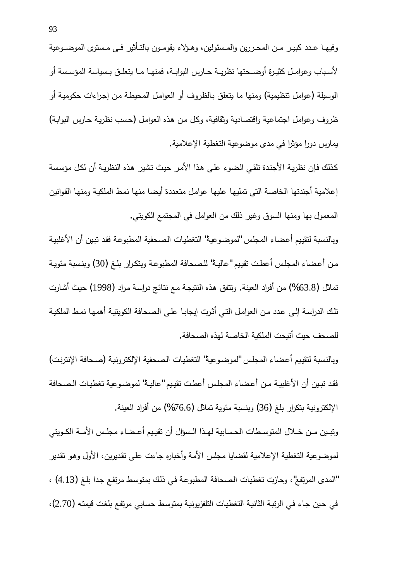وفيهـا عـدد كبيـر مـن المحـررين والمـسئولين، وهـؤلاء يقومـون بالتـأثير فـي مـستوى الموضـوعية لأسباب وعوامـل كثيـرة أوضــحتها نظريــة حـارس البوابــة، فمنـهـا مــا يتعلــق بـسياسة المؤسـسة أو الوسيلة (عوامل تتظيمية) ومنها ما يتعلق بالظروف أو العوامل المحيطة من إجراءات حكومية أو ظروف وعوامل اجتماعية واقتصادية وثقافية، وكل من هذه العوامل (حسب نظرية حارس البوابة) يمارس دورا مؤثرا في مدى موضوعية التغطية الإعلامية.

كذلك فإن نظريـة الأجندة تلقـي الضوء علـي هذا الأمر حيث تشير هذه النظريـة أن لكل مؤسسة إعلامية أجندتها الخاصة التي تمليها عليها عوامل متعددة أيضا منها نمط الملكية ومنها القوانين المعمول بها ومنها السوق وغير ذلك من العوامل في المجتمع الكويتي.

وبالنسبة لتقبيم أعضاء المجلس "لموضوعية" التغطيات الصحفية المطبوعة فقد تبين أن الأغلبية من أعضاء المجلس أعطت نقييم "عالية" للصحافة المطبوعة وبتكرار بلغ (30) وبنسبة مئوية تماثل (63.8%) من أفراد العينة. وتتفق هذه النتيجة مع نتائج دراسة مراد (1998) حيث أشارت تلك الدراسة إلى عدد من العوامل التي أثرت إيجابـا على الصحافة الكويتية أهمها نمط الملكيـة للصحف حيث أتبحت الملكية الخاصة لهذه الصحافة.

وبالنسبة لتقييم أعضاء المجلس "لموضىوعية" التغطيات الصحفية الإلكترونية (صحافة الإنترنت) فقد تبين أن الأغلبيـة مـن أعضـاء المجلس أعطت تقييم "عاليـة" لموضـوعية تغطيـات الـصـحافة الإلكترونية بتكرار بلغ (36) وبنسبة مئوية تماثل (76.6%) من أفراد العينة.

ونبين مـن خــلا المتوسـطات الحسابية لـهـذا الـسؤال أن نقيـيم أعـضـاء مجلـس الأمــة الكــويتي لموضوعية التغطية الإعلامية لقضايا مجلس الأمة وأخباره جاءت على تقديرين، الأول وهو نقدير المدى المرتفع"، وحازت تغطيات الصحافة المطبوعة في ذلك بمتوسط مرتفع جدا بلغ (4.13) ، " في حين جاء في الرتبة الثانية التغطيات التلفزيونية بمتوسط حسابي مرتفع بلغت قيمته (2.70)،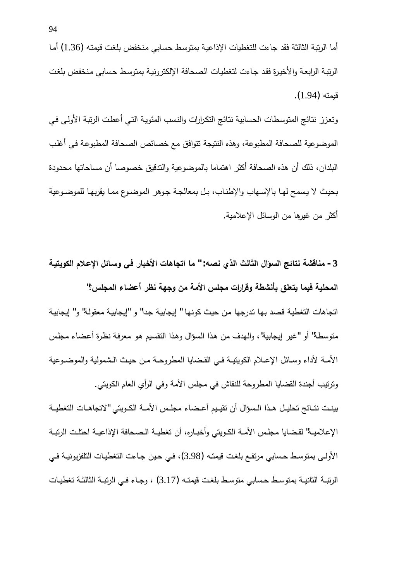أما الرتبة الثالثة فقد جاءت للتغطيات الإذاعية بمتوسط حسابي منخفض بلغت قيمته (1.36) أما الرتبة الرابعة والأخيرة فقد جاءت لتغطيات الصحافة الإلكترونية بمتوسط حسابي منخفض بلغت  $(1.94)$  فَسمته

وتعزز نتائج المتوسطات الحسابية نتائج التكرارات والنسب المئوية التي أعطت الرتبة الأولى في الموضوعية للصحافة المطبوعة، وهذه النتيجة تتوافق مع خصائص الصحافة المطبوعة في أغلب البلدان، ذلك أن هذه الصحافة أكثر اهتماما بالموضوعية والتدقيق خصوصا أن مساحاتها محدودة بحيث لا يسمح لها بالإسهاب والإطناب، بل بمعالجة جوهر الموضوع مما يقربها للموضوعية أكثر ًمن غيرها من الوسائل الإعلامية.

**ŗºƒřƒÂƂƃ¦¿ƚºŵƗ¦¾őœºŪÂƑºż°œŕŤƕ¦©œƋœŞř¦œƆ " :ƊŮƈįƃ¦ªƃœśƃ¦¾¦£Ūƃ¦ŝőœřƈŗŬſœƈƆ -3** المحلية فيما يتعلق بأنشطة وقرارات مجلس الأمة من وجهة نظر أعضاء المجلس؟" اتجاهات التغطية قصد بها تدرجها من حيث كونها " إيجابية جدا" و "إيجابية معقولة" و" إيجابية متوسطة" أو "غير إيجابية"، وإلهدف من هذا السؤال وهذا التقسيم هو معرفة نظرةٍ أعضاء مجلس الأمــة لأداء وسـائل الإعــلام الكويتيـة فـي القـضايا المطروحـة مـن حيث الـشمولية والموضــوعية ونرنيب أجندة القضايا المطروحة للنقاش في مجلس الأمة وفي الرأي العام الكويتي. بينت نتـائج تحليـل هـذا الـسؤال أن تقيـيم أعـضاء مجلـس الأمــة الكـويتي "لاتجاهـات التغطيــة الإعلاميــة" لقـضايا مجلـس الأمــة الكـويتي وأخبــاره، أن تغطيــة الـصـحافة الإذاعيــة احتلـت الرتبــة الأولى بمتوسط حسابي مرتفـع بلغت قيمتـه (3.98)، فـي حين جـاءت التغطيـات التلفزيونيــة فـي الرتبـة الثانيـة بمتوسـط حـسابي متوسـط بلغت قيمتـه (3.17) ، وجـاء فـي الرتبـة الثالثـة تغطيـات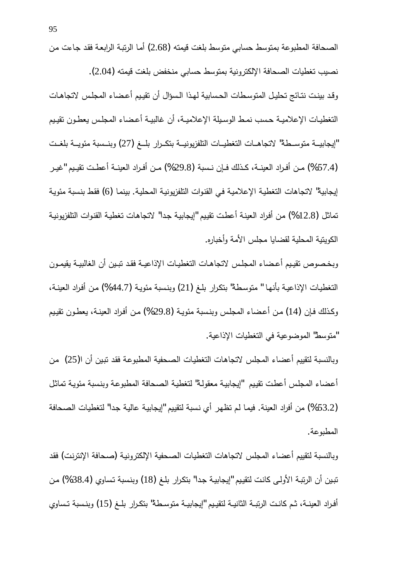الصحافة المطبوعة بمتوسط حسابي متوسط بلغت قيمته (2.68) أما الرتبـة الرابعـة فقد جاءت من

نصبب تغطيات الصحافة الإلكترونية بمتوسط حسابي منخفض بلغت قيمته (2.04**).** وقد بينت نتائج تحليل المتوسطات الحسابية لهذا الـسؤال أن تقييم أعضاء المجلس لاتجاهات التغطيات الإعلاميـة حسب نمط الوسبلة الإعلاميـة، أن غالبيـة أعضـاء المجلس يعطـون تقيـيم يجابيــة متوســطة" لاتجاهــات التغطيــات التلفزيونيــة بتكــرار بلــغ (27) وبنــسبة مئويــة بلغـت " خد أفراد العينـة، كذلك فـإن نـسبة (29.8%) مـن أفـراد العينـة أعطـت تقيـيم "غيـر» { إيجابية" لاتجاهات التغطية الإعلامية في القنوات التلفزيونية المحلية. بينما (6) فقط بنسبة مئوية تماثل (12.8%) من أفراد العينة أعطت تقييم "إيجابية جدا" لاتجاهات تغطية القنوات التلفزيونية الكوبنية المحلية لقضابا مجلس الأمة وأخباره.

وبخصوص نقييم أعضاء المجلس لاتجاهات التغطيات الإذاعيـة فقد نبـين أن الغالبيـة يقيمـون التغطيات الإذاعية بأنها " متوسطة" بتكرار بلغ (21) وبنسبة مئوية (44.7%) من أفراد العينة، وكذلك فـإن (14) مـن أعـضاء المـجلس وبنـسبة مئويـة (29.8%) مـن أفـراد الـعينـة، يـعطـون تقييم "متوسط" الموضوعية في التغطيات الإذاعية.

وبالنسبة لتقييم أعضاء المجلس لاتجاهات التغطيات الصحفية المطبوعة فقد نبين أن ا(25) من أعضاء المجلس أعطت نقييم "إيجابية معقولة" لتغطية الصحافة المطبوعة وبنسبة مئوية تماثل خز (53.2%) من أفراد العينة. فيما لم تظهر أي نسبة لتقييم "إيجابية عالية جدا" لتغطيات الصحافة . المطبوعة.

وبالنسبة لتقييم أعضاء المجلس لاتجاهات التغطيات الصحفية الإلكترونية (صحافة الإنترنت) فقد تبين أن الرتبـة الأولـي كانت لتقييم "إيجابيـة جدا" بتكرار بلـغ (18) وبنسبة تساوي (38.4%) من أفراد العينــة، ثـم كانـت الرتبــة الثانيــة لتقيـيم "إيجابيــة متوسـطـة" بتكـرار بلــغ (15) وبنـسبـة تـساوي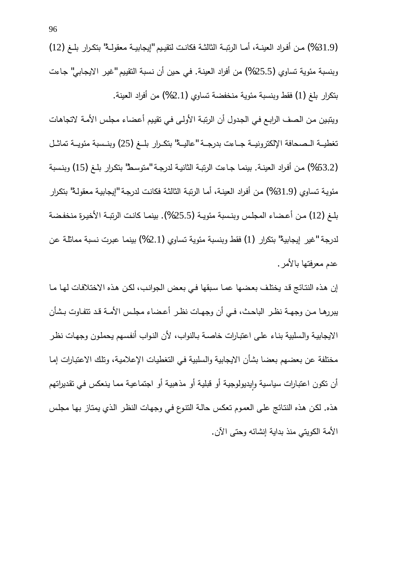بتكرار بلغ (1) فقط وبنسبة مئوية منخفضة تساوى (2.1%) من أفراد العينة.

ويتبين من الصف الرابـع فـي الجدول أن الرتبـة الأولـي فـي تقييم أعضـاء مجلس الأمـة لاتجاهات تغطيــة الـصحافة الإلكترونيــة جــاءت بدرجــة "عاليــة" بتكــرار بلــغ (25) وبنــسبة مئويــة تماثــل خرة⁄\$) من أفراد العينـة. بينمـا جـاءت الرنبـة الثانيـة لدرجـة "منوسـط" بتكرار بلـغ (15) وبنسبة . مئوية تساوي (31.9%) من أفراد العينـة، أمـا الرنبـة الثالثـة فكانت لدرجـة "إيجابيـة معقولـة" بنكرار بلغ (12) من أعضاء المجلس وبنسبة مئوية (25.5%). بينمـا كانت الرنبـة الأخيرة منخفضـة لدرجة "غير إيجابية" بتكرار (1) فقط وبنسبة مئوية تساوى (2.1%) بينما عبرت نسبة مماثلة عن عدم معرفتها بالأمر .

إن هذه النتائج قد يختلف بعضها عما سبقها في بعض الجوانب، لكن هذه الاختلافات لها ما يبررهـا مـن وجهـة نظـر الباحث، فـي أن وجهـات نظـر أعـضاء مجلـس الأمـة قـد تتفـاوت بـشأن الايجابية والسلبية بنـاء علـي اعتبـارات خاصــة بـالنواب، لأن النـواب أنفسـهم يـحملـون وجـهـات نظـر مختلفة عن بعضهم بعضا بشأن الايجابية والسلبية في التغطيات الإعلامية، وتلك الاعتبارات إما أن تكون اعتبارات سياسية وايديولوجية أو قبلية أو مذهبية أو اجتماعية مما ينعكس في تقديراتهم هذه. لكن هذه النتائج على العموم تعكس حالـة النتوع في وجهات النظر الذي يمتاز بها مجلس الأمة الكويتي منذ بداية إنشائه وحتى الآن.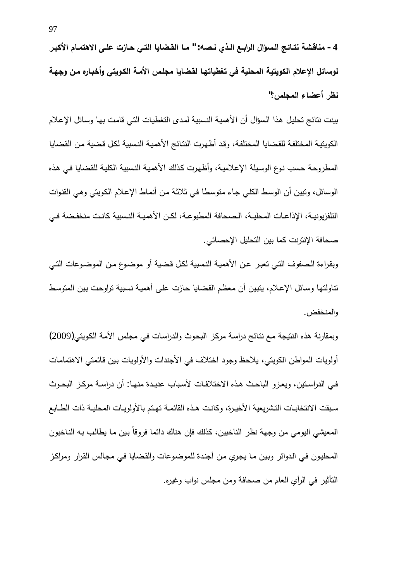**°ºŕƂƕ¦¿œºƆřƋƙ¦ƏºƄŵ©±œºšƑºřƃ¦œƒœŰºƀƃ¦œºƆ " :ƊŮºƈįºƃ¦Ŵºŕ¦°ƃ¦¾¦£Ūºƃ¦ŝőœºřƈŗŬºſœƈƆ -4** لوسائل الاعلام الكويتية المحلية ف*ي* تغطياتها لقضايا مجلس الأمـة الكويتي وأخبـاره من و<u>جه</u>ـة نظر أعضاء المجلس؟"

بينت نتائج تحليل هذا السؤال أن الأهمية النسبية لمدى التغطيات التي قامت بها وسائل الإعلام الكويتية المختلفة للقضايا المختلفة، وقد أظهرت النتائج الأهمية النسبية لكل قضية من القضايا المطروحة حسب نوع الوسيلة الإعلامية، وأظهرت كذلك الأهمية النسبية الكلية للقضايا في هذه الوسائل، ونبين أن الوسط الكلي جاء منوسطا في ثلاثة من أنماط الإعلام الكويتي وهي القنوات التلفزيونيـة، الإذاعـات المحليـة، الـصـحافة المطبوعـة، لكـن الأهميـة النـسبية كانـت منخفـضـة فـي صحافة الإنترنت كما بين التحليل الإحصائي.

وبقراءة الصفوف التي تعبر عن الأهمية النسبية لكل قضية أو موضوع من الموضوعات التي تناولتها وسائل الإعلام، يتبين أن معظم القضايا حازت على أهمية نسبية تراوحت بين المتوسط والمنخفض.

وبمقارنة هذه النتيجة مـع نتائج دراسة مركز البحوث والدراسات في مجلس الأمـة الكويتي(2009) أولويات المواطن الكويتي، يلاحظ وجود اختلاف في الأجندات والأولويات بين قائمتي الاهتمامات في الدراستين، ويعزو الباحث هذه الاختلافات لأسباب عديدة منها: أن دراسة مركز البحوث سبقت الانتخابـات التشريعية الأخيـرة، وكانـت هـذه القائمـة تهـتم بالأولويـات المحليـة ذات الطــابـع المعيشي اليومي من وجهة نظر الناخبين، كذلك فإن هناك دائما فروقاً بين ما يطالب بـه النـاخبون المحليون في الدوائر وبين مـا يجري من أجندة للموضوعات والقضايا في مجالس القرار ومراكز النتأثير في الرأي العام من صحافة ومن مجلس نواب وغيره.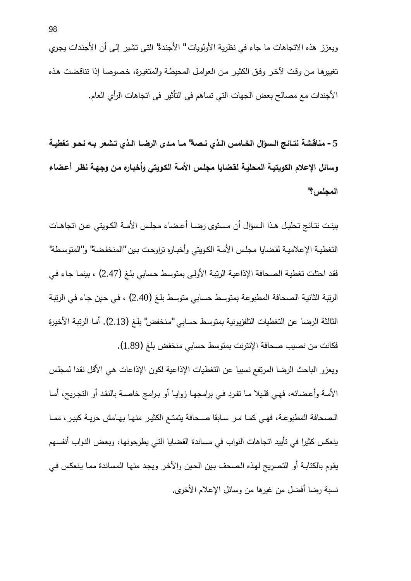ويعزز هذه الاتجاهات ما جاء في نظرية الأولويات " الأجندة" التي تشير إلى أن الأجندات يجري تغييرها من وقت لآخر وفق الكثير من العوامل المحيطة والمتغيرة، خصوصا إذا تناقضت هذه الأجندات مع مصـالح بعض الجهات التي تساهم في التأثير في اتجاهات الرأي العام.

5 - مناقشة نتائج السؤال الخـامس الذي نـصه" مـا مـدي الرضـا الذي تـشعر بـه نحـو تغطيـة وسائل الإعلام الكويتية المحلية لقضايا مجلس الأمة الكويت*ي* وأخباره من وجهة نظر أعضاء المجلس؟"

بينت نتائج تحليل هذا الـسؤال أن مستوى رضـا أعـضاء مجلس الأمـة الكـويتي عـن اتجاهـات التغطية الإعلامية لقضايا مجلس الأمة الكويتي وأخباره تزاوحت بين "المنخفضة" و"المتوسطة" فقد احتلت تغطية الصحافة الإذاعية الرتبة الأولى بمتوسط حسابي بلغ (2.47) ، بينما جاء في الرنبة الثانية الصحافة المطبوعة بمتوسط حسابي متوسط بلغ (2.40) ، في حين جاء في الرنبة الثالثة الرضا عن التغطيات التلفزيونية بمتوسط حسابي "منخفض" بلغ (2.13). أما الرببة الأخيرة فكانت من نصبب صحافة الإنترنت بمتوسط حسابي منخفض بلغ (1.89).

ويعزو الباحث الرضا المرتفع نسبيا عن التغطيات الإذاعية لكون الإذاعات هي الأقل نقدا لمجلس الأمـة وأعضائه، فهي قليلا مـا نفرد فـي برامجهـا زوايـا أو بـرامج خاصـة بالنقد أو التجريح، أمـا المحدافة المطبوعـة، فهـي كمـا مـر سـابقا صـحافة يتمتـع الكثيـر منهـا بـهـامش حريـة كبيـر ، ممـا ينعكس كثيرا في تأييد اتجاهات النواب في مساندة القضايا التي يطرحونها، وبعض النواب أنفسهم يقوم بالكتابـة أو التصريح لهذه الصحف بين الحين والآخر ويجد منها المساندة مما ينعكس في نسبة رضا أفضل من غبرها من وسائل الإعلام الأخرى.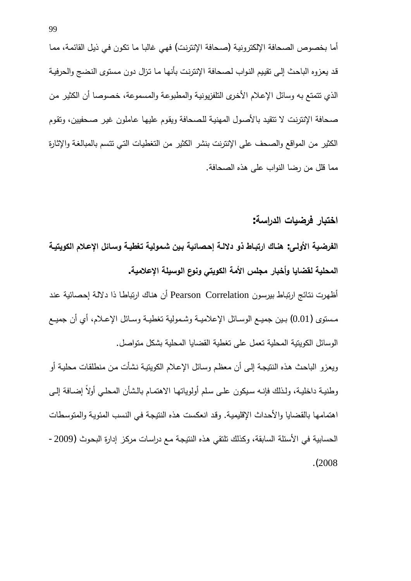أما بخصوص الصحافة الإلكترونية (صحافة الإنترنت) فهي غالبا ما تكون في ذيل القائمة، مما قد يعزوه الباحث إلى تقييم النواب لصحافة الإنترنت بأنها ما تزال دون مستوى النضج والحرفية الذي نتمتع به وسائل الإعلام الأخرى التلفزيونية والمطبوعة والمسموعة، خصوصا أن الكثير من صحافة الإنترنت لا تتقيد بالأصول المهنية للصحافة ويقوم عليها عاملون غير صحفيين، وتقوم الكثير من المواقع والصحف على الإنترنت بنشر الكثير من التغطيات التي تتسم بالمبالغة والإثارة مما قلل من رضا النواب على هذه الصحافة.

اختبار فرضيات الدراسة:

الفرضية الأول*ى*: هناك ارتباط ذو دلالـة إحصائية بين شمولية تغطيـة وسـائل الإعـلام الكويتيـة المحلية لقضايا وأخبار مجلس الأمة الكويت*ي* ونوع الوسيلة الإعلامية.

أظهرت نتائج ارتباط بيرسون Pearson Correlation أن هناك ارتباطا ذا دلالة إحصائية عند مـسنوي (0.01) بـين جميـع الوسـائل الإعلاميــة وشـمولية نـغطيــة وسـائل الإعــلام، أي أن جميــع الوسائل الكويتية المحلية تعمل على تغطية القضايا المحلية بشكل متواصل.

ويعزو الباحث هذه النتيجة إلىي أن معظم وسائل الإعلام الكويتية نشأت من منطلقات محلية أو وطنية داخلية، ولـذلك فإنـه سـيكون علـي سلم أولوياتها الاهتمـام بالـشأن المحلـي أولاً إضـافة إلـي اهتمامها بالقضايا والأحداث الإقليمية. وقد انعكست هذه النتيجة في النسب المئوية والمتوسطات الحسابية في الأسئلة السابقة، وكذلك تلتقي هذه النتيجة مع دراسات مركز إدارة البحوث (2009-.(2008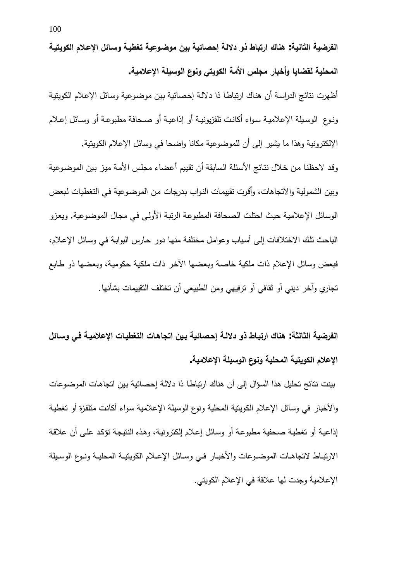الفرضية الثانية: هناك ارتباط ذو دلالة إحصائية بين موضوعية تغطية وسائل الإعلام الكويتية المحلية لقضايا وأخبار مجلس الأمة الكويتي ونوع الوسيلة الاعلامية.

أظهرت نتائج الدراسة أن هناك ارتباطا ذا دلالة إحصائية بين موضوعية وسائل الإعلام الكويتية ونـوع الوسـيلة الإعلاميـة سـواء أكانـت تلفزيونيـة أو إذاعيـة أو صـحافة مطبوعـة أو وسـائل إعـلام

الإلكترونية وهذا ما يشير إلى أن للموضوعية مكانا واضحا في وسائل الإعلام الكويتية.

وقد لاحظنا من خلال نتائج الأسئلة السابقة أن تقييم أعضاء مجلس الأمة ميز بين الموضوعية وبين الشمولية والاتجاهات، وأقرت نقييمات النواب بدرجات من الموضوعية في التغطيات لبعض الوسائل الإعلامية حيث احتلت الصحافة المطبوعة الرتبة الأولى في مجال الموضوعية. ويعزو الباحث تلك الاختلافات إلى أسباب وعوامل مختلفة منها دور حارس البوابة في وسائل الإعلام، فبعض وسائل الإعلام ذات ملكية خاصـة وبعضـها الآخر ذات ملكية حكومية، وبعضـها ذو طـابـع تجاري وآخر ديني أو ثقافي أو ترفيهي ومن الطبيعي أن تختلف التقييمات بشأنها.

الفرضية الثالثة: هناك ارتباط ذو دلالـة إحصائيـة بـين اتجاهات التغطيـات الإعلاميـة فـي وسـائل الإعلام الكويتية المحلية ونوع الوسيلة الإعلامية.

بينت نتائج تحليل هذا السؤال إلى أن هناك ارتباطا ذا دلالة إحصائية بين اتجاهات الموضوعات والأخبار في وسائل الإعلام الكويتية المحلية ونوع الوسيلة الإعلامية سواء أكانت متلفزة أو تغطية إذاعية أو تغطية صحفية مطبوعة أو وسائل إعلام إلكترونية، وهذه النتيجة تؤكد على أن علاقة الارتبـاط لاتجاهـات الموضــوعات والأخبـار فـي وسـائل الإعــلام الكويتيــة المحليــة ونــوع الوسـيلـة الإعلامية وجدت لها علاقة في الإعلام الكوبتي.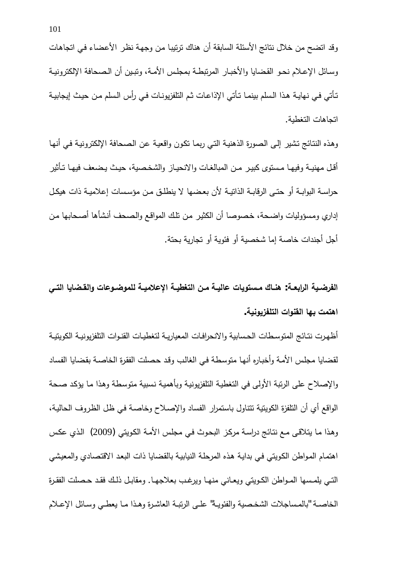وقد اتضح من خلال نتائج الأسئلة السابقة أن هناك ترتيبا من وجهة نظر الأعضاء في اتجاهات وسائل الإعـلام نحـو القضايا والأخبـار المرتبطـة بمجلس الأمـة، وتبـين أن الـصحافة الإلكترونيـة تأتي في نهايــة هذا الـسلم بينمـا تـأتي الإذاعـات ثـم التلفزيونـات فـي رأس الـسلم مـن حيث إيجابيــة اتجاهات التغطبة.

وهذه النتائج تشير إلى الصورة الذهنية التي ربما نكون واقعية عن الصحافة الإلكترونية في أنها أقل مهنيـة وفيهـا مـستوى كبيـر مـن المبالغـات والانحيـاز والشخـصية، حيث يـضعف فيهـا تـأثير حراسة البوابـة أو حتـي الرقابـة الذاتيـة لأن بعضـها لا ينطلـق مـن مؤسـسات إعلاميـة ذات هيكـل إداري ومسؤوليات وإضحة، خصوصا أن الكثير من نلك المواقع والصحف أنشأها أصحابها من أجل أجندات خاصنة إما شخصية أو فئوية أو تجارية بحتة.

الفرضية الرابعـة: هنـاك مـستويات عاليـة مـن التغطيـة الإعلاميـة للموضـوعات والقـضايـ الت*ـي* اهتمت بـها الفنوات التلفزيونيـة.

أظهرت نتـائج المتوسطات الحسابية والانحرافات المعباربـة لتغطيـات القنوات التلفزبونيـة الكوبتيـة لقضايا مجلس الأمـة وأخباره أنها متوسطة في الغالب وقد حصلت الفقرة الخاصـة بقضايا الفساد والإصلاح على الرتبة الأولى في التغطية التلفزيونية وبأهمية نسبية متوسطة وهذا ما يؤكد صحة الواقع أي أن النلفزة الكوينية تتناول باستمرار الفساد والإصلاح وخاصـة فـي ظل الظروف الحاليـة، وهذا ما يتلاقى مـع نتائج دراسة مركز البحوث في مجلس الأمـة الكويتي (2009) الذي عكس اهتمام المواطن الكويتي في بداية هذه المرحلة النيابية بالقضايا ذات البعد الاقتصادي والمعيشي التي يلمسها المواطن الكويتي ويعاني منها ويرغب بعلاجها. ومقابل ذلك فقد حصلت الفقرة الخاصــة "بالمساجلات الشخصية والفئويـة" علـي الرنبـة العاشـرة وهـذا مـا يعطـي وسـائل الإعـلام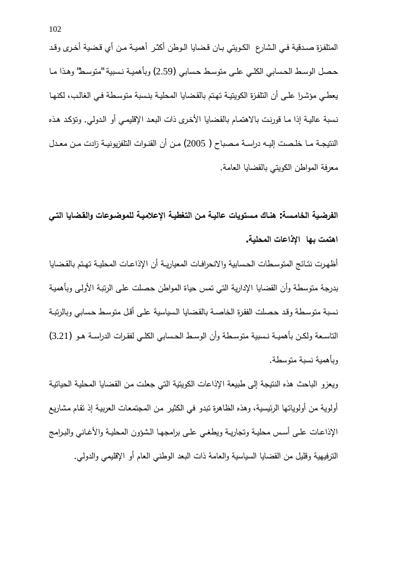102

المتلفزة صدقية فـي الشارع الكويتي بـان قضايا الـوطن أكثـر أهميـة مـن أي قضية أخـرى وقـد حصل الوسط الحسابي الكلي على متوسط حسابي (2.59) وبأهمية نسبية "متوسط" وهذا ما بعطي مؤشرا على أن النلفزة الكويتية تهتم بالقضايا المحلية بنسبة متوسطة في الغالب، لكنها نسبة عاليـة إذا مـا قورنت بالاهتمـام بالقضـايا الأخرى ذات البعـد الإقليمـي أو الدولـي. ونؤكد هذه النتيجـة مـا خلـصت إليـه دراسـة مـصباح ( 2005) مـن أن القنـوات التلفزيونيـة زادت مـن معـدل معرفة المواطن الكويني بالقضايا العامة.

الفرضية الخامسة: هناك مستويات عاليـة من التغطيـة الإعلاميـة للموضوعات والقضايا الت*ـي*  **.ŗƒƄšƆƃ¦©œŵ¦¯Ɨ¦ œƌŕ©ƆřƋ¦**

أظهرت نتـائج المتوسـطات الـحسابية والانحرافـات المعياريـة أن الإذاعـات المحليـة تهـتم بالقـضـايـا بدرجة متوسطة وأن القضايا الإدارية التي تمس حياة المواطن حصلت على الرتبة الأولى وبأهمية نسبة متوسطة وقد حصلت الفقرة الخاصـة بالقضايا السياسية علـي أقل متوسط حسابـي وبالرتبـة التاسعة ولكن بأهميـة نـسيبة متوسطة وأن الوسط الحسابي الكلـي لفقـرات الدراسـة هـو (3.21) وبأهمبة نسبة منوسطة.

ويعزو الباحث هذه النتيجة إلى طبيعة الإذاعات الكويتية التي جعلت من القضايا المحلية الحيانية أولوية من أولوياتها الرئيسية، وهذه الظاهرة تبدو في الكثير من المجتمعات العربية إذ تقام مشاريع الإذاعات علىي أسس محلية وتجاريـة ويطغـي علـي برامجهـا الـشؤون المحليـة والأغـانـي والبـرامج التزفيهية وقليل من القضايا السياسية والعامة ذات البعد الوطني العام أو الإقليمي والدولي.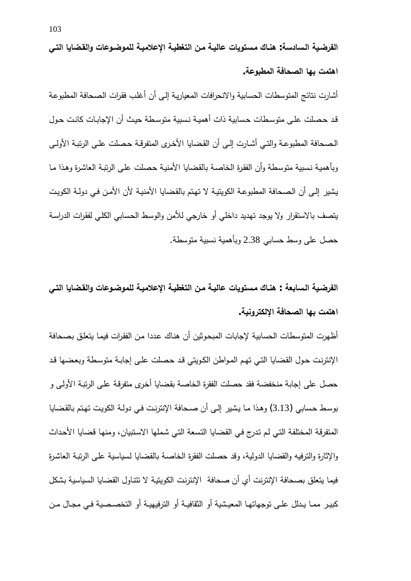الفرضية السادسة: هناك مستويات عاليـة من التغطيـة الإعلاميـة للموضوعات والقضايا الت*ـى* اهتمت بها الصحافة المطبوعة.

أشارت نتائج المتوسطات الحسابية والانحرافات المعيارية إلى أن أغلب فقرات الصحافة المطبوعة قد حصلت على متوسطات حسابية ذات أهمية نسبية متوسطة حيث أن الإجابات كانت حول الصحافة المطبوعـة والنـي أشـارت إلـي أن القضايا الأخرى المتفرقـة حصلت علـي الرنبـة الأولـي وبأهمية نسبية منوسطة وأن الفقرة الخاصـة بالقضايا الأمنيـة حصلت علـي الرنبـة العاشرة وهذا مـا يشير إلى أن الصحافة المطبوعة الكويتية لا تهتم بالقضايا الأمنية لأن الأمن في دولـة الكويت يتصف بالاستقرار ولا يوجد تهديد داخلي أو خارجي للأمن والوسط الحسابي الكلي لفقرات الدراسة حصل على وسط حسابي 2.38 وبأهمية نسبية منوسطة.

الفرضية السابعة : هناك مستويات عاليـة من التغطيـة الاعلاميـة للموضوعات والقضايا الت*ـي* اهتمت بها الصحافة الإلكترونية.

أظهرت المتوسطات الحسابية لإجابات المبحوثين أن هناك عددا من الفقرات فيما يتعلق بصحافة الإنترنت حول القضايا التي تهم المواطن الكويتي قد حصلت على إجابـة متوسطة وبعضها قد حصل على إجابة منخفضة فقد حصلت الفقرة الخاصة بقضايا أخرى متفرقة على الرتبة الأولى و بوسط حسابي (3.13) وهذا ما يشير إلى أن صحافة الإنترنت في دولـة الكويت تهتم بالقضايا المتفرقة المختلفة التي لم تدرج في القضايا التسعة التي شملها الاستبيان، ومنها قضايا الأحداث والإثارة والترفيه والقضايا الدولية، وقد حصلت الفقرة الخاصـة بالقضايا لسياسية علـى الرنبـة العاشرة فيما يتعلق بصحافة الإنترنت أى أن صحافة الإنترنت الكويتية لا تتتاول القضايا السياسية بشكل كبير ٍ ممـا يـدلل علـي توجهاتهـا المعيشية أو الثقافيـة أو الترفيهيـة أو التخصـصبية فـي مجـال مـن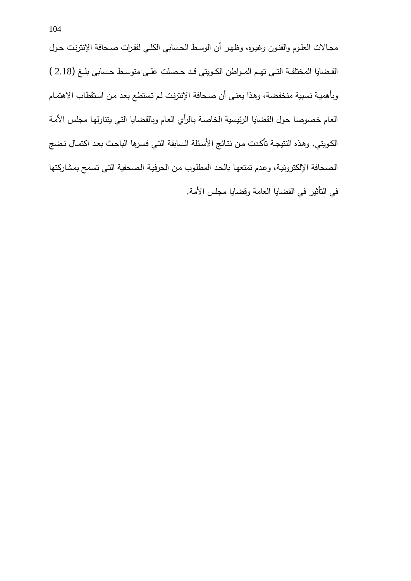مجالات العلوم والفنون وغيره، وظهر أن الوسط الحسابي الكلي لفقرات صحافة الإنترنت حول القضايا المختلفة التي تهم المواطن الكويتي قد حصلت على متوسط حسابي بلغ (2.18 ) وبأهمية نسبية منخفضة، وهذا يعني أن صحافة الإنترنت لم تستطع بعد من استقطاب الاهتمام العام خصوصا حول القضايا الرئيسية الخاصة بالرأي العام وبالقضايا التي يتتاولها مجلس الأمة الكويتي. وهذه النتيجة تأكدت من نتائج الأسئلة السابقة التي فسرها الباحث بعد اكتمال نضج الصحافة الإلكترونية، وعدم تمتعها بالحد المطلوب من الحرفية الصحفية التي تسمح بمشاركتها في النأثير في القضايا العامة وقضايا مجلس الأمة.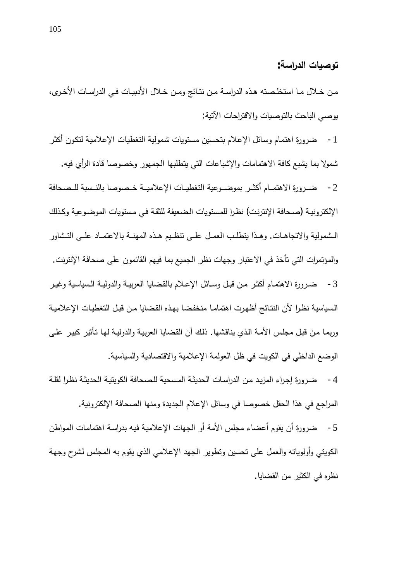#### توصيات الدراسة:

من خـلال مـا استخلـصنه هذه الدراسـة مـن نتـائج ومـن خـلال الأدبيـات فـي الدراسـات الأخـري، بوصبي الباحث بالتوصبات والاقتراحات الآتية:

 $\pm$  غىرورة اهتمام وسائل الإعلام بتحسين مستويات شمولية التغطيات الإعلامية لتكون أكثر شمولا بما يشبع كافة الاهتمامات والإشباعات التي يتطلبها الجمهور وخصوصا قادة الرأي فيه. řžŕţŰ»»»ƆƅřŗŬ»»»ƊƅŕŗŕŰÃŰ»»»Ŧř»»»ƔƈƜŷƙ§ªŕ»»»Ɣ·żśƅ§řƔŷû»»ŲÃƈŗ±»»»ŝƄ£Àŕ»»»ƈśƍƛ§©±Ã±»»»Ų -2 الإلكترونية (صحافة الإنترنت) نظرا للمستويات الضعيفة للثقة في مستويات الموضوعية وكذلك الـشمولية والاتجاهـات. وهـذا ينطلـب العمـل علـى نتظـيم هـذه المـهنــة بالاعتمــاد علــي التـشاور والمؤتمرات التي تأخذ في الاعتبار وجهات نظر الجميع بما فيهم القائمون على صحافة الإنترنت. 3− ضـرورة الاهتمـام أكثـر مـن قبـل وسـائل الإعـلام بالقضـايـا العربيـة والدوليـة الـسياسية وغيـر السياسية نظرا لأن النتائج أظهرت اهتماما منخفضا بهذه القضايا من قبل التغطيات الإعلامية وربمـا من قبل مجلس الأمـة الذي يناقشـها. ذلك أن القضـايا العربيـة والدوليـة لـها تـأثير كبير علـي الوضع الداخلي في الكويت في ظل العولمة الإعلامية والاقتصادية والسياسية.

4− ضرورة إجراء المزيد من الدراسات الحديثة المسحية للصحافة الكويتية الحديثة نظرا لقلة المراجع في هذا الحقل خصوصا في وسائل الإعلام الجديدة ومنها الصحافة الإلكترونية. 5− ضرورةٍ أن يقوم أعضاء مجلس الأمة أو الجهات الإعلامية فيه بدراسة اهتمامات المواطن

الكويتي وأولوياته والعمل على تحسين وتطوير الجهد الإعلامي الذي يقوم به المجلس لشرح وجهة نظره في الكثير من القضايا.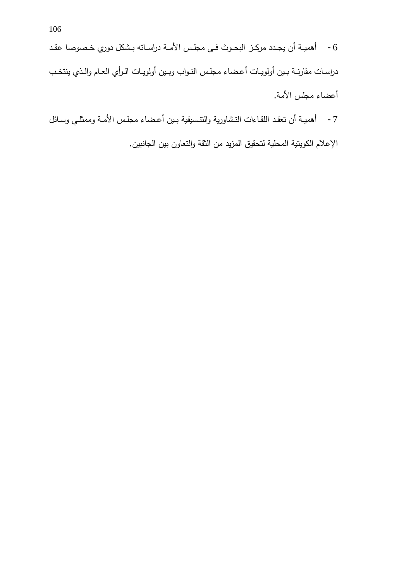6− أهميـة أن يجـدد مركـز البحـوث فـي مجلـس الأمـة دراسـاته بـشكل دوري خـصوصـا عقـد دراسات مقارنــة بـين أولويـات أعـضـاء مجلـس النـواب وبـين أولويـات الـرأي الـعـام والـذي ينتخـب أعضاء مجلس الأمة.

7- أهميـة أن تعقد اللقـاءات التشاورية والنتـسيقية بـين أعـضـاء مـجلـس الأمـة وممثلـي وسـائل الإعلام الكويتية المحلية لتحقيق المزيد من الثقة والتعاون بين الجانبين.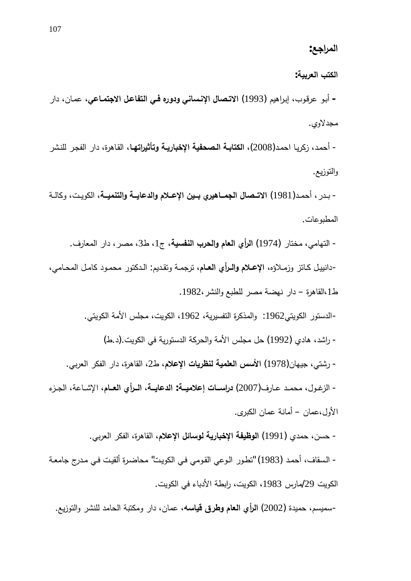المرا**جع**:

الكتب العربية:

±§¯Áŕ»ƈŷ**ƑŵœºƆřŞƙ¦¾ºŵœŽřƃ¦ƑºżƉ°Â®ÂƑƈœŪºƈƗ¦¾œŮºřƙ¦** (1993)ÀƔƍ§±»ŗ¥¨Ã»Ɓ±ŷûŗ£ **-** مجدلاوي.

– أحمد، زكريـا احمد(2008)، ا**لكتابـة الـصحفيـة الإخباريــة وتأثيراتهـا**، القاهرة، دار الفجر للنشر والتوزيع.

– بـدر ، أحمـد(1981) ا**لاتــصال الجمــاهيري بــين الإعــلام والدعايــة والتنميــة**، الكويـت، وكالــة المطبوعات.

- التهامي، مختار (1974**) الرأي العام والحرب النفسية**، ج1، ط3، مصر ، دار المعارف. -دانييل كـاتز وزمـلاؤه، الإ**عـلام والـرأى العـام**، ترجمـة وتقديم: الـدكتور محمـود كامـل المحـامـي، ط1،القاهرة – دار نهضة مصر للطبع والنشر ،1982.

-الدستور الكويتي1962: والمذكرة التفسيرية، 1962، الكويت، مجلس الأمة الكويتي.

- راشد، هادي (1992) حل مجلس الأمة والحركة الدستورية في الكويت.(د.ط)

− رشتي، جيهان(1978) الأ**سس العلمية لنظريات الإعلام**، ط2، القاهرة، دار الفكر العربي.

¡²»»Šƅ§řŷŕ»»Ůƙ§**¿œºººŶƃ¦Ä¢°ºººƃ¦ŗºººƒœŵ®ƃ¦ :ŗºººƒƆƚŵ¤©œºººŪ¦°®** (2007)¼±ŕ»»ŷ¯»»ƈţƈ¿Ã»»Ż²ƅ§ - الأول،عمان – أمانة عمان الكبرى.

– حسن، حمدي (1991) ا**لوظيفة الإخبارية لوسائل الإعلام**، القاهرة، الفكر العربي.

– السقاف، أحمد (1983) "تطور الوعي القومي في الكويت" محاضرة ألقيت في مدرج جامعة الكويت 29/مارس 1983، الكويت، رابطة الأدباء في الكويت.

-سميسم، حميدة (2002) ا**لرأى الـعام وطرقي قياسـه،** عمان، دار ومكتبة الـحامد للنشر والتوزيـع.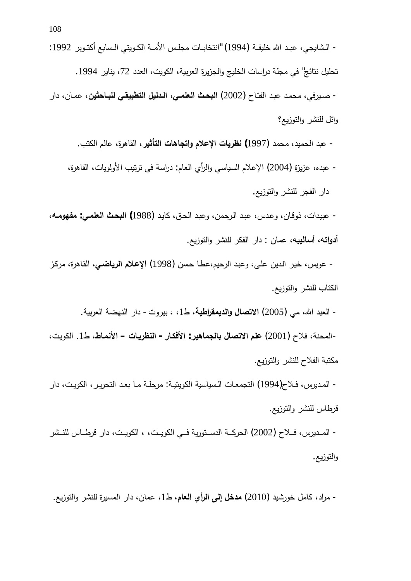- الـشايجي، عبد الله خليفـة (1994) "انتخابـات مجلـس الأمــة الكـويتي الـسابـع أكتـوبر 1992: تحليل نتائج" في مجلة دراسات الخليج والجزيرة العربية، الكويت، العدد 72، يناير 1994. − صبرفي، محمد عبد الفتاح (2002) ا**لبحث العلمي، الدليل التطبيقي للبـاحثين،** ع*م*ـان، دار وائل للنشر والتوزيع؟

- عبد الحميد، محمد (1997**) نظريات الإعلام واتجاهات التأثير** ، القاهرة، عالم الكتب.
- − عبده، عزيزة (2004) الإعلام السياسي والرأي العام: دراسة في نرنيب الأولويات، القاهرة، دار الفجر للنشر والنوزيع.

- عبيدات، ذوقان، وعدس، عبد الرحمن، وعبد الحق، كايد (1988**) البحث العلمي: مفهومـه**، **أدوإتـه، أسالييـه،** عمان : دار الفكر للنشر والتوزيـع.

- عويس، خير الدين علي، وعبد الرحيم،عطا حسن (1998) ا**لإعلام الرياضي**، القاهرة، مركز الكتاب للنشر والتوزيع.

– العبد الله، مي (2005) ا**لاتصال والديمقراطية**، ط1، ، بيروت– دار النهضة العربية. ª»ƔÃƄƅ§ .1·**¶œºƆƈƕ¦ –©œºƒ°·ƈƃ¦ -°œºƂżƕ¦ :°ƒƋœƆŞƃœŕ¾œŮřƙ¦¿Ƅŵ** (2001)ƜžřƊţƈƅ§- مكتبة الفلاح للنشر والتوزيع.

− المديرس، فـلاح(1994) التجمعـات الـسياسية الكويتيـة: مرحلـة مـا بـعـد التحريـر ، الكويـت، دار قرطاس للنشر والنوزيع.

– المــديرس، فــلاح (2002) الحركـــة الدســتوريـة فــي الكويــت، ، الكويــت، دار قرطـــاس للنــشر والتوزيع.

- مراد، كامل خورشيد (2010**) مدخل إلى الرأي الـعام**، ط1، عمان، دار المسيرة للنشر والنوزيـع.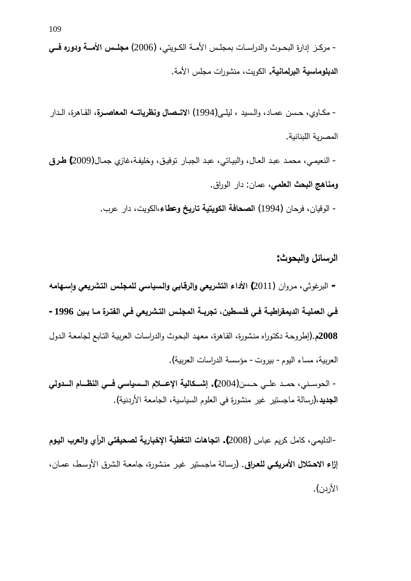- مركـز إدارة البحـوث والدراسـات بمجلـس الأمــة الكـويتي، (2006**) مجلـس الأمـــة ودوره فــي الدبلوماسبة البرلمانية**. الكويت، منشورات مجلس الأمة.

<mark>- مكـاوي، حسن عمـاد، والـسيد ، ليلـي(1994) الاتــصال ونظرياتــه المعاصـرة،</mark> القـاهرة، الـدار المصربة اللبنانبة. - النعيمي، محمد عبد العال، والبياتي، عبد الجبار نوفيق، وخليفة،غازي جمال(2009**) طرق** 

> **ومناهج البحث العلمي،** عمان: دار الوراق. - الوقيان، فرحان (1994) ا**لصحافة الكويتية تاريخ وعطاء**،الكويت، دار عرب.

> > الرسائل والبحوث:

− البرغوثي، مروان (2011) الأ**داع النشريعي والرقابي والسياسي للمجلس النشريعي وإسـهامه** فى العمليــة الديمقراطيــة فــى فلـسطين، تجربــة المجلـس التـشريعي فــي الفتـرة مــا بـين 1996 – ¿Ã¯»ƅ§ř»ŸƈŕŠƅŶŗŕ»śƅ§ř»Ɣŗ±Ÿƅ§ªŕ»Ŭ§±¯ƅ§Ã«Ã»ţŗƅ§¯»ƎŸƈ©±ƍŕ»Ƃƅ§©±ÃŮ»ƊƈƋ§±Ã»śƄ¯ř»ţñ·¥).**¿2008** العربية، مساء اليوم- بيروت- مؤسسة الدراسات العربية).

**Ƒƃ®ºººººƃ¦¿œººººº·ƈƃ¦ƑºººººżƑŪœƒŪººººƃ¦¿ƚºººººŵƗ¦ŗƒƃœƂºººººŬ¤ .(**2004)ÁŬ»»»ţƓ»»»Ɔŷ¯»»»ƈţƓƊ»»»ŬÃţƅ§ - ا**لجديد،(**رسالة ماجستير غير منشورة في العلوم السياسية، الجامعة الأردنية).

**¿Âºƒƃ¦§°Ŷƃ¦ÂÄ¢°ƃ¦ƑřŽƒšŮƃŗƒ°œŕŤƗ¦ŗƒ¶źřƃ¦©œƋœŞř¦ .(**2008)³ŕŗŷÀƔ±Ƅ¿ƈŕƄƓƈƔƅ¯ƅ§- إ**زاء الاحتلال الأمريكي للعراق.** (رسالة ماجستير غير منشورة، جامعة الشرق الأوسط، عمـان، الأردن).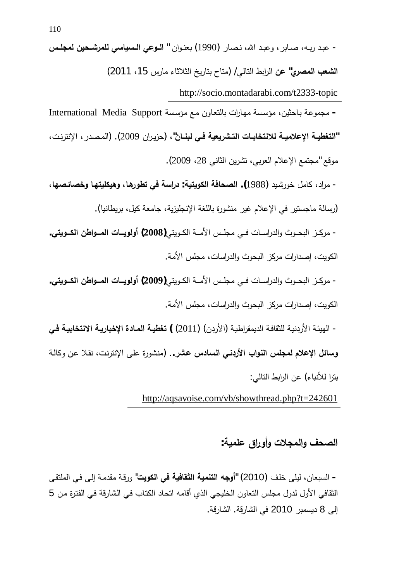- عبد ربـه، صـابر ، وعبد الله، نـصـار (1990) بـعنـوان " ا**لــوعي الــسياسي للمرشــحين لمجلـس** الشعب المصري" عن الرابط التالي/ (متاح بتاريخ الثلاثاء مارس 15، 2011) <http://socio.montadarabi.com/t2333-topic>

- مجموعة باحثين، مؤسسة مهارات بالتعاون مع مؤسسة International Media Support ª»Ɗ±śƊƙ§±¯Ű»ƈƅ§) .(2009Á§±»Ɣ²ţ)**"ÀœººƈŕƃƑººżŗƒŶƒ°Ŭººřƃ¦©œººŕœŤřƈƚƃ ŗººƒƆƚŵƗ¦ŗººƒ¶źřƃ¦"** موقع "مجتمع الإعلام العربي، تشرين الثاني 28، 2009).

– مراد، كامل خورشيد (1988). ا**لصحافة الكويتية: دراسة في تطورها، وهيكليتها <b>وخصائصها،** (رسالة ماجستير في الإعلام غير منشورة باللغة الإنجليزية، جامعة كيل، بريطانيا).

- مركـز البحـوث والدراسـات فـي مجلـس الأمــة الكـويتي**(2008) أولمويــات المــواطن الكــويتي**. الكوبت، إصدارات مركز البحوث والدراسات، مجلس الأمة.

– مركـز البحـوث والدراسـات فـي مجلـس الأمــة الكـويتي**(2009) أولويـــات المــواطن الكــويتي**. الكويت، إصدارات مركز\_البحوث والدراسات، مجلس الأمة.

− الهيئة الأردنية للثقافة الديمقراطية (الأردن) (2011) ) **تغطيـة المـادة الإخباريـة الانتخابيـة فـي** وسائل الاعلام لمجلس النواب الأربني السادس عشر .. (منشورة على الإنترنت، نقلا عن وكالة بترا للأنباء) عن الرابط التالي:

<http://aqsavoise.com/vb/showthread.php?t=242601>

### الصحف والمجلات وأوراق علمبة:

– السبعان، ليل<sub>ّي</sub> خلف (2010) "أ**وجه التنمية الثقافية في الكويت"** ورقة مقدمة إلى في الملتقي الثقافي الأول لدول مجلس التعاون الخليجي الذي أقامه اتحاد الكتاب في الشارقة في الفترة من 5 إلى 8 ديسمبر 2010 في الشارقة. الشارقة.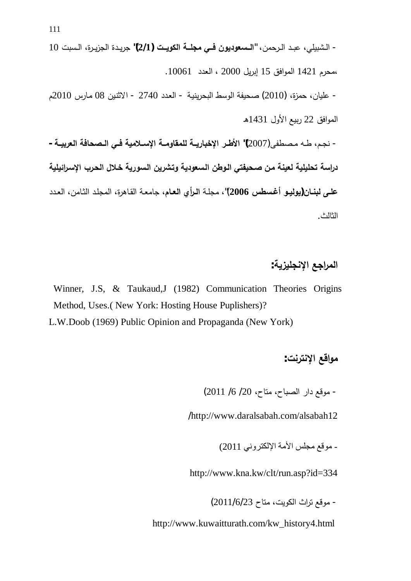111

10ªŗŬ»»ƅ§©±»»Ɣ²Šƅ§©¯»»Ɣ±Š **"(2/1)©ºººƒÂƂƃ¦ŗºººƄŞƆƑºººżÀƒ®ÂŶŪºººƃ¦**"Áƈţ±»»ƅ§¯»»ŗŷƓƆƔŗŮ»»ƅ§ - .10061 ألموافق 15 إيريل 2000 ، العدد 10061. خليان، حمزة، (2010) صحيفة الوسط البحرينية - العدد 2740 - الاثنين 08 مارس 2010م - $\,$ الموافق 22 ربيع الأول 1431هـ

- نجم، طــه مـصطفى(2007)" الأ**طـ**ر الإ**خباريــة للمقاومــة الإســلامية فـي الـصحافة العربيــة -**دراسة تحليلية لعينة من صحيفتي الوطن السعودية وتشرين السورية خلال الحرب الإسرائيلية ¯¯»»Ÿƅ§Áƈŕ»ŝƅ§¯»ƆŠƈƅ§©±ƍŕ»Ƃƅ§ř»ŸƈŕŠ**¿œºŶƃ¦Ä¢°ºƃ¦** ř»ƆŠƈ"(**2006²¶ŪººŹ¢Âººƒƃƒ)ÀœºƈŕƃƏºƄŵ** الثالث .

المراجع الإنجليزية:

Winner, J.S, & Taukaud,J (1982) Communication Theories Origins Method, Uses.( New York: Hosting House Puplishers)? L.W.Doob (1969) Public Opinion and Propaganda (New York)

مواقع الإنترنت:

 $(2011 f6 f20 \cdot 726 f3)$ وقع دار الصباح، متاح،

/http://www.daralsabah.com/alsabah12

- موقع مجلس الأمة الالكتر وني 2011)

http://www.kna.kw/clt/run.asp?id=334

 $(2011/6/23$  - موقع تراث الكويت، متاح 2011/6/23

http://www.kuwaitturath.com/kw\_history4.html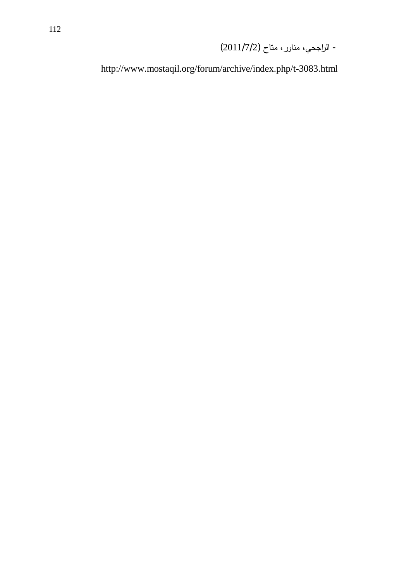$(2011/7/2)$  - الراجحي، مناور ، متاح

http://www.mostaqil.org/forum/archive/index.php/t-3083.html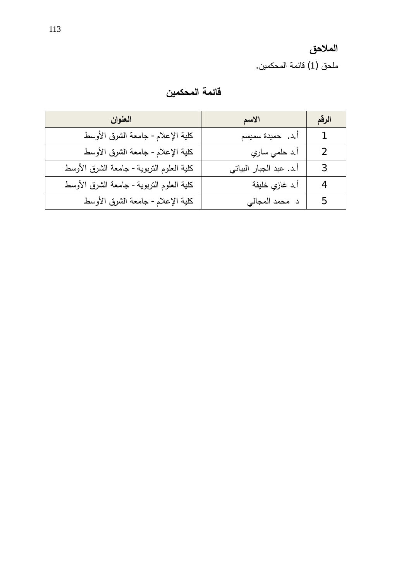# **الملاحق**

ملحق (1) قائمة المحكمين.

قائمة المحكمين

| العنوان                                  | الاسم                   | الرقم          |
|------------------------------------------|-------------------------|----------------|
| كلية الإعلام- جامعة الشرق الأوسط         | أ.د. حميدة سميسم        |                |
| كلية الإعلام- جامعة الشرق الأوسط         | أ.د حلمي ساري           | $\mathfrak{D}$ |
| كلية العلوم النزبوية- جامعة الشرق الأوسط | أ.د. عبد الجبار البياتي | 3              |
| كلية العلوم النزبوية- جامعة الشرق الأوسط | أ.د غازي خليفة          | 4              |
| كلية الإعلام- جامعة الشرق الأوسط         | د محمد المجالي          | 5              |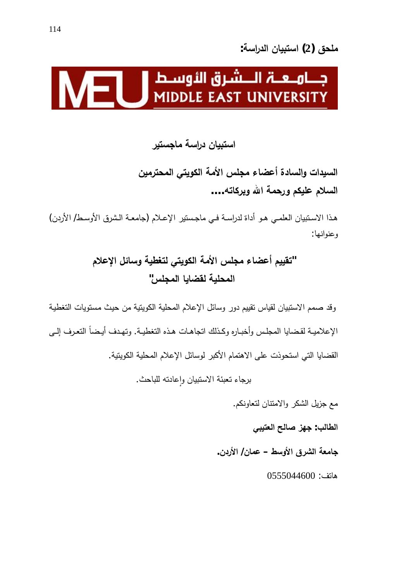## **:ŗŪ¦°®ƃ¦ÀœƒŕřŪ¦ (2)¼šƄƆ**

# جلاه عنة التشرق الأوسط MIDDLE EAST UNIVERSITY

استبيا*ن* دراسة ماجستير

السيدات والسادة أعضاء مجلس الأمة الكويت*ي* المحترمين ال**سلام عليكم ورحمة الله ويركاته.**...

هذا الاستبيان العلمي هو أداة لدراسة في ماجستير الإعلام (جامعة الشرق الأوسط/ الأردن) وعنوانـها:

> **¿ƚŵƗ¦¾őœŪÂŗƒ¶źřƃƑřƒÂƂƃ¦ŗƆƕ¦²ƄŞƆ œŰŵ¢¿ƒƒƀř"** المحلية لقضايا المجلس"

وقد صمم الاستبيان لقياس تقييم دور وسائل الإعلام المحلية الكويتية من حيث مستويات التغطية الإعلاميـة لقضايا المجلس وأخبـاره وكذلك اتجاهـات هـذه التغطيـة. وتهـدف أيـضاً التعرف إلـي القضايا التي استحوذت على الاهتمام الأكبر لوسائل الإعلام المحلية الكويتية.

> برجاء تعبئة الاستبيان وإعادته للباحث. ǔ

> > مغ جزيل الشكر والامنتان لتعاونكم.

الطالب: جهز صالح العتيب*ي* 

جامعة الشرق الأوسط – عمان/ الأردن.

 $0555044600$  :هاتف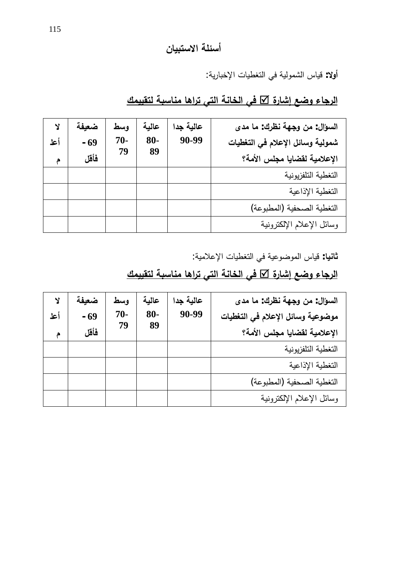# أسئلة الاستبيا*ن*

أ**ولا**: قياس الشمولية في التغطيات الإخبارية:

## <u>الرجاء وضع إشارة √ في الخانة التي تراها مناسبة لتقييمك</u>

| Y   | ضعيفة | وسط   | عالية | عالية جدا | السؤال: من وجهة نظرك: ما مدى     |
|-----|-------|-------|-------|-----------|----------------------------------|
| أعذ | $-69$ | $70-$ | 80-   | 90-99     | شمولية وسائل الإعلام في التغطيات |
| A   | فأقل  | 79    | 89    |           | الإعلامية لقضايا مجلس الأمة؟     |
|     |       |       |       |           | التغطية التلفزيونية              |
|     |       |       |       |           | التغطية الإذاعية                 |
|     |       |       |       |           | التغطية الصحفية (المطبوعة)       |
|     |       |       |       |           | وسائل الإعلام الإلكترونية        |

**ثانيا**: قياس الموضوعية في التغطيات الإعلامية:

<u>الرجاء وضع إشارة ⊠ في الخانة التي تراها مناسبة لتقييمك</u>

| Y<br>أعذ<br>А | ضعيفة<br>$-69$<br>فأقل | وسط<br>$70-$<br>79 | عالبة<br>80-<br>89 | عالية جدا<br>90-99 | السؤال: من وجهة نظرك: ما مدى<br>موضوعية وسائل الإعلام في التغطيات<br>الإعلامية لقضايا مجلس الأمة؟ |
|---------------|------------------------|--------------------|--------------------|--------------------|---------------------------------------------------------------------------------------------------|
|               |                        |                    |                    |                    | التغطية التلفزيونية                                                                               |
|               |                        |                    |                    |                    | التغطية الإذاعية                                                                                  |
|               |                        |                    |                    |                    | التغطية الصحفية (المطبوعة)                                                                        |
|               |                        |                    |                    |                    | وسائل الإعلام الإلكترونية                                                                         |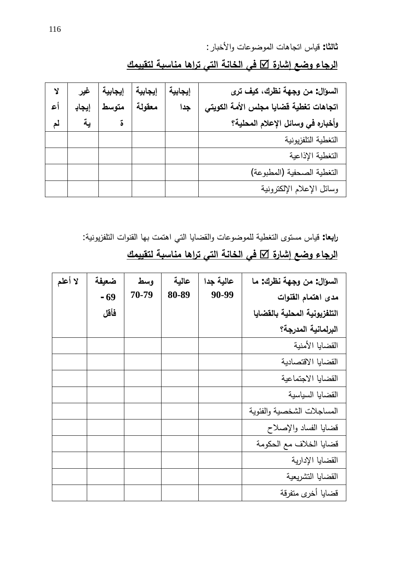**ثالثا**: قياس اتجاهات الموضوعات والأخبار :

<u>الرجاء وضع إشارة ∏ في الخانة التي تراها مناسبة لتقييمك</u>

| צ  | غير   | ابجابية | إيجابية | إيجابية | السؤال: من وجهة نظرك، كيف ترى          |
|----|-------|---------|---------|---------|----------------------------------------|
| أع | إيجاب | متوسط   | معقولة  | جدا     | اتجاهات تغطية قضايا مجلس الأمة الكويتي |
| لم | ية    |         |         |         | وأخباره في وسائل الإعلام المحلية؟      |
|    |       |         |         |         | التغطية التلفزيونية                    |
|    |       |         |         |         | التغطية الإذاعية                       |
|    |       |         |         |         | التغطية الصحفية (المطبوعة)             |
|    |       |         |         |         | وسائل الإعلام الإلكترونية              |

را**بعا**: قياس مستوى التغطية للموضوعات والقضايا التي اهتمت بها القنوات التلفزيونية:

|  |  |  |  |  |  |  | الرجاء وضع إشارة ∏ في الخانـة التي تراها مناسبة لتقييمك |
|--|--|--|--|--|--|--|---------------------------------------------------------|
|--|--|--|--|--|--|--|---------------------------------------------------------|

| لا أعلم | ضعيفة | وسط   | عالية | عالية جدا | السؤال: من وجهة نظرك: ما     |
|---------|-------|-------|-------|-----------|------------------------------|
|         | $-69$ | 70-79 | 80-89 | 90-99     | مدى اهتمام القنوات           |
|         | فأقل  |       |       |           | التلفزيونية المحلية بالقضايا |
|         |       |       |       |           | البرلمانية المدرجة؟          |
|         |       |       |       |           | القضايا الأمنية              |
|         |       |       |       |           | القضايا الاقتصادية           |
|         |       |       |       |           | القضايا الاجتماعية           |
|         |       |       |       |           | القضايا السياسية             |
|         |       |       |       |           | المساجلات الشخصية والفئوية   |
|         |       |       |       |           | قضايا الفساد والإصلاح        |
|         |       |       |       |           | قضايا الخلاف مع الحكومة      |
|         |       |       |       |           | القضايا الإدارية             |
|         |       |       |       |           | القضايا التشريعية            |
|         |       |       |       |           | قضايا أخرى متفرقة            |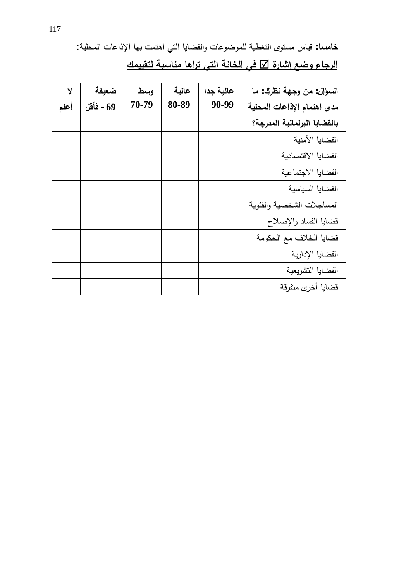خامسا: قياس مستوى التغطية للموضوعات والقضايا التي اهتمت بها الإذاعات المحلية:

<u>الرجاء وضع إشارة ⊠ في الخانة التي تراها مناسبة لتقييمك</u>

| Y    | ضعيفة     | وسط   | عالية | عالية جدا | السؤال: من وجهة نظرك: ما     |
|------|-----------|-------|-------|-----------|------------------------------|
| أعلم | 69 - فأقل | 70-79 | 80-89 | 90-99     | مدى اهتمام الإذاعات المحلية  |
|      |           |       |       |           | بالقضايا البرلمانية المدرجة؟ |
|      |           |       |       |           | القضايا الأمنية              |
|      |           |       |       |           | القضايا الاقتصادية           |
|      |           |       |       |           | القضايا الاجتماعية           |
|      |           |       |       |           | القضايا السياسية             |
|      |           |       |       |           | المساجلات الشخصية والفئوية   |
|      |           |       |       |           | قضايا الفساد والإصلاح        |
|      |           |       |       |           | قضايا الخلاف مع الحكومة      |
|      |           |       |       |           | القضايا الإدارية             |
|      |           |       |       |           | القضايا التشريعية            |
|      |           |       |       |           | قضايا أخرى متفرقة            |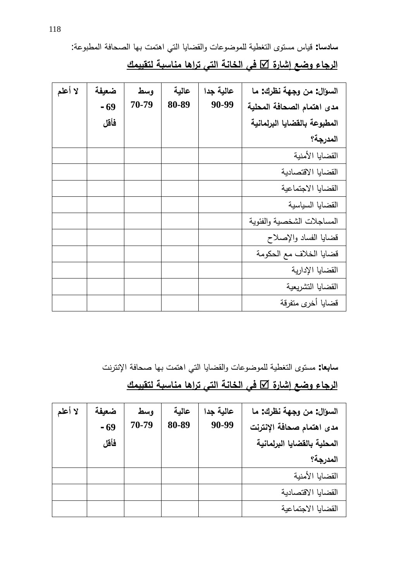:řŷÃŗ·ƈƅ§řžŕţŰƅ§ŕƎŗªƈśƍ§Ɠśƅ§ŕƔŕŲƂƅ§ÃªŕŷÃŲÃƈƆƅřƔ·żśƅ§ÄÃśŬƈ³ŕƔƁ **:œŪ®œŪ**

<u>الرجاء وضع إشارة لى في الخانة التي تراها مناسبة لتقييمك</u>

| لا أعلم | ضعيفة | وسط   | عالية | عالية جدا | السؤال: من وجهة نظرك: ما     |
|---------|-------|-------|-------|-----------|------------------------------|
|         | $-69$ | 70-79 | 80-89 | 90-99     | مدى اهتمام الصحافة المحلية   |
|         | فأقل  |       |       |           | المطبوعة بالقضايا البرلمانية |
|         |       |       |       |           | المدرجة؟                     |
|         |       |       |       |           | القضايا الأمنية              |
|         |       |       |       |           | القضايا الاقتصادية           |
|         |       |       |       |           | القضايا الاجتماعية           |
|         |       |       |       |           | القضايا السياسية             |
|         |       |       |       |           | المساجلات الشخصبة والفئوية   |
|         |       |       |       |           | قضايا الفساد والإصلاح        |
|         |       |       |       |           | قضايا الخلاف مع الحكومة      |
|         |       |       |       |           | القضايا الإدارية             |
|         |       |       |       |           | القضايا التشريعية            |
|         |       |       |       |           | قضايا أخرى متفرقة            |

س**ابعا**: مستوى التغطية للموضوعات والقضايا التي اهتمت بها صحافة الإنترنت

<u>الرجاء وضع إشارة ⊠ في الخانة التي تراها مناسبة لتقييمك</u>

| لا أعلم | ضعيفة | وسط   | عالية | عالية جدا | السؤال: من وجهة نظرك: ما    |
|---------|-------|-------|-------|-----------|-----------------------------|
|         | $-69$ | 70-79 | 80-89 | 90-99     | مدى اهتمام صحافة الإنترنت   |
|         | فأقل  |       |       |           | المحلية بالقضايا البرلمانية |
|         |       |       |       |           | المدرجة؟                    |
|         |       |       |       |           | القضايا الأمنية             |
|         |       |       |       |           | القضايا الاقتصادية          |
|         |       |       |       |           | القضايا الاجتماعية          |